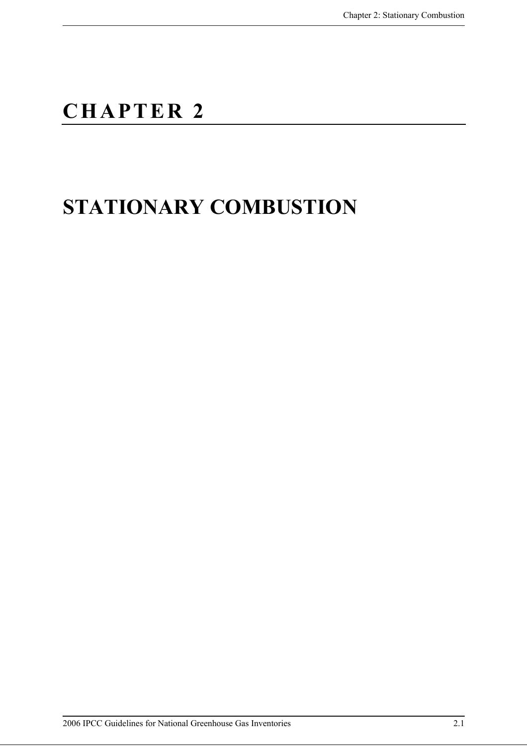# **CHAPTER 2**

# **STATIONARY COMBUSTION**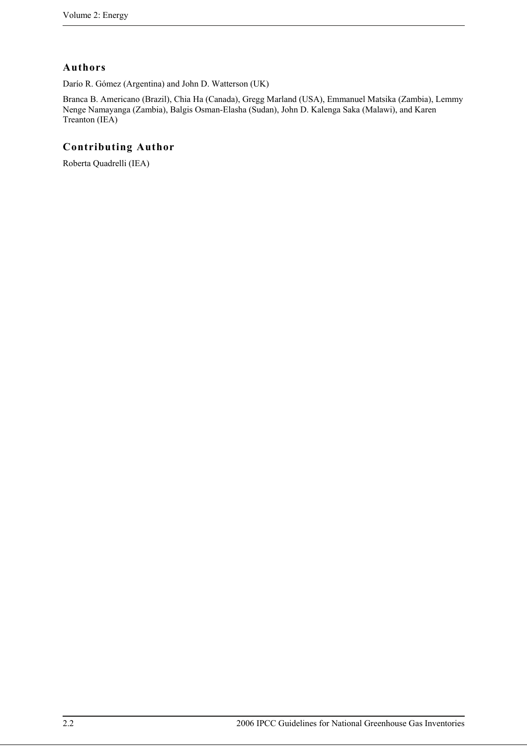#### **Authors**

Darío R. Gómez (Argentina) and John D. Watterson (UK)

Branca B. Americano (Brazil), Chia Ha (Canada), Gregg Marland (USA), Emmanuel Matsika (Zambia), Lemmy Nenge Namayanga (Zambia), Balgis Osman-Elasha (Sudan), John D. Kalenga Saka (Malawi), and Karen Treanton (IEA)

#### **Contributing Author**

Roberta Quadrelli (IEA)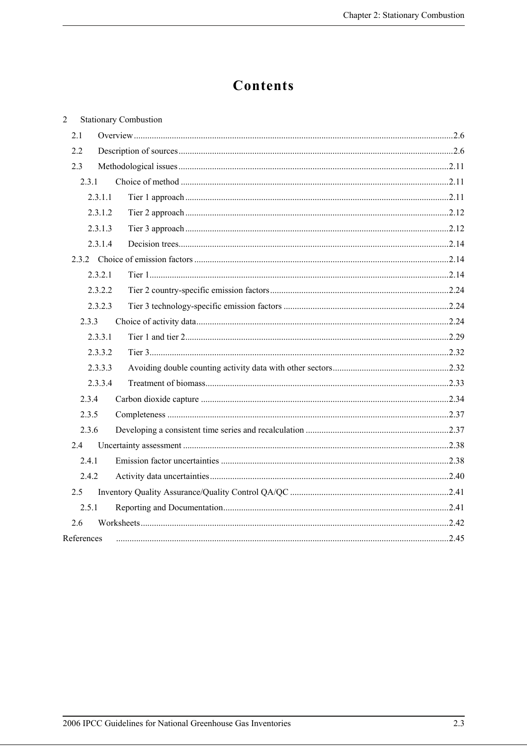# Contents

| 2 |            |         | <b>Stationary Combustion</b> |  |
|---|------------|---------|------------------------------|--|
|   | 2.1        |         |                              |  |
|   | 2.2        |         |                              |  |
|   | 2.3        |         |                              |  |
|   | 2.3.1      |         |                              |  |
|   |            | 2.3.1.1 |                              |  |
|   |            | 2.3.1.2 |                              |  |
|   |            | 2.3.1.3 |                              |  |
|   |            | 2.3.1.4 |                              |  |
|   |            |         |                              |  |
|   |            | 2.3.2.1 |                              |  |
|   |            | 2.3.2.2 |                              |  |
|   |            | 2.3.2.3 |                              |  |
|   | 2.3.3      |         |                              |  |
|   |            | 2.3.3.1 |                              |  |
|   |            | 2.3.3.2 |                              |  |
|   |            | 2.3.3.3 |                              |  |
|   |            | 2.3.3.4 |                              |  |
|   | 2.3.4      |         |                              |  |
|   | 2.3.5      |         |                              |  |
|   | 2.3.6      |         |                              |  |
|   | 2.4        |         |                              |  |
|   | 2.4.1      |         |                              |  |
|   | 242        |         |                              |  |
|   | 2.5        |         |                              |  |
|   | 2.5.1      |         |                              |  |
|   | 2.6        |         |                              |  |
|   | References |         |                              |  |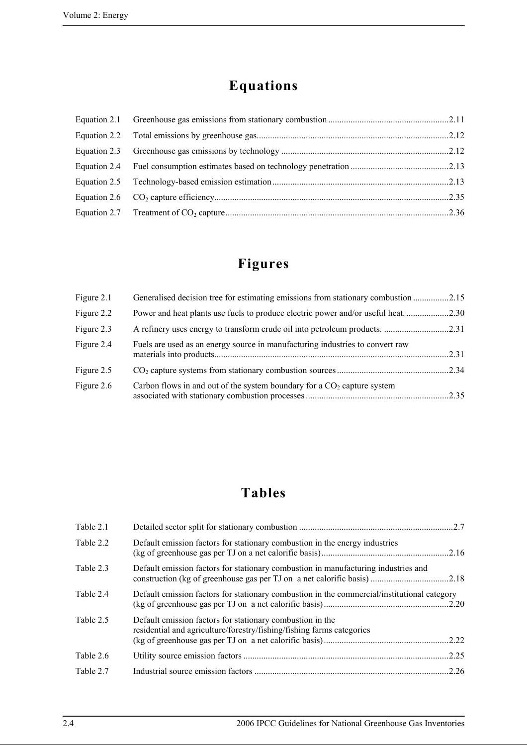# **Equations**

# **Figures**

| Figure 2.1 | Generalised decision tree for estimating emissions from stationary combustion 2.15 |  |
|------------|------------------------------------------------------------------------------------|--|
| Figure 2.2 | Power and heat plants use fuels to produce electric power and/or useful heat2.30   |  |
| Figure 2.3 |                                                                                    |  |
| Figure 2.4 | Fuels are used as an energy source in manufacturing industries to convert raw      |  |
| Figure 2.5 |                                                                                    |  |
| Figure 2.6 | Carbon flows in and out of the system boundary for a $CO2$ capture system          |  |

# **Tables**

| Table 2.1 |                                                                                                                                                           |       |
|-----------|-----------------------------------------------------------------------------------------------------------------------------------------------------------|-------|
| Table 2.2 | Default emission factors for stationary combustion in the energy industries                                                                               |       |
| Table 2.3 | Default emission factors for stationary combustion in manufacturing industries and<br>construction (kg of greenhouse gas per TJ on a net calorific basis) | .2.18 |
| Table 2.4 | Default emission factors for stationary combustion in the commercial/institutional category                                                               | .2.20 |
| Table 2.5 | Default emission factors for stationary combustion in the<br>residential and agriculture/forestry/fishing/fishing farms categories                        | .2.22 |
| Table 2.6 |                                                                                                                                                           | 2.25  |
| Table 2.7 |                                                                                                                                                           |       |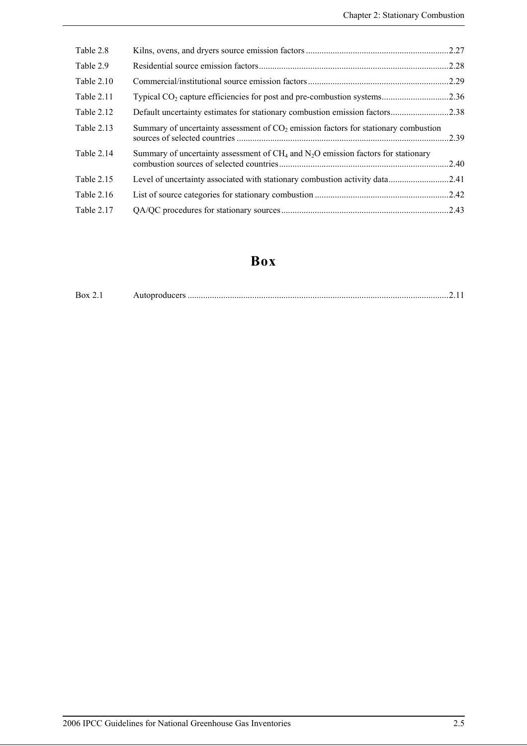| Table 2.8  |                                                                                        | .2.27 |
|------------|----------------------------------------------------------------------------------------|-------|
| Table 2.9  |                                                                                        | .2.28 |
| Table 2.10 |                                                                                        |       |
| Table 2.11 | Typical CO <sub>2</sub> capture efficiencies for post and pre-combustion systems2.36   |       |
| Table 2.12 | Default uncertainty estimates for stationary combustion emission factors2.38           |       |
| Table 2.13 | Summary of uncertainty assessment of $CO2$ emission factors for stationary combustion  |       |
| Table 2.14 | Summary of uncertainty assessment of $CH_4$ and $N_2O$ emission factors for stationary | .2.40 |
| Table 2.15 |                                                                                        |       |
| Table 2.16 |                                                                                        |       |
| Table 2.17 |                                                                                        |       |

# **Box**

| Box |  |  |  |
|-----|--|--|--|
|-----|--|--|--|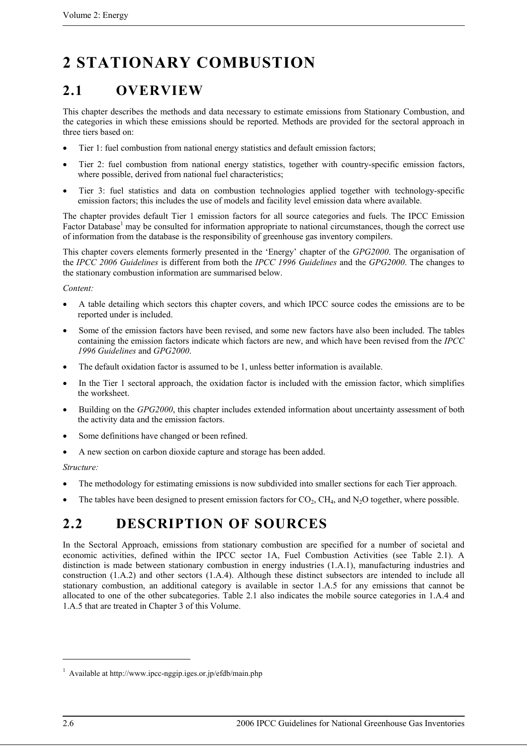# **2 STATIONARY COMBUSTION**

### **2.1 OVERVIEW**

This chapter describes the methods and data necessary to estimate emissions from Stationary Combustion, and the categories in which these emissions should be reported. Methods are provided for the sectoral approach in three tiers based on:

- Tier 1: fuel combustion from national energy statistics and default emission factors;
- Tier 2: fuel combustion from national energy statistics, together with country-specific emission factors, where possible, derived from national fuel characteristics;
- Tier 3: fuel statistics and data on combustion technologies applied together with technology-specific emission factors; this includes the use of models and facility level emission data where available.

The chapter provides default Tier 1 emission factors for all source categories and fuels. The IPCC Emission Factor Database<sup>1</sup> may be consulted for information appropriate to national circumstances, though the correct use of information from the database is the responsibility of greenhouse gas inventory compilers.

This chapter covers elements formerly presented in the 'Energy' chapter of the *GPG2000*. The organisation of the *IPCC 2006 Guidelines* is different from both the *IPCC 1996 Guidelines* and the *GPG2000*. The changes to the stationary combustion information are summarised below.

*Content:* 

- A table detailing which sectors this chapter covers, and which IPCC source codes the emissions are to be reported under is included.
- Some of the emission factors have been revised, and some new factors have also been included. The tables containing the emission factors indicate which factors are new, and which have been revised from the *IPCC 1996 Guidelines* and *GPG2000*.
- The default oxidation factor is assumed to be 1, unless better information is available.
- In the Tier 1 sectoral approach, the oxidation factor is included with the emission factor, which simplifies the worksheet.
- Building on the *GPG2000*, this chapter includes extended information about uncertainty assessment of both the activity data and the emission factors.
- Some definitions have changed or been refined.
- A new section on carbon dioxide capture and storage has been added.

*Structure:* 

- The methodology for estimating emissions is now subdivided into smaller sections for each Tier approach.
- The tables have been designed to present emission factors for  $CO<sub>2</sub>$ ,  $CH<sub>4</sub>$ , and N<sub>2</sub>O together, where possible.

# **2.2 DESCRIPTION OF SOURCES**

In the Sectoral Approach, emissions from stationary combustion are specified for a number of societal and economic activities, defined within the IPCC sector 1A, Fuel Combustion Activities (see Table 2.1). A distinction is made between stationary combustion in energy industries (1.A.1), manufacturing industries and construction (1.A.2) and other sectors (1.A.4). Although these distinct subsectors are intended to include all stationary combustion, an additional category is available in sector 1.A.5 for any emissions that cannot be allocated to one of the other subcategories. Table 2.1 also indicates the mobile source categories in 1.A.4 and 1.A.5 that are treated in Chapter 3 of this Volume.

<sup>&</sup>lt;sup>1</sup> Available at http://www.ipcc-nggip.iges.or.jp/efdb/main.php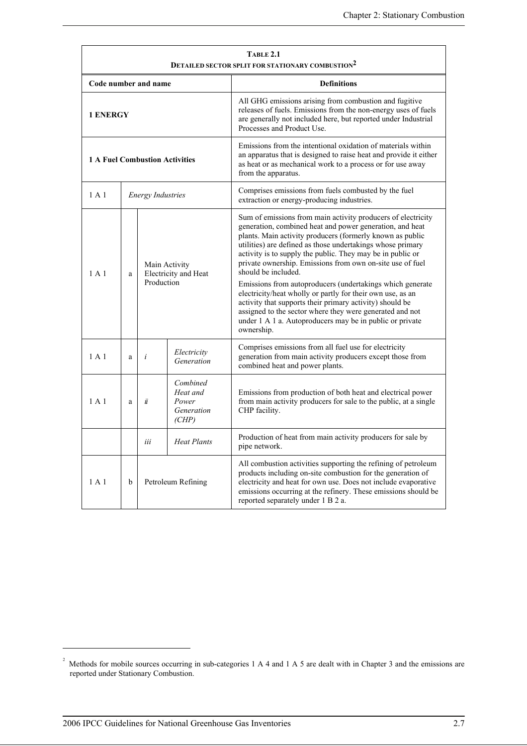| TABLE 2.1<br>DETAILED SECTOR SPLIT FOR STATIONARY COMBUSTION <sup>2</sup> |             |                                                     |                                                      |                                                                                                                                                                                                                                                                                                                                                                                                                                                                                                                                                                                                                                                                                                                                    |
|---------------------------------------------------------------------------|-------------|-----------------------------------------------------|------------------------------------------------------|------------------------------------------------------------------------------------------------------------------------------------------------------------------------------------------------------------------------------------------------------------------------------------------------------------------------------------------------------------------------------------------------------------------------------------------------------------------------------------------------------------------------------------------------------------------------------------------------------------------------------------------------------------------------------------------------------------------------------------|
| Code number and name                                                      |             |                                                     |                                                      | <b>Definitions</b>                                                                                                                                                                                                                                                                                                                                                                                                                                                                                                                                                                                                                                                                                                                 |
| <b>1 ENERGY</b>                                                           |             |                                                     |                                                      | All GHG emissions arising from combustion and fugitive<br>releases of fuels. Emissions from the non-energy uses of fuels<br>are generally not included here, but reported under Industrial<br>Processes and Product Use.                                                                                                                                                                                                                                                                                                                                                                                                                                                                                                           |
| <b>1 A Fuel Combustion Activities</b>                                     |             |                                                     |                                                      | Emissions from the intentional oxidation of materials within<br>an apparatus that is designed to raise heat and provide it either<br>as heat or as mechanical work to a process or for use away<br>from the apparatus.                                                                                                                                                                                                                                                                                                                                                                                                                                                                                                             |
| 1A1                                                                       |             | <b>Energy Industries</b>                            |                                                      | Comprises emissions from fuels combusted by the fuel<br>extraction or energy-producing industries.                                                                                                                                                                                                                                                                                                                                                                                                                                                                                                                                                                                                                                 |
| 1A1                                                                       | a           | Main Activity<br>Electricity and Heat<br>Production |                                                      | Sum of emissions from main activity producers of electricity<br>generation, combined heat and power generation, and heat<br>plants. Main activity producers (formerly known as public<br>utilities) are defined as those undertakings whose primary<br>activity is to supply the public. They may be in public or<br>private ownership. Emissions from own on-site use of fuel<br>should be included.<br>Emissions from autoproducers (undertakings which generate<br>electricity/heat wholly or partly for their own use, as an<br>activity that supports their primary activity) should be<br>assigned to the sector where they were generated and not<br>under 1 A 1 a. Autoproducers may be in public or private<br>ownership. |
| 1A1                                                                       | a           | i                                                   | Electricity<br>Generation                            | Comprises emissions from all fuel use for electricity<br>generation from main activity producers except those from<br>combined heat and power plants.                                                                                                                                                                                                                                                                                                                                                                                                                                                                                                                                                                              |
| 1A1                                                                       | a           | ü                                                   | Combined<br>Heat and<br>Power<br>Generation<br>(CHP) | Emissions from production of both heat and electrical power<br>from main activity producers for sale to the public, at a single<br>CHP facility.                                                                                                                                                                                                                                                                                                                                                                                                                                                                                                                                                                                   |
|                                                                           |             | iii                                                 | <b>Heat Plants</b>                                   | Production of heat from main activity producers for sale by<br>pipe network.                                                                                                                                                                                                                                                                                                                                                                                                                                                                                                                                                                                                                                                       |
| 1A1                                                                       | $\mathbf b$ |                                                     | Petroleum Refining                                   | All combustion activities supporting the refining of petroleum<br>products including on-site combustion for the generation of<br>electricity and heat for own use. Does not include evaporative<br>emissions occurring at the refinery. These emissions should be<br>reported separately under 1 B 2 a.                                                                                                                                                                                                                                                                                                                                                                                                                            |

<sup>&</sup>lt;sup>2</sup> Methods for mobile sources occurring in sub-categories 1 A 4 and 1 A 5 are dealt with in Chapter 3 and the emissions are reported under Stationary Combustion.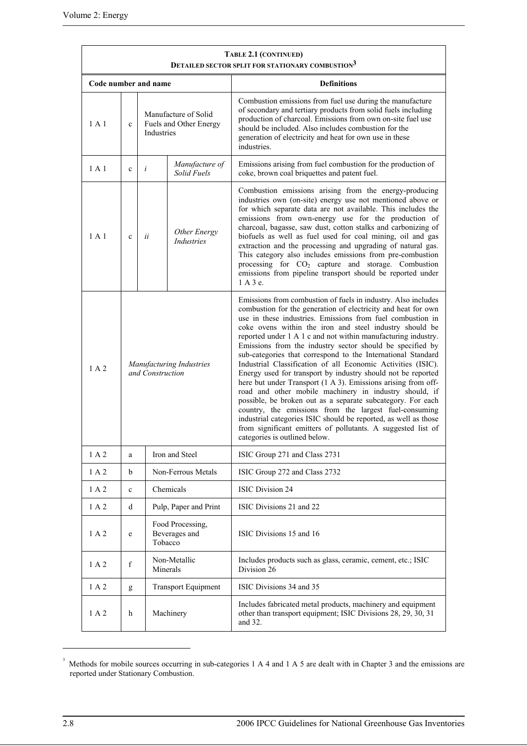| TABLE 2.1 (CONTINUED)<br>DETAILED SECTOR SPLIT FOR STATIONARY COMBUSTION <sup>3</sup> |                                              |                                                              |                                   |                                                                                                                                                                                                                                                                                                                                                                                                                                                                                                                                                                                                                                                                                                                                                                                                                                                                                                                                                                                                               |
|---------------------------------------------------------------------------------------|----------------------------------------------|--------------------------------------------------------------|-----------------------------------|---------------------------------------------------------------------------------------------------------------------------------------------------------------------------------------------------------------------------------------------------------------------------------------------------------------------------------------------------------------------------------------------------------------------------------------------------------------------------------------------------------------------------------------------------------------------------------------------------------------------------------------------------------------------------------------------------------------------------------------------------------------------------------------------------------------------------------------------------------------------------------------------------------------------------------------------------------------------------------------------------------------|
| Code number and name                                                                  |                                              |                                                              |                                   | <b>Definitions</b>                                                                                                                                                                                                                                                                                                                                                                                                                                                                                                                                                                                                                                                                                                                                                                                                                                                                                                                                                                                            |
| 1A1                                                                                   | $\mathbf c$                                  | Manufacture of Solid<br>Fuels and Other Energy<br>Industries |                                   | Combustion emissions from fuel use during the manufacture<br>of secondary and tertiary products from solid fuels including<br>production of charcoal. Emissions from own on-site fuel use<br>should be included. Also includes combustion for the<br>generation of electricity and heat for own use in these<br>industries.                                                                                                                                                                                                                                                                                                                                                                                                                                                                                                                                                                                                                                                                                   |
| 1A1                                                                                   | $\mathbf c$                                  | i                                                            | Manufacture of<br>Solid Fuels     | Emissions arising from fuel combustion for the production of<br>coke, brown coal briquettes and patent fuel.                                                                                                                                                                                                                                                                                                                                                                                                                                                                                                                                                                                                                                                                                                                                                                                                                                                                                                  |
| 1A1                                                                                   | $\mathbf c$                                  | ii                                                           | Other Energy<br><b>Industries</b> | Combustion emissions arising from the energy-producing<br>industries own (on-site) energy use not mentioned above or<br>for which separate data are not available. This includes the<br>emissions from own-energy use for the production of<br>charcoal, bagasse, saw dust, cotton stalks and carbonizing of<br>biofuels as well as fuel used for coal mining, oil and gas<br>extraction and the processing and upgrading of natural gas.<br>This category also includes emissions from pre-combustion<br>processing for $CO2$ capture and storage. Combustion<br>emissions from pipeline transport should be reported under<br>1 A 3 e.                                                                                                                                                                                                                                                                                                                                                                      |
| 1A2                                                                                   | Manufacturing Industries<br>and Construction |                                                              |                                   | Emissions from combustion of fuels in industry. Also includes<br>combustion for the generation of electricity and heat for own<br>use in these industries. Emissions from fuel combustion in<br>coke ovens within the iron and steel industry should be<br>reported under 1 A 1 c and not within manufacturing industry.<br>Emissions from the industry sector should be specified by<br>sub-categories that correspond to the International Standard<br>Industrial Classification of all Economic Activities (ISIC).<br>Energy used for transport by industry should not be reported<br>here but under Transport (1 A 3). Emissions arising from off-<br>road and other mobile machinery in industry should, if<br>possible, be broken out as a separate subcategory. For each<br>country, the emissions from the largest fuel-consuming<br>industrial categories ISIC should be reported, as well as those<br>from significant emitters of pollutants. A suggested list of<br>categories is outlined below. |
| 1A2                                                                                   | a                                            |                                                              | Iron and Steel                    | ISIC Group 271 and Class 2731                                                                                                                                                                                                                                                                                                                                                                                                                                                                                                                                                                                                                                                                                                                                                                                                                                                                                                                                                                                 |
| 1A2                                                                                   | b                                            | Non-Ferrous Metals                                           |                                   | ISIC Group 272 and Class 2732                                                                                                                                                                                                                                                                                                                                                                                                                                                                                                                                                                                                                                                                                                                                                                                                                                                                                                                                                                                 |
| 1A2                                                                                   | $\mathbf c$                                  | Chemicals                                                    |                                   | <b>ISIC Division 24</b>                                                                                                                                                                                                                                                                                                                                                                                                                                                                                                                                                                                                                                                                                                                                                                                                                                                                                                                                                                                       |
| 1A2                                                                                   | d                                            | Pulp, Paper and Print                                        |                                   | ISIC Divisions 21 and 22                                                                                                                                                                                                                                                                                                                                                                                                                                                                                                                                                                                                                                                                                                                                                                                                                                                                                                                                                                                      |
| 1 A 2                                                                                 | e                                            | Food Processing,<br>Beverages and<br>Tobacco                 |                                   | ISIC Divisions 15 and 16                                                                                                                                                                                                                                                                                                                                                                                                                                                                                                                                                                                                                                                                                                                                                                                                                                                                                                                                                                                      |
| 1A2                                                                                   | f                                            | Non-Metallic<br>Minerals                                     |                                   | Includes products such as glass, ceramic, cement, etc.; ISIC<br>Division 26                                                                                                                                                                                                                                                                                                                                                                                                                                                                                                                                                                                                                                                                                                                                                                                                                                                                                                                                   |
| 1 A 2                                                                                 | g                                            |                                                              | <b>Transport Equipment</b>        | ISIC Divisions 34 and 35                                                                                                                                                                                                                                                                                                                                                                                                                                                                                                                                                                                                                                                                                                                                                                                                                                                                                                                                                                                      |
| 1A2                                                                                   | h                                            | Machinery                                                    |                                   | Includes fabricated metal products, machinery and equipment<br>other than transport equipment; ISIC Divisions 28, 29, 30, 31<br>and 32.                                                                                                                                                                                                                                                                                                                                                                                                                                                                                                                                                                                                                                                                                                                                                                                                                                                                       |

<sup>3</sup> Methods for mobile sources occurring in sub-categories 1 A 4 and 1 A 5 are dealt with in Chapter 3 and the emissions are reported under Stationary Combustion.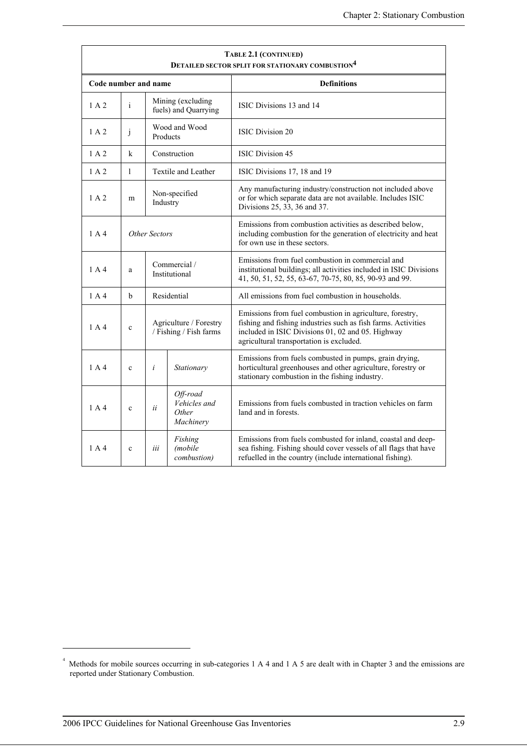|                      | TABLE 2.1 (CONTINUED)<br>DETAILED SECTOR SPLIT FOR STATIONARY COMBUSTION <sup>4</sup> |                                                  |                                                |                                                                                                                                                                                                                            |  |
|----------------------|---------------------------------------------------------------------------------------|--------------------------------------------------|------------------------------------------------|----------------------------------------------------------------------------------------------------------------------------------------------------------------------------------------------------------------------------|--|
| Code number and name |                                                                                       |                                                  |                                                | <b>Definitions</b>                                                                                                                                                                                                         |  |
| 1A2                  | $\mathbf{i}$                                                                          |                                                  | Mining (excluding<br>fuels) and Quarrying      | ISIC Divisions 13 and 14                                                                                                                                                                                                   |  |
| 1 A 2                | j                                                                                     |                                                  | Wood and Wood<br>Products                      | ISIC Division 20                                                                                                                                                                                                           |  |
| 1A2                  | k                                                                                     |                                                  | Construction                                   | <b>ISIC Division 45</b>                                                                                                                                                                                                    |  |
| 1A2                  | 1                                                                                     |                                                  | Textile and Leather                            | ISIC Divisions 17, 18 and 19                                                                                                                                                                                               |  |
| 1A2                  | m                                                                                     | Non-specified<br>Industry                        |                                                | Any manufacturing industry/construction not included above<br>or for which separate data are not available. Includes ISIC<br>Divisions 25, 33, 36 and 37.                                                                  |  |
| 1A4                  | Other Sectors                                                                         |                                                  |                                                | Emissions from combustion activities as described below,<br>including combustion for the generation of electricity and heat<br>for own use in these sectors.                                                               |  |
| 1A4                  | a                                                                                     | Commercial /<br>Institutional                    |                                                | Emissions from fuel combustion in commercial and<br>institutional buildings; all activities included in ISIC Divisions<br>41, 50, 51, 52, 55, 63-67, 70-75, 80, 85, 90-93 and 99.                                          |  |
| 1A4                  | b                                                                                     |                                                  | Residential                                    | All emissions from fuel combustion in households.                                                                                                                                                                          |  |
| 1A4                  | $\mathbf c$                                                                           | Agriculture / Forestry<br>/ Fishing / Fish farms |                                                | Emissions from fuel combustion in agriculture, forestry,<br>fishing and fishing industries such as fish farms. Activities<br>included in ISIC Divisions 01, 02 and 05. Highway<br>agricultural transportation is excluded. |  |
| 1 A 4                | $\mathbf c$                                                                           | i                                                | Stationary                                     | Emissions from fuels combusted in pumps, grain drying,<br>horticultural greenhouses and other agriculture, forestry or<br>stationary combustion in the fishing industry.                                                   |  |
| 1A4                  | $\mathbf c$                                                                           | ii                                               | Off-road<br>Vehicles and<br>Other<br>Machinery | Emissions from fuels combusted in traction vehicles on farm<br>land and in forests.                                                                                                                                        |  |
| 1A4                  | $\mathbf c$                                                                           | iii                                              | Fishing<br><i>(mobile)</i><br>combustion)      | Emissions from fuels combusted for inland, coastal and deep-<br>sea fishing. Fishing should cover vessels of all flags that have<br>refuelled in the country (include international fishing).                              |  |

<sup>4</sup> Methods for mobile sources occurring in sub-categories 1 A 4 and 1 A 5 are dealt with in Chapter 3 and the emissions are reported under Stationary Combustion.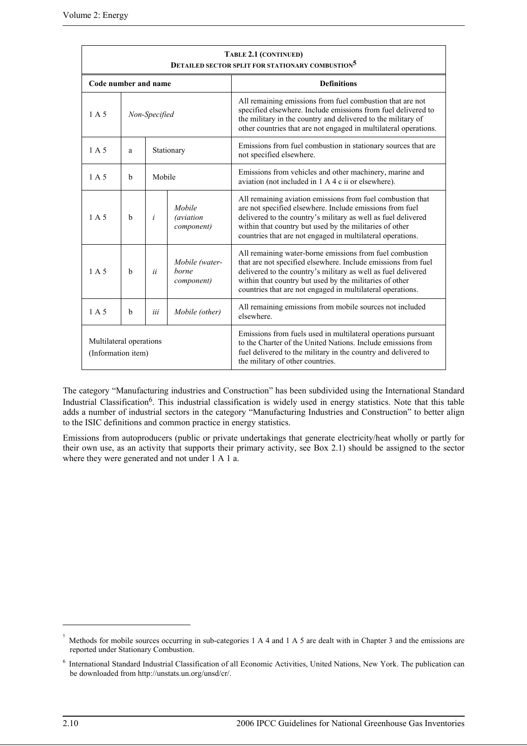|                                               | TABLE 2.1 (CONTINUED)<br>DETAILED SECTOR SPLIT FOR STATIONARY COMBUSTION <sup>5</sup> |            |                                              |                                                                                                                                                                                                                                                                                                                     |  |
|-----------------------------------------------|---------------------------------------------------------------------------------------|------------|----------------------------------------------|---------------------------------------------------------------------------------------------------------------------------------------------------------------------------------------------------------------------------------------------------------------------------------------------------------------------|--|
| Code number and name                          |                                                                                       |            |                                              | <b>Definitions</b>                                                                                                                                                                                                                                                                                                  |  |
| 1 A 5                                         | Non-Specified                                                                         |            |                                              | All remaining emissions from fuel combustion that are not<br>specified elsewhere. Include emissions from fuel delivered to<br>the military in the country and delivered to the military of<br>other countries that are not engaged in multilateral operations.                                                      |  |
| 1 A 5                                         | a                                                                                     | Stationary |                                              | Emissions from fuel combustion in stationary sources that are<br>not specified elsewhere.                                                                                                                                                                                                                           |  |
| 1 A 5                                         | b                                                                                     | Mobile     |                                              | Emissions from vehicles and other machinery, marine and<br>aviation (not included in 1 A 4 c ii or elsewhere).                                                                                                                                                                                                      |  |
| 1 A 5                                         | $\mathbf b$                                                                           | i          | Mobile<br><i>(aviation</i> )<br>component)   | All remaining aviation emissions from fuel combustion that<br>are not specified elsewhere. Include emissions from fuel<br>delivered to the country's military as well as fuel delivered<br>within that country but used by the militaries of other<br>countries that are not engaged in multilateral operations.    |  |
| 1 A 5                                         | b                                                                                     | ii         | Mobile (water-<br><i>horne</i><br>component) | All remaining water-borne emissions from fuel combustion<br>that are not specified elsewhere. Include emissions from fuel<br>delivered to the country's military as well as fuel delivered<br>within that country but used by the militaries of other<br>countries that are not engaged in multilateral operations. |  |
| 1 A 5                                         | b                                                                                     | iii        | Mobile (other)                               | All remaining emissions from mobile sources not included<br>elsewhere.                                                                                                                                                                                                                                              |  |
| Multilateral operations<br>(Information item) |                                                                                       |            |                                              | Emissions from fuels used in multilateral operations pursuant<br>to the Charter of the United Nations. Include emissions from<br>fuel delivered to the military in the country and delivered to<br>the military of other countries.                                                                                 |  |

The category "Manufacturing industries and Construction" has been subdivided using the International Standard Industrial Classification<sup>6</sup>. This industrial classification is widely used in energy statistics. Note that this table adds a number of industrial sectors in the category "Manufacturing Industries and Construction" to better align to the ISIC definitions and common practice in energy statistics.

Emissions from autoproducers (public or private undertakings that generate electricity/heat wholly or partly for their own use, as an activity that supports their primary activity, see Box 2.1) should be assigned to the sector where they were generated and not under 1 A 1 a.

<sup>5</sup> Methods for mobile sources occurring in sub-categories 1 A 4 and 1 A 5 are dealt with in Chapter 3 and the emissions are reported under Stationary Combustion.

<sup>&</sup>lt;sup>6</sup> International Standard Industrial Classification of all Economic Activities, United Nations, New York. The publication can be downloaded from http://unstats.un.org/unsd/cr/.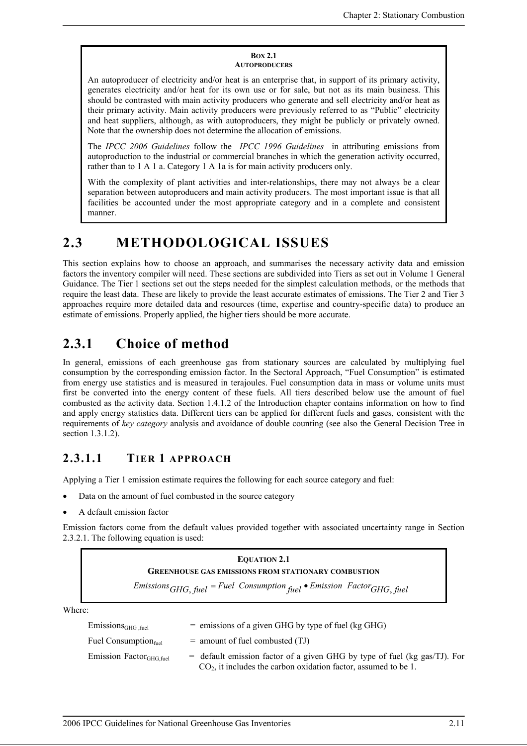#### **BOX 2.1 AUTOPRODUCERS**

An autoproducer of electricity and/or heat is an enterprise that, in support of its primary activity, generates electricity and/or heat for its own use or for sale, but not as its main business. This should be contrasted with main activity producers who generate and sell electricity and/or heat as their primary activity. Main activity producers were previously referred to as "Public" electricity and heat suppliers, although, as with autoproducers, they might be publicly or privately owned. Note that the ownership does not determine the allocation of emissions.

The *IPCC 2006 Guidelines* follow the *IPCC 1996 Guidelines* in attributing emissions from autoproduction to the industrial or commercial branches in which the generation activity occurred, rather than to 1 A 1 a. Category 1 A 1a is for main activity producers only.

With the complexity of plant activities and inter-relationships, there may not always be a clear separation between autoproducers and main activity producers. The most important issue is that all facilities be accounted under the most appropriate category and in a complete and consistent manner.

### **2.3 METHODOLOGICAL ISSUES**

This section explains how to choose an approach, and summarises the necessary activity data and emission factors the inventory compiler will need. These sections are subdivided into Tiers as set out in Volume 1 General Guidance. The Tier 1 sections set out the steps needed for the simplest calculation methods, or the methods that require the least data. These are likely to provide the least accurate estimates of emissions. The Tier 2 and Tier 3 approaches require more detailed data and resources (time, expertise and country-specific data) to produce an estimate of emissions. Properly applied, the higher tiers should be more accurate.

### **2.3.1 Choice of method**

In general, emissions of each greenhouse gas from stationary sources are calculated by multiplying fuel consumption by the corresponding emission factor. In the Sectoral Approach, "Fuel Consumption" is estimated from energy use statistics and is measured in terajoules. Fuel consumption data in mass or volume units must first be converted into the energy content of these fuels. All tiers described below use the amount of fuel combusted as the activity data. Section 1.4.1.2 of the Introduction chapter contains information on how to find and apply energy statistics data. Different tiers can be applied for different fuels and gases, consistent with the requirements of *key category* analysis and avoidance of double counting (see also the General Decision Tree in section 1.3.1.2).

### **2.3.1.1 TIER 1 APPROACH**

Applying a Tier 1 emission estimate requires the following for each source category and fuel:

- Data on the amount of fuel combusted in the source category
- A default emission factor

Emission factors come from the default values provided together with associated uncertainty range in Section 2.3.2.1. The following equation is used:

|                                     | <b>EQUATION 2.1</b><br><b>GREENHOUSE GAS EMISSIONS FROM STATIONARY COMBUSTION</b><br><i>Emissions</i> $GHG$ , fuel = Fuel Consumption fuel • Emission Factor GHG, fuel |
|-------------------------------------|------------------------------------------------------------------------------------------------------------------------------------------------------------------------|
| Where:                              |                                                                                                                                                                        |
| $E$ missions $_{GHG, fuel}$         | $=$ emissions of a given GHG by type of fuel (kg GHG)                                                                                                                  |
| Fuel Consumption <sub>fuel</sub>    | $=$ amount of fuel combusted (TJ)                                                                                                                                      |
| Emission Factor <sub>GHG,fuel</sub> | = default emission factor of a given GHG by type of fuel (kg gas/TJ). For                                                                                              |

 $CO<sub>2</sub>$ , it includes the carbon oxidation factor, assumed to be 1.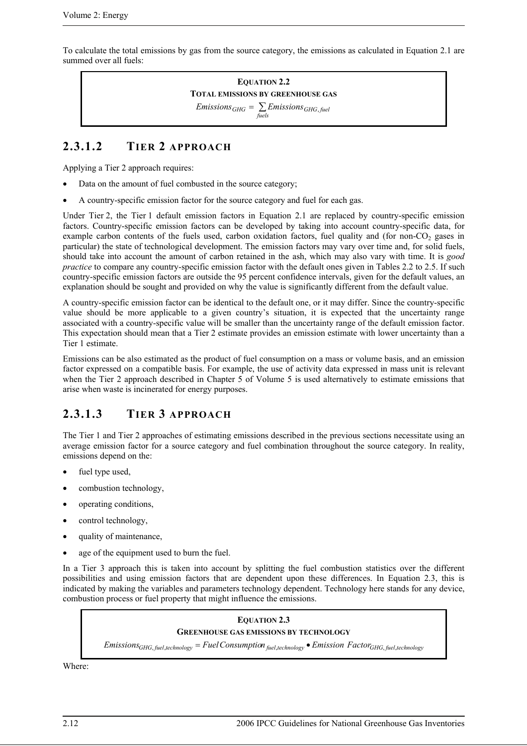To calculate the total emissions by gas from the source category, the emissions as calculated in Equation 2.1 are summed over all fuels:



#### **2.3.1.2 TIER 2 APPROACH**

Applying a Tier 2 approach requires:

- Data on the amount of fuel combusted in the source category;
- A country-specific emission factor for the source category and fuel for each gas.

Under Tier 2, the Tier 1 default emission factors in Equation 2.1 are replaced by country-specific emission factors. Country-specific emission factors can be developed by taking into account country-specific data, for example carbon contents of the fuels used, carbon oxidation factors, fuel quality and (for non-CO $_2$  gases in particular) the state of technological development. The emission factors may vary over time and, for solid fuels, should take into account the amount of carbon retained in the ash, which may also vary with time. It is *good practice* to compare any country-specific emission factor with the default ones given in Tables 2.2 to 2.5. If such country-specific emission factors are outside the 95 percent confidence intervals, given for the default values, an explanation should be sought and provided on why the value is significantly different from the default value.

A country-specific emission factor can be identical to the default one, or it may differ. Since the country-specific value should be more applicable to a given country's situation, it is expected that the uncertainty range associated with a country-specific value will be smaller than the uncertainty range of the default emission factor. This expectation should mean that a Tier 2 estimate provides an emission estimate with lower uncertainty than a Tier 1 estimate.

Emissions can be also estimated as the product of fuel consumption on a mass or volume basis, and an emission factor expressed on a compatible basis. For example, the use of activity data expressed in mass unit is relevant when the Tier 2 approach described in Chapter 5 of Volume 5 is used alternatively to estimate emissions that arise when waste is incinerated for energy purposes.

### **2.3.1.3 TIER 3 APPROACH**

The Tier 1 and Tier 2 approaches of estimating emissions described in the previous sections necessitate using an average emission factor for a source category and fuel combination throughout the source category. In reality, emissions depend on the:

- fuel type used,
- combustion technology,
- operating conditions,
- control technology,
- quality of maintenance,
- age of the equipment used to burn the fuel.

In a Tier 3 approach this is taken into account by splitting the fuel combustion statistics over the different possibilities and using emission factors that are dependent upon these differences. In Equation 2.3, this is indicated by making the variables and parameters technology dependent. Technology here stands for any device, combustion process or fuel property that might influence the emissions.

### **EQUATION 2.3**

**GREENHOUSE GAS EMISSIONS BY TECHNOLOGY**

 $Emissions<sub>GHG</sub>$ *fuel*,*technology* = Fuel Consumption  $_{\text{fuel}}$ ,  $_{\text{technology}}$   $\bullet$  *Emission Factor<sub>GHG</sub>*, *fuel*, *technology* 

Where: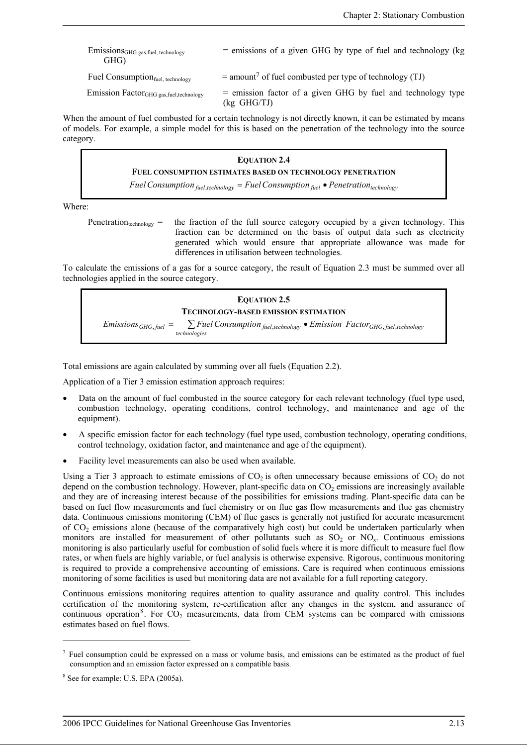| EmissionS <sub>GHG</sub> gas, fuel, technology<br>GHG) | $=$ emissions of a given GHG by type of fuel and technology (kg)      |
|--------------------------------------------------------|-----------------------------------------------------------------------|
| Fuel Consumption <sub>fuel, technology</sub>           | $=$ amount <sup>7</sup> of fuel combusted per type of technology (TJ) |

Emission Factor<sub>GHG gas,fuel,technology</sub> = emission factor of a given GHG by fuel and technology type (kg GHG/TJ)

When the amount of fuel combusted for a certain technology is not directly known, it can be estimated by means of models. For example, a simple model for this is based on the penetration of the technology into the source category.

#### **EQUATION 2.4**

**FUEL CONSUMPTION ESTIMATES BASED ON TECHNOLOGY PENETRATION**

*Fuel Consumption*  $_{\text{fuel}, \text{technology}} = \text{Full} \text{}$  *Consumption*  $_{\text{fuel}} \bullet \text{P}$  *Penetration*<sub>technology</sub>

Where:

Penetration<sub>technology</sub> = the fraction of the full source category occupied by a given technology. This fraction can be determined on the basis of output data such as electricity generated which would ensure that appropriate allowance was made for differences in utilisation between technologies.

To calculate the emissions of a gas for a source category, the result of Equation 2.3 must be summed over all technologies applied in the source category.



Total emissions are again calculated by summing over all fuels (Equation 2.2).

Application of a Tier 3 emission estimation approach requires:

- Data on the amount of fuel combusted in the source category for each relevant technology (fuel type used, combustion technology, operating conditions, control technology, and maintenance and age of the equipment).
- A specific emission factor for each technology (fuel type used, combustion technology, operating conditions, control technology, oxidation factor, and maintenance and age of the equipment).
- Facility level measurements can also be used when available.

Using a Tier 3 approach to estimate emissions of  $CO<sub>2</sub>$  is often unnecessary because emissions of  $CO<sub>2</sub>$  do not depend on the combustion technology. However, plant-specific data on  $CO<sub>2</sub>$  emissions are increasingly available and they are of increasing interest because of the possibilities for emissions trading. Plant-specific data can be based on fuel flow measurements and fuel chemistry or on flue gas flow measurements and flue gas chemistry data. Continuous emissions monitoring (CEM) of flue gases is generally not justified for accurate measurement of CO2 emissions alone (because of the comparatively high cost) but could be undertaken particularly when monitors are installed for measurement of other pollutants such as  $SO_2$  or  $NO<sub>x</sub>$ . Continuous emissions monitoring is also particularly useful for combustion of solid fuels where it is more difficult to measure fuel flow rates, or when fuels are highly variable, or fuel analysis is otherwise expensive. Rigorous, continuous monitoring is required to provide a comprehensive accounting of emissions. Care is required when continuous emissions monitoring of some facilities is used but monitoring data are not available for a full reporting category.

Continuous emissions monitoring requires attention to quality assurance and quality control. This includes certification of the monitoring system, re-certification after any changes in the system, and assurance of continuous operation<sup>8</sup>. For  $CO_2$  measurements, data from CEM systems can be compared with emissions estimates based on fuel flows.

 $<sup>7</sup>$  Fuel consumption could be expressed on a mass or volume basis, and emissions can be estimated as the product of fuel</sup> consumption and an emission factor expressed on a compatible basis.

<sup>8</sup> See for example: U.S. EPA (2005a).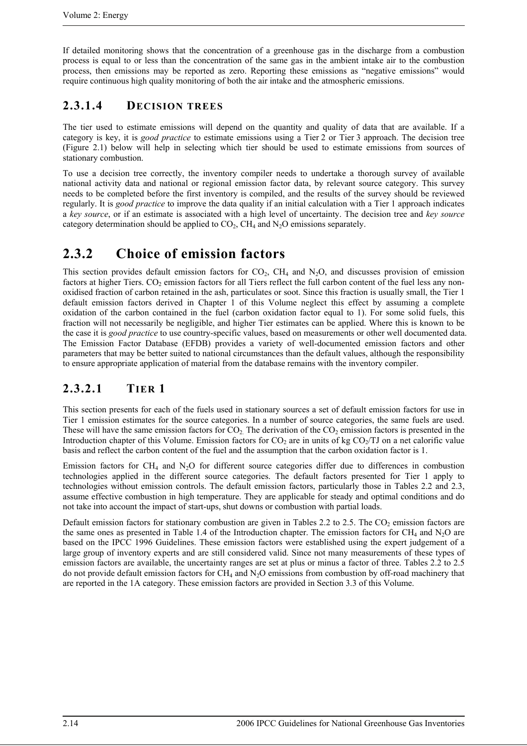If detailed monitoring shows that the concentration of a greenhouse gas in the discharge from a combustion process is equal to or less than the concentration of the same gas in the ambient intake air to the combustion process, then emissions may be reported as zero. Reporting these emissions as "negative emissions" would require continuous high quality monitoring of both the air intake and the atmospheric emissions.

### **2.3.1.4 DECISION TREES**

The tier used to estimate emissions will depend on the quantity and quality of data that are available. If a category is key, it is *good practice* to estimate emissions using a Tier 2 or Tier 3 approach. The decision tree (Figure 2.1) below will help in selecting which tier should be used to estimate emissions from sources of stationary combustion.

To use a decision tree correctly, the inventory compiler needs to undertake a thorough survey of available national activity data and national or regional emission factor data, by relevant source category. This survey needs to be completed before the first inventory is compiled, and the results of the survey should be reviewed regularly. It is *good practice* to improve the data quality if an initial calculation with a Tier 1 approach indicates a *key source*, or if an estimate is associated with a high level of uncertainty. The decision tree and *key source* category determination should be applied to  $CO<sub>2</sub>$ , CH<sub>4</sub> and N<sub>2</sub>O emissions separately.

### **2.3.2 Choice of emission factors**

This section provides default emission factors for  $CO<sub>2</sub>$ ,  $CH<sub>4</sub>$  and N<sub>2</sub>O, and discusses provision of emission factors at higher Tiers.  $CO<sub>2</sub>$  emission factors for all Tiers reflect the full carbon content of the fuel less any nonoxidised fraction of carbon retained in the ash, particulates or soot. Since this fraction is usually small, the Tier 1 default emission factors derived in Chapter 1 of this Volume neglect this effect by assuming a complete oxidation of the carbon contained in the fuel (carbon oxidation factor equal to 1). For some solid fuels, this fraction will not necessarily be negligible, and higher Tier estimates can be applied. Where this is known to be the case it is *good practice* to use country-specific values, based on measurements or other well documented data. The Emission Factor Database (EFDB) provides a variety of well-documented emission factors and other parameters that may be better suited to national circumstances than the default values, although the responsibility to ensure appropriate application of material from the database remains with the inventory compiler.

### **2.3.2.1 TIER 1**

This section presents for each of the fuels used in stationary sources a set of default emission factors for use in Tier 1 emission estimates for the source categories. In a number of source categories, the same fuels are used. These will have the same emission factors for  $CO<sub>2</sub>$ . The derivation of the  $CO<sub>2</sub>$  emission factors is presented in the Introduction chapter of this Volume. Emission factors for  $CO_2$  are in units of kg  $CO_2/TJ$  on a net calorific value basis and reflect the carbon content of the fuel and the assumption that the carbon oxidation factor is 1.

Emission factors for CH<sub>4</sub> and N<sub>2</sub>O for different source categories differ due to differences in combustion technologies applied in the different source categories. The default factors presented for Tier 1 apply to technologies without emission controls. The default emission factors, particularly those in Tables 2.2 and 2.3, assume effective combustion in high temperature. They are applicable for steady and optimal conditions and do not take into account the impact of start-ups, shut downs or combustion with partial loads.

Default emission factors for stationary combustion are given in Tables 2.2 to 2.5. The  $CO<sub>2</sub>$  emission factors are the same ones as presented in Table 1.4 of the Introduction chapter. The emission factors for  $CH_4$  and N<sub>2</sub>O are based on the IPCC 1996 Guidelines. These emission factors were established using the expert judgement of a large group of inventory experts and are still considered valid. Since not many measurements of these types of emission factors are available, the uncertainty ranges are set at plus or minus a factor of three. Tables 2.2 to 2.5 do not provide default emission factors for  $CH_4$  and  $N_2O$  emissions from combustion by off-road machinery that are reported in the 1A category. These emission factors are provided in Section 3.3 of this Volume.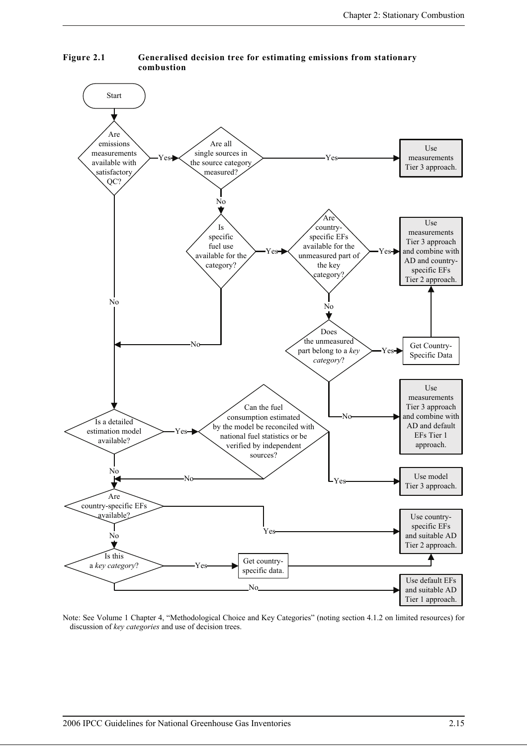

**Figure 2.1 Generalised decision tree for estimating emissions from stationary combustion** 

Note: See Volume 1 Chapter 4, "Methodological Choice and Key Categories" (noting section 4.1.2 on limited resources) for discussion of *key categories* and use of decision trees.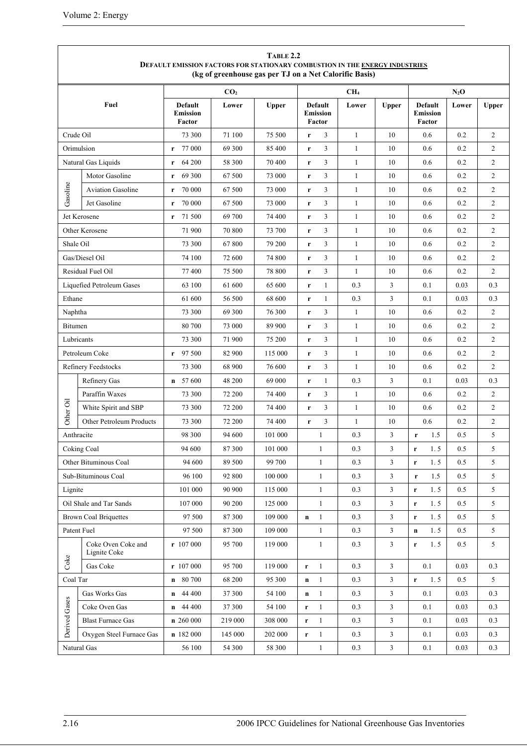|               |                                    | DEFAULT EMISSION FACTORS FOR STATIONARY COMBUSTION IN THE ENERGY INDUSTRIES |                 | TABLE 2.2<br>(kg of greenhouse gas per TJ on a Net Calorific Basis) |                                             |                 |                |                                             |        |                |
|---------------|------------------------------------|-----------------------------------------------------------------------------|-----------------|---------------------------------------------------------------------|---------------------------------------------|-----------------|----------------|---------------------------------------------|--------|----------------|
|               |                                    |                                                                             | CO <sub>2</sub> |                                                                     |                                             | CH <sub>4</sub> |                |                                             | $N_2O$ |                |
|               | Fuel                               | Default<br><b>Emission</b><br>Factor                                        | Lower           | <b>Upper</b>                                                        | <b>Default</b><br><b>Emission</b><br>Factor | Lower           | <b>Upper</b>   | <b>Default</b><br><b>Emission</b><br>Factor | Lower  | <b>Upper</b>   |
| Crude Oil     |                                    | 73 300                                                                      | 71 100          | 75 500                                                              | 3<br>$\mathbf r$                            | $\mathbf{1}$    | 10             | 0.6                                         | 0.2    | 2              |
|               | Orimulsion                         | 77 000<br>$\mathbf{r}$                                                      | 69 300          | 85 400                                                              | 3<br>$\mathbf{r}$                           | $\mathbf{1}$    | 10             | 0.6                                         | 0.2    | $\overline{2}$ |
|               | Natural Gas Liquids                | 64 200<br>r                                                                 | 58 300          | 70 400                                                              | 3<br>$\mathbf{r}$                           | $\mathbf{1}$    | 10             | 0.6                                         | 0.2    | $\overline{2}$ |
|               | Motor Gasoline                     | 69 300<br>$\mathbf{r}$                                                      | 67 500          | 73 000                                                              | 3<br>$\mathbf{r}$                           | $\mathbf{1}$    | 10             | 0.6                                         | 0.2    | $\overline{2}$ |
| Gasoline      | <b>Aviation Gasoline</b>           | 70 000<br>r                                                                 | 67 500          | 73 000                                                              | 3<br>$\mathbf r$                            | $\mathbf{1}$    | 10             | 0.6                                         | 0.2    | $\overline{2}$ |
|               | Jet Gasoline                       | 70 000<br>r                                                                 | 67 500          | 73 000                                                              | 3<br>$\mathbf{r}$                           | $\mathbf{1}$    | 10             | 0.6                                         | 0.2    | $\overline{c}$ |
|               | Jet Kerosene                       | 71 500<br>r                                                                 | 69 700          | 74 400                                                              | 3<br>$\mathbf{r}$                           | $\mathbf{1}$    | 10             | 0.6                                         | 0.2    | $\overline{c}$ |
|               | Other Kerosene                     | 71 900                                                                      | 70 800          | 73 700                                                              | 3<br>$\mathbf{r}$                           | $\mathbf{1}$    | 10             | 0.6                                         | 0.2    | $\overline{2}$ |
| Shale Oil     |                                    | 73 300                                                                      | 67 800          | 79 200                                                              | 3<br>$\mathbf{r}$                           | $\mathbf{1}$    | 10             | 0.6                                         | 0.2    | $\overline{2}$ |
|               | Gas/Diesel Oil                     | 74 100                                                                      | 72 600          | 74 800                                                              | 3<br>$\mathbf{r}$                           | $\mathbf{1}$    | 10             | 0.6                                         | 0.2    | 2              |
|               | Residual Fuel Oil                  | 77 400                                                                      | 75 500          | 78 800                                                              | 3<br>$\mathbf{r}$                           | $\mathbf{1}$    | 10             | 0.6                                         | 0.2    | $\overline{2}$ |
|               | Liquefied Petroleum Gases          | 63 100                                                                      | 61 600          | 65 600                                                              | $\mathbf{1}$<br>$\mathbf r$                 | 0.3             | 3              | 0.1                                         | 0.03   | 0.3            |
| Ethane        |                                    | 61 600                                                                      | 56 500          | 68 600                                                              | $\mathbf{1}$<br>r                           | 0.3             | 3              | 0.1                                         | 0.03   | 0.3            |
| Naphtha       |                                    | 73 300                                                                      | 69 300          | 76 300                                                              | 3<br>$\mathbf{r}$                           | $\mathbf{1}$    | 10             | 0.6                                         | 0.2    | 2              |
| Bitumen       |                                    | 80 700                                                                      | 73 000          | 89 900                                                              | 3<br>$\mathbf{r}$                           | $\mathbf{1}$    | 10             | 0.6                                         | 0.2    | $\overline{c}$ |
| Lubricants    |                                    | 73 300                                                                      | 71 900          | 75 200                                                              | 3<br>$\mathbf{r}$                           | $\mathbf{1}$    | 10             | 0.6                                         | 0.2    | $\overline{2}$ |
|               | Petroleum Coke                     | 97 500<br>$\mathbf{r}$                                                      | 82 900          | 115 000                                                             | 3<br>$\mathbf{r}$                           | $\mathbf{1}$    | 10             | 0.6                                         | 0.2    | $\overline{2}$ |
|               | Refinery Feedstocks                | 73 300                                                                      | 68 900          | 76 600                                                              | 3<br>$\mathbf{r}$                           | $\mathbf{1}$    | 10             | 0.6                                         | 0.2    | $\overline{2}$ |
|               | Refinery Gas                       | n 57 600                                                                    | 48 200          | 69 000                                                              | $\mathbf{1}$<br>$\mathbf{r}$                | 0.3             | 3              | 0.1                                         | 0.03   | 0.3            |
|               | Paraffin Waxes                     | 73 300                                                                      | 72 200          | 74 400                                                              | 3<br>r                                      | $\mathbf{1}$    | 10             | 0.6                                         | 0.2    | $\overline{c}$ |
| Other Oil     | White Spirit and SBP               | 73 300                                                                      | 72 200          | 74 400                                                              | 3<br>$\mathbf{r}$                           | $\mathbf{1}$    | 10             | 0.6                                         | 0.2    | 2              |
|               | Other Petroleum Products           | 73 300                                                                      | 72 200          | 74 400                                                              | 3<br>$\mathbf{r}$                           | $\mathbf{1}$    | 10             | 0.6                                         | 0.2    | $\overline{c}$ |
| Anthracite    |                                    | 98 300                                                                      | 94 600          | 101 000                                                             | 1                                           | 0.3             | 3              | 1.5<br>r                                    | 0.5    | 5              |
|               | Coking Coal                        | 94 600                                                                      | 87 300          | 101 000                                                             | 1                                           | 0.3             | 3              | $\bf r$<br>1.5                              | 0.5    | 5              |
|               | Other Bituminous Coal              | 94 600                                                                      | 89 500          | 99 700                                                              | $\mathbf{1}$                                | 0.3             | $\overline{3}$ | 1.5<br>$\mathbf r$                          | 0.5    | 5              |
|               | Sub-Bituminous Coal                | 96 100                                                                      | 92 800          | 100 000                                                             | $\mathbf{1}$                                | 0.3             | 3              | 1.5<br>$\mathbf r$                          | 0.5    | 5              |
| Lignite       |                                    | 101 000                                                                     | 90 900          | 115 000                                                             | $\mathbf{1}$                                | 0.3             | $\mathfrak{Z}$ | 1.5<br>$\mathbf r$                          | 0.5    | 5              |
|               | Oil Shale and Tar Sands            | 107 000                                                                     | 90 200          | 125 000                                                             | $\mathbf{1}$                                | 0.3             | 3              | 1.5<br>$\mathbf r$                          | 0.5    | 5              |
|               | <b>Brown Coal Briquettes</b>       | 97 500                                                                      | 87 300          | 109 000                                                             | $\mathbf{1}$<br>n                           | 0.3             | 3              | 1.5<br>r                                    | 0.5    | 5              |
| Patent Fuel   |                                    | 97 500                                                                      | 87 300          | 109 000                                                             | $\mathbf{1}$                                | 0.3             | 3              | 1.5<br>$\mathbf n$                          | 0.5    | 5              |
|               | Coke Oven Coke and<br>Lignite Coke | r 107 000                                                                   | 95 700          | 119 000                                                             | $\mathbf{1}$                                | 0.3             | 3              | 1.5<br>$\mathbf r$                          | 0.5    | 5              |
| Coke          | Gas Coke                           | $r$ 107 000                                                                 | 95 700          | 119 000                                                             | $\mathbf{1}$<br>$\mathbf r$                 | 0.3             | 3              | 0.1                                         | 0.03   | 0.3            |
| Coal Tar      |                                    | n 80 700                                                                    | 68 200          | 95 300                                                              | $\mathbf{1}$<br>$\mathbf n$                 | 0.3             | 3              | 1.5<br>$\mathbf r$                          | 0.5    | 5              |
|               | Gas Works Gas                      | $n \quad 44\,400$                                                           | 37 300          | 54 100                                                              | $\mathbf{1}$<br>$\mathbf n$                 | 0.3             | 3              | $0.1\,$                                     | 0.03   | 0.3            |
| Derived Gases | Coke Oven Gas                      | $n \quad 44\,400$                                                           | 37 300          | 54 100                                                              | $\mathbf{1}$<br>$\mathbf r$                 | 0.3             | 3              | 0.1                                         | 0.03   | 0.3            |
|               | <b>Blast Furnace Gas</b>           | n 260 000                                                                   | 219 000         | 308 000                                                             | $\mathbf{1}$<br>$\mathbf r$                 | 0.3             | $\mathfrak{Z}$ | 0.1                                         | 0.03   | 0.3            |
|               | Oxygen Steel Furnace Gas           | n 182 000                                                                   | 145 000         | 202 000                                                             | $\mathbf{1}$<br>$\mathbf r$                 | 0.3             | 3              | 0.1                                         | 0.03   | 0.3            |
|               | Natural Gas                        | 56 100                                                                      | 54 300          | 58 300                                                              | $\mathbf{1}$                                | 0.3             | $\mathfrak{Z}$ | 0.1                                         | 0.03   | 0.3            |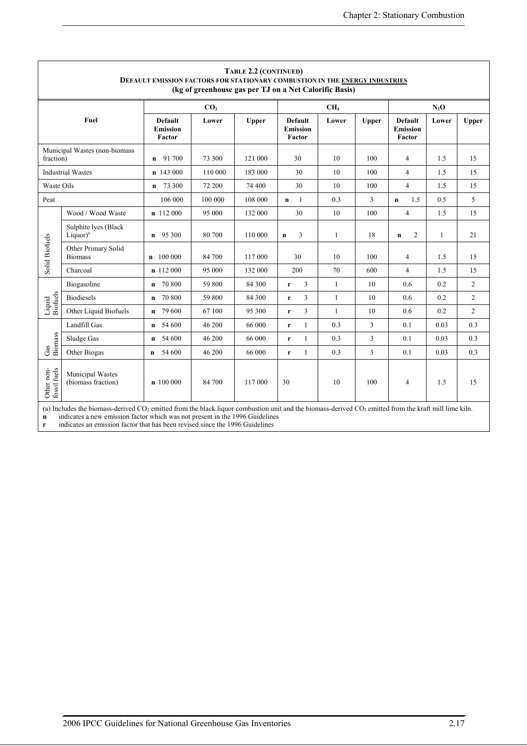|                            |                                                                                                                                                                                                                                                                                                                             | DEFAULT EMISSION FACTORS FOR STATIONARY COMBUSTION IN THE ENERGY INDUSTRIES |                 | TABLE 2.2 (CONTINUED) |                                                        |                 |              |                                             |              |                |
|----------------------------|-----------------------------------------------------------------------------------------------------------------------------------------------------------------------------------------------------------------------------------------------------------------------------------------------------------------------------|-----------------------------------------------------------------------------|-----------------|-----------------------|--------------------------------------------------------|-----------------|--------------|---------------------------------------------|--------------|----------------|
|                            |                                                                                                                                                                                                                                                                                                                             |                                                                             | CO <sub>2</sub> |                       | (kg of greenhouse gas per TJ on a Net Calorific Basis) | CH <sub>4</sub> |              |                                             | $N_2O$       |                |
|                            | Fuel                                                                                                                                                                                                                                                                                                                        | <b>Default</b><br><b>Emission</b><br>Factor                                 | Lower           | <b>Upper</b>          | <b>Default</b><br><b>Emission</b><br>Factor            | Lower           | <b>Upper</b> | <b>Default</b><br><b>Emission</b><br>Factor | Lower        | <b>Upper</b>   |
| fraction)                  | Municipal Wastes (non-biomass                                                                                                                                                                                                                                                                                               | 91 700<br>$\mathbf n$                                                       | 73 300          | 121 000               | 30                                                     | 10              | 100          | $\overline{4}$                              | 1.5          | 15             |
|                            | <b>Industrial Wastes</b>                                                                                                                                                                                                                                                                                                    | n 143 000                                                                   | 110 000         | 183 000               | 30                                                     | 10              | 100          | $\overline{4}$                              | 1.5          | 15             |
| Waste Oils                 |                                                                                                                                                                                                                                                                                                                             | 73 300<br>$\mathbf n$                                                       | 72 200          | 74 400                | 30                                                     | 10              | 100          | $\overline{4}$                              | 1.5          | 15             |
| Peat                       |                                                                                                                                                                                                                                                                                                                             | 106 000                                                                     | 100 000         | 108 000               | -1<br>$\mathbf n$                                      | 0.3             | 3            | 1.5<br>$\mathbf n$                          | 0.5          | 5              |
|                            | Wood / Wood Waste                                                                                                                                                                                                                                                                                                           | n 112 000                                                                   | 95 000          | 132 000               | 30                                                     | 10              | 100          | $\overline{4}$                              | 1.5          | 15             |
|                            | Sulphite lyes (Black<br>Liquor) <sup>a</sup>                                                                                                                                                                                                                                                                                | 95 300<br>$\mathbf n$                                                       | 80 700          | 110 000               | 3<br>$\mathbf n$                                       | $\mathbf{1}$    | 18           | 2<br>$\mathbf n$                            | $\mathbf{1}$ | 21             |
| <b>Solid Biofuels</b>      | Other Primary Solid<br><b>Biomass</b>                                                                                                                                                                                                                                                                                       | $n \quad 100000$                                                            | 84 700          | 117 000               | 30                                                     | 10              | 100          | $\overline{4}$                              | 1.5          | 15             |
|                            | Charcoal                                                                                                                                                                                                                                                                                                                    | n 112 000                                                                   | 95 000          | 132 000               | 200                                                    | 70              | 600          | $\overline{4}$                              | 1.5          | 15             |
|                            | Biogasoline                                                                                                                                                                                                                                                                                                                 | 70 800<br>$\mathbf n$                                                       | 59 800          | 84 300                | 3<br>r                                                 | $\mathbf{1}$    | 10           | 0.6                                         | 0.2          | $\overline{c}$ |
| Biofuels                   | <b>Biodiesels</b>                                                                                                                                                                                                                                                                                                           | n 70 800                                                                    | 59 800          | 84 300                | 3<br>r                                                 | $\mathbf{1}$    | 10           | 0.6                                         | 0.2          | $\overline{c}$ |
| Liquid                     | Other Liquid Biofuels                                                                                                                                                                                                                                                                                                       | $n \quad 79600$                                                             | 67 100          | 95 300                | 3<br>r                                                 | $\mathbf{1}$    | 10           | 0.6                                         | 0.2          | $\overline{2}$ |
|                            | Landfill Gas                                                                                                                                                                                                                                                                                                                | n 54 600                                                                    | 46 200          | 66 000                | $\mathbf{1}$<br>r                                      | 0.3             | 3            | 0.1                                         | 0.03         | 0.3            |
| <b>Biomass</b>             | Sludge Gas                                                                                                                                                                                                                                                                                                                  | 54 600<br>$\mathbf n$                                                       | 46 200          | 66 000                | $\mathbf{1}$<br>r                                      | 0.3             | 3            | 0.1                                         | 0.03         | 0.3            |
| Gas                        | Other Biogas                                                                                                                                                                                                                                                                                                                | 54 600<br>$\mathbf{n}$                                                      | 46 200          | 66 000                | 1<br>r                                                 | 0.3             | 3            | 0.1                                         | 0.03         | 0.3            |
| fossil fuels<br>Other non- | Municipal Wastes<br>(biomass fraction)                                                                                                                                                                                                                                                                                      | $n$ 100 000                                                                 | 84 700          | 117 000               | 30                                                     | 10              | 100          | $\overline{4}$                              | 1.5          | 15             |
| $\mathbf n$<br>r           | (a) Includes the biomass-derived $CO_2$ emitted from the black liquor combustion unit and the biomass-derived $CO_2$ emitted from the kraft mill lime kiln.<br>indicates a new emission factor which was not present in the 1996 Guidelines<br>indicates an emission factor that has been revised since the 1996 Guidelines |                                                                             |                 |                       |                                                        |                 |              |                                             |              |                |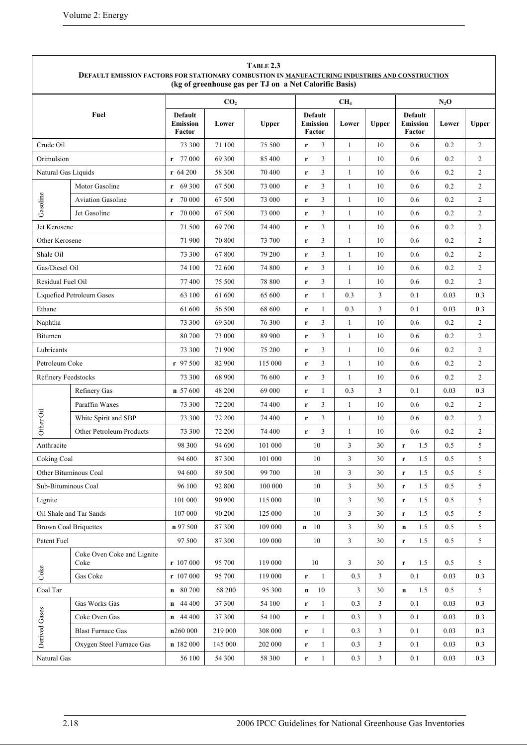|                              | DEFAULT EMISSION FACTORS FOR STATIONARY COMBUSTION IN MANUFACTURING INDUSTRIES AND CONSTRUCTION |                                             |                 | TABLE 2.3                                              |                                             |                 |                |                                      |        |                |
|------------------------------|-------------------------------------------------------------------------------------------------|---------------------------------------------|-----------------|--------------------------------------------------------|---------------------------------------------|-----------------|----------------|--------------------------------------|--------|----------------|
|                              |                                                                                                 |                                             |                 | (kg of greenhouse gas per TJ on a Net Calorific Basis) |                                             |                 |                |                                      |        |                |
|                              |                                                                                                 |                                             | CO <sub>2</sub> |                                                        |                                             | CH <sub>4</sub> |                |                                      | $N_2O$ |                |
|                              | Fuel                                                                                            | <b>Default</b><br><b>Emission</b><br>Factor | Lower           | <b>Upper</b>                                           | <b>Default</b><br><b>Emission</b><br>Factor | Lower           | <b>Upper</b>   | <b>Default</b><br>Emission<br>Factor | Lower  | <b>Upper</b>   |
| Crude Oil                    |                                                                                                 | 73 300                                      | 71 100          | 75 500                                                 | 3<br>$\mathbf r$                            | $\mathbf{1}$    | 10             | 0.6                                  | 0.2    | 2              |
| Orimulsion                   |                                                                                                 | $r$ 77 000                                  | 69 300          | 85 400                                                 | 3<br>r                                      | $\mathbf{1}$    | 10             | 0.6                                  | 0.2    | $\overline{2}$ |
| Natural Gas Liquids          |                                                                                                 | $r$ 64 200                                  | 58 300          | 70 400                                                 | 3<br>$\mathbf r$                            | $\mathbf{1}$    | 10             | 0.6                                  | 0.2    | $\overline{2}$ |
|                              | Motor Gasoline                                                                                  | r 69300                                     | 67 500          | 73 000                                                 | 3<br>$\mathbf r$                            | 1               | 10             | 0.6                                  | 0.2    | 2              |
| Gasoline                     | <b>Aviation Gasoline</b>                                                                        | 70 000<br>r                                 | 67 500          | 73 000                                                 | 3<br>$\mathbf r$                            | $\mathbf{1}$    | 10             | 0.6                                  | 0.2    | $\overline{2}$ |
|                              | Jet Gasoline                                                                                    | $r$ 70 000                                  | 67 500          | 73 000                                                 | 3<br>$\mathbf r$                            | $\mathbf{1}$    | 10             | 0.6                                  | 0.2    | 2              |
| Jet Kerosene                 |                                                                                                 | 71 500                                      | 69 700          | 74 400                                                 | 3<br>$\mathbf r$                            | $\mathbf{1}$    | 10             | 0.6                                  | 0.2    | $\overline{2}$ |
| Other Kerosene               |                                                                                                 | 71 900                                      | 70 800          | 73 700                                                 | 3<br>$\mathbf r$                            | $\mathbf{1}$    | 10             | 0.6                                  | 0.2    | 2              |
| Shale Oil                    |                                                                                                 | 73 300                                      | 67800           | 79 200                                                 | 3<br>$\mathbf r$                            | $\mathbf{1}$    | 10             | 0.6                                  | 0.2    | $\overline{2}$ |
| Gas/Diesel Oil               |                                                                                                 | 74 100                                      | 72 600          | 74 800                                                 | 3<br>$\mathbf r$                            | $\mathbf{1}$    | 10             | 0.6                                  | 0.2    | $\overline{2}$ |
| Residual Fuel Oil            |                                                                                                 | 77400                                       | 75 500          | 78 800                                                 | 3<br>$\mathbf r$                            | $\mathbf{1}$    | 10             | 0.6                                  | 0.2    | $\overline{2}$ |
|                              | Liquefied Petroleum Gases                                                                       | 63 100                                      | 61 600          | 65 600                                                 | 1<br>$\mathbf r$                            | 0.3             | 3              | 0.1                                  | 0.03   | 0.3            |
| Ethane                       |                                                                                                 | 61 600                                      | 56 500          | 68 600                                                 | 1<br>$\mathbf r$                            | 0.3             | 3              | 0.1                                  | 0.03   | 0.3            |
| Naphtha                      |                                                                                                 | 73 300                                      | 69 300          | 76 300                                                 | 3<br>$\mathbf r$                            | $\mathbf{1}$    | 10             | 0.6                                  | 0.2    | 2              |
| Bitumen                      |                                                                                                 | 80 700                                      | 73 000          | 89 900                                                 | 3<br>$\mathbf r$                            | $\mathbf{1}$    | 10             | 0.6                                  | 0.2    | 2              |
| Lubricants                   |                                                                                                 | 73 300                                      | 71 900          | 75 200                                                 | 3<br>$\mathbf r$                            | $\mathbf{1}$    | 10             | 0.6                                  | 0.2    | $\overline{2}$ |
| Petroleum Coke               |                                                                                                 | $r$ 97 500                                  | 82 900          | 115 000                                                | 3<br>$\mathbf r$                            | $\mathbf{1}$    | 10             | 0.6                                  | 0.2    | 2              |
| Refinery Feedstocks          |                                                                                                 | 73 300                                      | 68 900          | 76 600                                                 | 3<br>$\mathbf r$                            | $\mathbf{1}$    | 10             | 0.6                                  | 0.2    | 2              |
|                              | Refinery Gas                                                                                    | n 57 600                                    | 48 200          | 69 000                                                 | 1<br>$\mathbf r$                            | 0.3             | 3              | 0.1                                  | 0.03   | 0.3            |
|                              | Paraffin Waxes                                                                                  | 73 300                                      | 72 200          | 74 400                                                 | 3<br>$\mathbf r$                            | $\mathbf{1}$    | 10             | 0.6                                  | 0.2    | 2              |
| Other Oil                    | White Spirit and SBP                                                                            | 73 300                                      | 72 200          | 74 400                                                 | 3<br>r                                      | $\mathbf{1}$    | 10             | 0.6                                  | 0.2    | 2              |
|                              | Other Petroleum Products                                                                        | 73 300                                      | 72 200          | 74 400                                                 | 3<br>$\mathbf r$                            | $\mathbf{1}$    | 10             | 0.6                                  | 0.2    | 2              |
| Anthracite                   |                                                                                                 | 98 300                                      | 94 600          | 101000                                                 | 10                                          | 3               | 30             | 1.5<br>r                             | 0.5    | 5              |
| Coking Coal                  |                                                                                                 | 94 600                                      | 87 300          | 101 000                                                | $10\,$                                      | $\sqrt{3}$      | 30             | r<br>1.5                             | 0.5    | 5              |
|                              | Other Bituminous Coal                                                                           | 94 600                                      | 89 500          | 99 700                                                 | 10                                          | $\mathfrak{Z}$  | 30             | 1.5<br>r                             | 0.5    | 5              |
| Sub-Bituminous Coal          |                                                                                                 | 96 100                                      | 92 800          | 100 000                                                | $10\,$                                      | 3               | 30             | 1.5<br>r                             | 0.5    | 5              |
| Lignite                      |                                                                                                 | 101 000                                     | 90 900          | 115 000                                                | 10                                          | $\mathfrak{Z}$  | 30             | 1.5<br>r                             | 0.5    | 5              |
|                              | Oil Shale and Tar Sands                                                                         | 107 000                                     | 90 200          | 125 000                                                | 10                                          | $\overline{3}$  | 30             | 1.5<br>r                             | 0.5    | 5              |
| <b>Brown Coal Briquettes</b> |                                                                                                 | n 97 500                                    | 87 300          | 109 000                                                | $n \quad 10$                                | $\mathfrak{Z}$  | 30             | 1.5<br>$\mathbf n$                   | 0.5    | 5              |
| Patent Fuel                  |                                                                                                 | 97 500                                      | 87 300          | 109 000                                                | $10\,$                                      | $\overline{3}$  | 30             | 1.5<br>r                             | 0.5    | 5              |
|                              | Coke Oven Coke and Lignite<br>Coke                                                              | $r$ 107 000                                 | 95 700          | 119 000                                                | 10                                          | $\mathfrak{Z}$  | 30             | 1.5<br>r                             | 0.5    | 5              |
| Coke                         | Gas Coke                                                                                        | $r$ 107 000                                 | 95 700          | 119 000                                                | $\mathbf{1}$<br>$\mathbf r$                 | 0.3             | 3              | $0.1\,$                              | 0.03   | 0.3            |
| Coal Tar                     |                                                                                                 | n 80 700                                    | 68 200          | 95 300                                                 | 10<br>$\mathbf n$                           | 3               | 30             | 1.5<br>n                             | 0.5    | 5              |
|                              | Gas Works Gas                                                                                   | n 44 400                                    | 37 300          | 54 100                                                 | $\mathbf{1}$<br>$\mathbf r$                 | 0.3             | $\overline{3}$ | 0.1                                  | 0.03   | 0.3            |
|                              | Coke Oven Gas                                                                                   | $n \quad 44 \quad 400$                      | 37 300          | 54 100                                                 | $\mathbf{1}$<br>$\mathbf r$                 | 0.3             | 3              | 0.1                                  | 0.03   | 0.3            |
| Derived Gases                | <b>Blast Furnace Gas</b>                                                                        | n260 000                                    | 219 000         | 308 000                                                | $\mathbf{1}$<br>$\mathbf r$                 | 0.3             | $\overline{3}$ | 0.1                                  | 0.03   | 0.3            |
|                              | Oxygen Steel Furnace Gas                                                                        | n 182 000                                   | 145 000         | 202 000                                                | $\mathbf{1}$<br>$\mathbf r$                 | 0.3             | 3              | 0.1                                  | 0.03   | 0.3            |
| Natural Gas                  |                                                                                                 | 56 100                                      | 54 300          | 58 300                                                 | $\mathbf{1}$<br>r                           | 0.3             | $\mathfrak{Z}$ | 0.1                                  | 0.03   | 0.3            |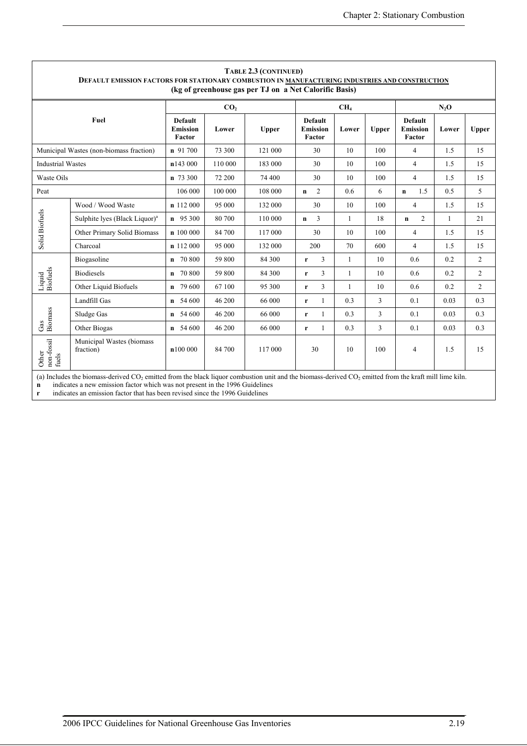|                              | DEFAULT EMISSION FACTORS FOR STATIONARY COMBUSTION IN MANUFACTURING INDUSTRIES AND CONSTRUCTION                                                       |                                             |                 | TABLE 2.3 (CONTINUED)<br>(kg of greenhouse gas per TJ on a Net Calorific Basis) |                                             |                 |              |                                             |        |                |
|------------------------------|-------------------------------------------------------------------------------------------------------------------------------------------------------|---------------------------------------------|-----------------|---------------------------------------------------------------------------------|---------------------------------------------|-----------------|--------------|---------------------------------------------|--------|----------------|
|                              |                                                                                                                                                       |                                             | CO <sub>2</sub> |                                                                                 |                                             | CH <sub>4</sub> |              |                                             | $N_2O$ |                |
|                              | Fuel                                                                                                                                                  | <b>Default</b><br><b>Emission</b><br>Factor | Lower           | <b>Upper</b>                                                                    | <b>Default</b><br><b>Emission</b><br>Factor | Lower           | <b>Upper</b> | <b>Default</b><br><b>Emission</b><br>Factor | Lower  | <b>Upper</b>   |
|                              | Municipal Wastes (non-biomass fraction)                                                                                                               | n 91 700                                    | 73 300          | 121 000                                                                         | 30                                          | 10              | 100          | $\overline{4}$                              | 1.5    | 15             |
| <b>Industrial Wastes</b>     |                                                                                                                                                       | n143 000                                    | 110 000         | 183 000                                                                         | 30                                          | 10              | 100          | $\overline{4}$                              | 1.5    | 15             |
| Waste Oils                   |                                                                                                                                                       | n 73 300                                    | 72 200          | 74 400                                                                          | 30                                          | 10              | 100          | $\overline{4}$                              | 1.5    | 15             |
| Peat                         |                                                                                                                                                       | 106 000                                     | 100 000         | 108 000                                                                         | 2<br>$\mathbf n$                            | 0.6             | 6            | 1.5<br>$\mathbf n$                          | 0.5    | 5              |
|                              | Wood / Wood Waste                                                                                                                                     | n 112 000                                   | 95 000          | 132 000                                                                         | 30                                          | 10              | 100          | $\overline{4}$                              | 1.5    | 15             |
| <b>Solid Biofuels</b>        | Sulphite lyes (Black Liquor) <sup>a</sup>                                                                                                             | n 95 300                                    | 80 700          | 110 000                                                                         | 3<br>$\mathbf n$                            | $\mathbf{1}$    | 18           | $\overline{c}$<br>$\mathbf n$               | 1      | 21             |
|                              | Other Primary Solid Biomass                                                                                                                           | n 100000                                    | 84 700          | 117 000                                                                         | 30                                          | 10              | 100          | $\overline{4}$                              | 1.5    | 15             |
|                              | Charcoal                                                                                                                                              | n 112 000                                   | 95 000          | 132 000                                                                         | 200                                         | 70              | 600          | $\overline{4}$                              | 1.5    | 15             |
|                              | Biogasoline                                                                                                                                           | n 70 800                                    | 59 800          | 84 300                                                                          | 3<br>r                                      | $\mathbf{1}$    | 10           | 0.6                                         | 0.2    | $\overline{2}$ |
| <b>Biofuels</b>              | <b>Biodiesels</b>                                                                                                                                     | $n \quad 70\,800$                           | 59 800          | 84 300                                                                          | 3<br>r                                      | $\mathbf{1}$    | 10           | 0.6                                         | 0.2    | $\overline{2}$ |
| Liquid                       | Other Liquid Biofuels                                                                                                                                 | $n \quad 79600$                             | 67 100          | 95 300                                                                          | 3<br>r                                      | 1               | 10           | 0.6                                         | 0.2    | $\overline{2}$ |
|                              | Landfill Gas                                                                                                                                          | $n \quad 54600$                             | 46 200          | 66 000                                                                          | 1<br>r                                      | 0.3             | 3            | 0.1                                         | 0.03   | 0.3            |
| Gas<br>Biomass               | Sludge Gas                                                                                                                                            | $n \quad 54600$                             | 46 200          | 66 000                                                                          | 1<br>r                                      | 0.3             | 3            | 0.1                                         | 0.03   | 0.3            |
|                              | Other Biogas                                                                                                                                          | $n \quad 54600$                             | 46 200          | 66 000                                                                          | 1<br>r                                      | 0.3             | 3            | 0.1                                         | 0.03   | 0.3            |
| non-fossil<br>fuels<br>Other | Municipal Wastes (biomass<br>fraction)                                                                                                                | n100000                                     | 84 700          | 117 000                                                                         | 30                                          | 10              | 100          | $\overline{4}$                              | 1.5    | 15             |
|                              | (a) Includes the higmese derived CO, emitted from the block ligner combustion unit and the higmese derived CO, emitted from the livel mill line lilly |                                             |                 |                                                                                 |                                             |                 |              |                                             |        |                |

(a) Includes the biomass-derived  $CO_2$  emitted from the black liquor combustion unit and the biomass-derived  $CO_2$  emitted from the kraft mill lime kiln.

**n** indicates a new emission factor which was not present in the 1996 Guidelines **r indicates an emission factor that has been revised since the 1996 Guidelines**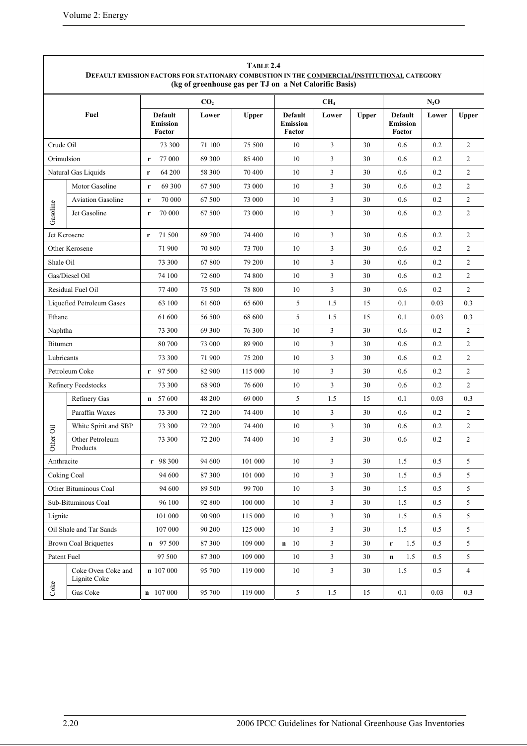|                      | DEFAULT EMISSION FACTORS FOR STATIONARY COMBUSTION IN THE COMMERCIAL/INSTITUTIONAL CATEGORY |                                      |                 | TABLE 2.4<br>(kg of greenhouse gas per TJ on a Net Calorific Basis) |                                             |                 |              |                                      |        |                |
|----------------------|---------------------------------------------------------------------------------------------|--------------------------------------|-----------------|---------------------------------------------------------------------|---------------------------------------------|-----------------|--------------|--------------------------------------|--------|----------------|
|                      |                                                                                             |                                      | CO <sub>2</sub> |                                                                     |                                             | CH <sub>4</sub> |              |                                      | $N_2O$ |                |
|                      | Fuel                                                                                        | <b>Default</b><br>Emission<br>Factor | Lower           | <b>Upper</b>                                                        | <b>Default</b><br><b>Emission</b><br>Factor | Lower           | <b>Upper</b> | <b>Default</b><br>Emission<br>Factor | Lower  | <b>Upper</b>   |
| Crude Oil            |                                                                                             | 73 300                               | 71 100          | 75 500                                                              | 10                                          | 3               | 30           | 0.6                                  | 0.2    | $\overline{c}$ |
| Orimulsion           |                                                                                             | 77 000<br>r                          | 69 300          | 85 400                                                              | 10                                          | 3               | 30           | 0.6                                  | 0.2    | $\overline{c}$ |
|                      | Natural Gas Liquids                                                                         | 64 200<br>$\mathbf r$                | 58 300          | 70 400                                                              | 10                                          | 3               | 30           | 0.6                                  | 0.2    | $\overline{c}$ |
|                      | Motor Gasoline                                                                              | 69 300<br>r                          | 67 500          | 73 000                                                              | 10                                          | 3               | 30           | 0.6                                  | 0.2    | $\overline{c}$ |
|                      | <b>Aviation Gasoline</b>                                                                    | 70 000<br>r                          | 67 500          | 73 000                                                              | 10                                          | 3               | 30           | 0.6                                  | 0.2    | $\overline{2}$ |
| Gasoline             | Jet Gasoline                                                                                | 70 000<br>r                          | 67 500          | 73 000                                                              | 10                                          | 3               | 30           | 0.6                                  | 0.2    | $\overline{c}$ |
|                      | Jet Kerosene                                                                                | 71 500<br>r                          | 69 700          | 74 400                                                              | 10                                          | 3               | 30           | 0.6                                  | 0.2    | $\overline{c}$ |
|                      | Other Kerosene                                                                              | 71 900                               | 70 800          | 73 700                                                              | 10                                          | 3               | 30           | 0.6                                  | 0.2    | $\overline{c}$ |
| Shale Oil            |                                                                                             | 73 300                               | 67800           | 79 200                                                              | 10                                          | 3               | 30           | 0.6                                  | 0.2    | $\overline{c}$ |
|                      | Gas/Diesel Oil                                                                              | 74 100                               | 72 600          | 74 800                                                              | 10                                          | 3               | 30           | 0.6                                  | 0.2    | $\overline{c}$ |
|                      | Residual Fuel Oil                                                                           | 77400                                | 75 500          | 78 800                                                              | 10                                          | $\mathfrak{Z}$  | 30           | 0.6                                  | 0.2    | $\overline{2}$ |
|                      | Liquefied Petroleum Gases                                                                   | 63 100                               | 61 600          | 65 600                                                              | 5                                           | 1.5             | 15           | 0.1                                  | 0.03   | 0.3            |
| Ethane               |                                                                                             | 61 600                               | 56 500          | 68 600                                                              | 5                                           | 1.5             | 15           | 0.1                                  | 0.03   | 0.3            |
| Naphtha              |                                                                                             | 73 300                               | 69 300          | 76 300                                                              | 10                                          | $\mathfrak{Z}$  | 30           | 0.6                                  | 0.2    | $\overline{c}$ |
| Bitumen              |                                                                                             | 80 700                               | 73 000          | 89 900                                                              | 10                                          | 3               | 30           | 0.6                                  | 0.2    | 2              |
| Lubricants           |                                                                                             | 73 300                               | 71 900          | 75 200                                                              | 10                                          | 3               | 30           | 0.6                                  | 0.2    | $\overline{c}$ |
|                      | Petroleum Coke                                                                              | 97 500<br>r                          | 82 900          | 115 000                                                             | 10                                          | 3               | 30           | 0.6                                  | 0.2    | $\overline{c}$ |
|                      | Refinery Feedstocks                                                                         | 73 300                               | 68 900          | 76 600                                                              | 10                                          | 3               | 30           | 0.6                                  | 0.2    | 2              |
|                      | Refinery Gas                                                                                | $n \quad 57600$                      | 48 200          | 69 000                                                              | 5                                           | 1.5             | 15           | 0.1                                  | 0.03   | 0.3            |
|                      | Paraffin Waxes                                                                              | 73 300                               | 72 200          | 74 400                                                              | 10                                          | $\overline{3}$  | 30           | 0.6                                  | 0.2    | $\overline{2}$ |
|                      | White Spirit and SBP                                                                        | 73 300                               | 72 200          | 74 400                                                              | 10                                          | 3               | 30           | 0.6                                  | 0.2    | 2              |
| Other <sub>Oil</sub> | Other Petroleum<br>Products                                                                 | 73 300                               | 72 200          | 74 400                                                              | 10                                          | 3               | 30           | 0.6                                  | 0.2    | $\overline{2}$ |
| Anthracite           |                                                                                             | r 98 300                             | 94 600          | 101 000                                                             | 10                                          | 3               | 30           | 1.5                                  | 0.5    | 5              |
| Coking Coal          |                                                                                             | 94 600                               | 87 300          | 101 000                                                             | 10                                          | $\mathfrak{Z}$  | 30           | 1.5                                  | 0.5    | 5              |
|                      | Other Bituminous Coal                                                                       | 94 600                               | 89 500          | 99 700                                                              | 10                                          | 3               | 30           | 1.5                                  | 0.5    | 5              |
|                      | Sub-Bituminous Coal                                                                         | 96 100                               | 92 800          | 100 000                                                             | $10\,$                                      | $\mathfrak{Z}$  | 30           | 1.5                                  | 0.5    | 5              |
| Lignite              |                                                                                             | 101 000                              | 90 900          | 115 000                                                             | $10\,$                                      | 3               | 30           | 1.5                                  | 0.5    | 5              |
|                      | Oil Shale and Tar Sands                                                                     | 107 000                              | 90 200          | 125 000                                                             | $10\,$                                      | $\mathfrak{Z}$  | 30           | $1.5\,$                              | 0.5    | 5              |
|                      | <b>Brown Coal Briquettes</b>                                                                | 97 500<br>n                          | 87 300          | 109 000                                                             | $n \quad 10$                                | 3               | 30           | 1.5<br>r                             | 0.5    | 5              |
| Patent Fuel          |                                                                                             | 97 500                               | 87 300          | 109 000                                                             | $10\,$                                      | $\mathfrak{Z}$  | 30           | 1.5<br>$\mathbf n$                   | 0.5    | 5              |
|                      | Coke Oven Coke and<br>Lignite Coke                                                          | n 107 000                            | 95 700          | 119 000                                                             | 10                                          | 3               | 30           | 1.5                                  | 0.5    | 4              |
| Coke                 | Gas Coke                                                                                    | $n$ 107 000                          | 95 700          | 119 000                                                             | $\sqrt{5}$                                  | 1.5             | 15           | $0.1\,$                              | 0.03   | 0.3            |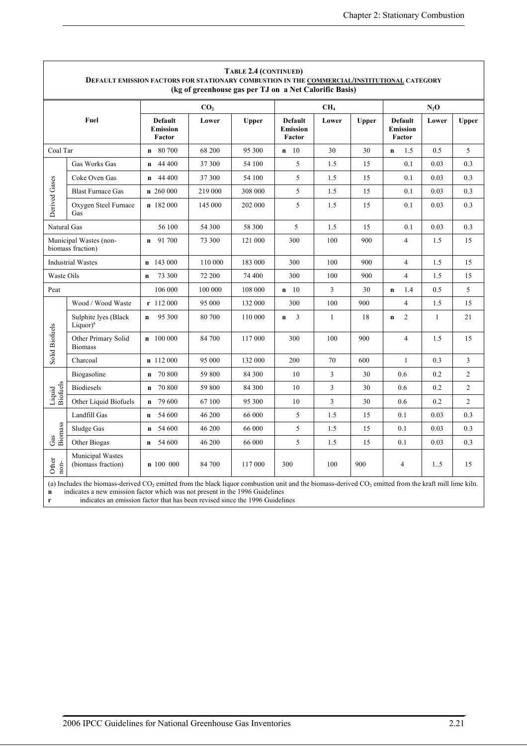٦

|                           | DEFAULT EMISSION FACTORS FOR STATIONARY COMBUSTION IN THE COMMERCIAL/INSTITUTIONAL CATEGORY |                                             | (kg of greenhouse gas per TJ on a Net Calorific Basis) | TABLE 2.4 (CONTINUED) |                                             |                 |              |                                             |              |                |
|---------------------------|---------------------------------------------------------------------------------------------|---------------------------------------------|--------------------------------------------------------|-----------------------|---------------------------------------------|-----------------|--------------|---------------------------------------------|--------------|----------------|
|                           |                                                                                             |                                             | CO <sub>2</sub>                                        |                       |                                             | CH <sub>4</sub> |              |                                             | $N_2O$       |                |
|                           | Fuel                                                                                        | <b>Default</b><br><b>Emission</b><br>Factor | Lower                                                  | <b>Upper</b>          | <b>Default</b><br><b>Emission</b><br>Factor | Lower           | <b>Upper</b> | <b>Default</b><br><b>Emission</b><br>Factor | Lower        | <b>Upper</b>   |
| Coal Tar                  |                                                                                             | n 80 700                                    | 68 200                                                 | 95 300                | $n \quad 10$                                | 30              | 30           | 1.5<br>$\mathbf n$                          | 0.5          | 5              |
|                           | Gas Works Gas                                                                               | 44 400<br>$\mathbf n$                       | 37 300                                                 | 54 100                | 5                                           | 1.5             | 15           | 0.1                                         | 0.03         | 0.3            |
|                           | Coke Oven Gas                                                                               | 44 400<br>$\mathbf n$                       | 37 300                                                 | 54 100                | 5                                           | 1.5             | 15           | 0.1                                         | 0.03         | 0.3            |
|                           | <b>Blast Furnace Gas</b>                                                                    | n 260 000                                   | 219 000                                                | 308 000               | 5                                           | 1.5             | 15           | 0.1                                         | 0.03         | 0.3            |
| Derived Gases             | Oxygen Steel Furnace<br>Gas                                                                 | n 182 000                                   | 145 000                                                | 202 000               | 5                                           | 1.5             | 15           | 0.1                                         | 0.03         | 0.3            |
| Natural Gas               |                                                                                             | 56 100                                      | 54 300                                                 | 58 300                | 5                                           | 1.5             | 15           | 0.1                                         | 0.03         | 0.3            |
|                           | Municipal Wastes (non-<br>biomass fraction)                                                 | 91 700<br>$\mathbf n$                       | 73 300                                                 | 121 000               | 300                                         | 100             | 900          | $\overline{4}$                              | 1.5          | 15             |
|                           | <b>Industrial Wastes</b>                                                                    | n 143 000                                   | 110 000                                                | 183 000               | 300                                         | 100             | 900          | $\overline{4}$                              | 1.5          | 15             |
| Waste Oils                |                                                                                             | 73 300<br>$\mathbf n$                       | 72 200                                                 | 74 400                | 300                                         | 100             | 900          | $\overline{4}$                              | 1.5          | 15             |
| Peat                      |                                                                                             | 106 000                                     | 100 000                                                | 108 000               | $n \quad 10$                                | $\overline{3}$  | 30           | 1.4<br>$\mathbf n$                          | 0.5          | 5              |
|                           | Wood / Wood Waste                                                                           | $r$ 112 000                                 | 95 000                                                 | 132 000               | 300                                         | 100             | 900          | $\overline{4}$                              | 1.5          | 15             |
|                           | Sulphite lyes (Black<br>$Liquor)^a$                                                         | 95 300<br>$\mathbf{n}$                      | 80 700                                                 | 110 000               | 3<br>$\mathbf{n}$                           | $\mathbf{1}$    | 18           | $\overline{2}$<br>$\mathbf n$               | $\mathbf{1}$ | 21             |
| <b>Solid Biofuels</b>     | Other Primary Solid<br><b>Biomass</b>                                                       | $n \quad 100000$                            | 84 700                                                 | 117 000               | 300                                         | 100             | 900          | $\overline{4}$                              | 1.5          | 15             |
|                           | Charcoal                                                                                    | n 112 000                                   | 95 000                                                 | 132 000               | 200                                         | 70              | 600          | $\mathbf{1}$                                | 0.3          | 3              |
|                           | Biogasoline                                                                                 | 70 800<br>n                                 | 59 800                                                 | 84 300                | 10                                          | 3               | 30           | 0.6                                         | 0.2          | $\overline{c}$ |
| <b>Biofuels</b><br>Liquid | <b>Biodiesels</b>                                                                           | 70 800<br>$\mathbf n$                       | 59 800                                                 | 84 300                | 10                                          | $\overline{3}$  | 30           | 0.6                                         | 0.2          | $\overline{2}$ |
|                           | Other Liquid Biofuels                                                                       | 79 600<br>n                                 | 67 100                                                 | 95 300                | 10                                          | $\overline{3}$  | 30           | 0.6                                         | 0.2          | $\overline{2}$ |
|                           | Landfill Gas                                                                                | 54 600<br>$\mathbf n$                       | 46 200                                                 | 66 000                | 5                                           | 1.5             | 15           | 0.1                                         | 0.03         | 0.3            |
| Biomass                   | Sludge Gas                                                                                  | $n \quad 54600$                             | 46 200                                                 | 66 000                | 5                                           | 1.5             | 15           | 0.1                                         | 0.03         | 0.3            |
| Gas                       | Other Biogas                                                                                | 54 600<br>$\mathbf n$                       | 46 200                                                 | 66 000                | 5                                           | 1.5             | 15           | 0.1                                         | 0.03         | 0.3            |
| Other<br>non-             | Municipal Wastes<br>(biomass fraction)                                                      | n 100 000                                   | 84 700                                                 | 117 000               | 300                                         | 100             | 900          | $\overline{4}$                              | 15           | 15             |

(a) Includes the biomass-derived  $CO_2$  emitted from the black liquor combustion unit and the biomass-derived  $CO_2$  emitted from the kraft mill lime kiln.<br> **n** indicates a new emission factor which was not present in the 1

**n** indicates a new emission factor which was not present in the 1996 Guidelines **r** indicates an emission factor that has been revised since the 1996 Guidelines indicates an emission factor that has been revised since the 1996 Guidelines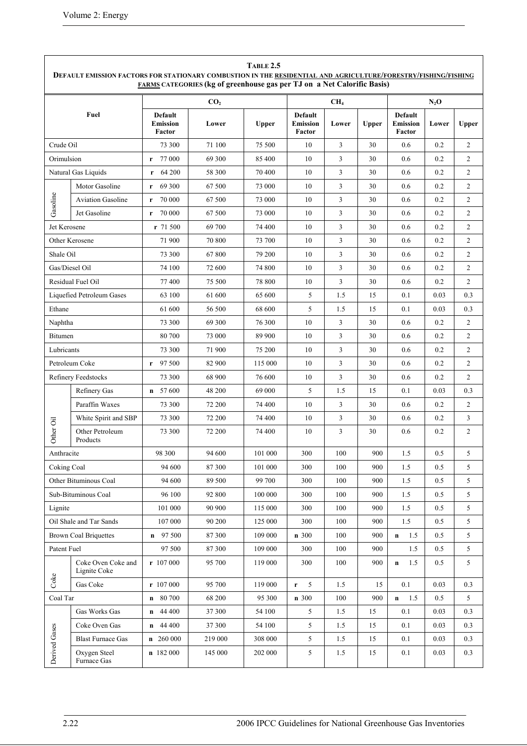|                | DEFAULT EMISSION FACTORS FOR STATIONARY COMBUSTION IN THE RESIDENTIAL AND AGRICULTURE/FORESTRY/FISHING/FISHING |                                             | <b>FARMS CATEGORIES (kg of greenhouse gas per TJ on a Net Calorific Basis)</b> | <b>TABLE 2.5</b> |                                      |                 |       |                                      |        |                |
|----------------|----------------------------------------------------------------------------------------------------------------|---------------------------------------------|--------------------------------------------------------------------------------|------------------|--------------------------------------|-----------------|-------|--------------------------------------|--------|----------------|
|                |                                                                                                                |                                             | CO <sub>2</sub>                                                                |                  |                                      | CH <sub>4</sub> |       |                                      | $N_2O$ |                |
|                | Fuel                                                                                                           | <b>Default</b><br><b>Emission</b><br>Factor | Lower                                                                          | <b>Upper</b>     | <b>Default</b><br>Emission<br>Factor | Lower           | Upper | Default<br><b>Emission</b><br>Factor | Lower  | <b>Upper</b>   |
| Crude Oil      |                                                                                                                | 73 300                                      | 71 100                                                                         | 75 500           | 10                                   | 3               | 30    | 0.6                                  | 0.2    | 2              |
| Orimulsion     |                                                                                                                | 77 000<br>r                                 | 69 300                                                                         | 85 400           | 10                                   | 3               | 30    | 0.6                                  | 0.2    | 2              |
|                | Natural Gas Liquids                                                                                            | 64 200<br>r                                 | 58 300                                                                         | 70 400           | 10                                   | 3               | 30    | 0.6                                  | 0.2    | 2              |
|                | Motor Gasoline                                                                                                 | 69 300<br>r                                 | 67 500                                                                         | 73 000           | 10                                   | 3               | 30    | 0.6                                  | 0.2    | $\overline{2}$ |
| Gasoline       | <b>Aviation Gasoline</b>                                                                                       | 70 000<br>r                                 | 67 500                                                                         | 73 000           | 10                                   | 3               | 30    | 0.6                                  | 0.2    | $\overline{2}$ |
|                | Jet Gasoline                                                                                                   | 70 000<br>r                                 | 67 500                                                                         | 73 000           | 10                                   | 3               | 30    | 0.6                                  | 0.2    | 2              |
| Jet Kerosene   |                                                                                                                | $r$ 71 500                                  | 69 700                                                                         | 74 400           | 10                                   | 3               | 30    | 0.6                                  | 0.2    | $\overline{2}$ |
|                | Other Kerosene                                                                                                 | 71 900                                      | 70 800                                                                         | 73 700           | 10                                   | 3               | 30    | 0.6                                  | 0.2    | $\overline{c}$ |
| Shale Oil      |                                                                                                                | 73 300                                      | 67800                                                                          | 79 200           | 10                                   | 3               | 30    | 0.6                                  | 0.2    | 2              |
| Gas/Diesel Oil |                                                                                                                | 74 100                                      | 72 600                                                                         | 74 800           | 10                                   | 3               | 30    | 0.6                                  | 0.2    | 2              |
|                | Residual Fuel Oil                                                                                              | 77 400                                      | 75 500                                                                         | 78 800           | 10                                   | 3               | 30    | 0.6                                  | 0.2    | 2              |
|                | Liquefied Petroleum Gases                                                                                      | 63 100                                      | 61 600                                                                         | 65 600           | 5                                    | 1.5             | 15    | 0.1                                  | 0.03   | 0.3            |
| Ethane         |                                                                                                                | 61 600                                      | 56 500                                                                         | 68 600           | 5                                    | 1.5             | 15    | 0.1                                  | 0.03   | 0.3            |
| Naphtha        |                                                                                                                | 73 300                                      | 69 300                                                                         | 76 300           | 10                                   | 3               | 30    | 0.6                                  | 0.2    | $\overline{2}$ |
| Bitumen        |                                                                                                                | 80 700                                      | 73 000                                                                         | 89 900           | 10                                   | 3               | 30    | 0.6                                  | 0.2    | $\overline{c}$ |
| Lubricants     |                                                                                                                | 73 300                                      | 71 900                                                                         | 75 200           | 10                                   | 3               | 30    | 0.6                                  | 0.2    | 2              |
|                | Petroleum Coke                                                                                                 | 97 500<br>r                                 | 82 900                                                                         | 115 000          | 10                                   | 3               | 30    | 0.6                                  | 0.2    | 2              |
|                | Refinery Feedstocks                                                                                            | 73 300                                      | 68 900                                                                         | 76 600           | 10                                   | 3               | 30    | 0.6                                  | 0.2    | $\overline{c}$ |
|                | Refinery Gas                                                                                                   | n 57 600                                    | 48 200                                                                         | 69 000           | 5                                    | 1.5             | 15    | 0.1                                  | 0.03   | 0.3            |
|                | Paraffin Waxes                                                                                                 | 73 300                                      | 72 200                                                                         | 74 400           | 10                                   | 3               | 30    | 0.6                                  | 0.2    | $\overline{c}$ |
|                | White Spirit and SBP                                                                                           | 73 300                                      | 72 200                                                                         | 74 400           | 10                                   | 3               | 30    | 0.6                                  | 0.2    | 3              |
| Other Oil      | Other Petroleum<br>Products                                                                                    | 73 300                                      | 72 200                                                                         | 74 400           | 10                                   | 3               | 30    | 0.6                                  | 0.2    | $\overline{2}$ |
| Anthracite     |                                                                                                                | 98 300                                      | 94 600                                                                         | 101 000          | 300                                  | 100             | 900   | 1.5                                  | 0.5    | 5              |
| Coking Coal    |                                                                                                                | 94 600                                      | 87 300                                                                         | 101 000          | 300                                  | 100             | 900   | 1.5                                  | 0.5    | 5              |
|                | Other Bituminous Coal                                                                                          | 94 600                                      | 89 500                                                                         | 99 700           | 300                                  | 100             | 900   | 1.5                                  | 0.5    | 5              |
|                | Sub-Bituminous Coal                                                                                            | 96 100                                      | 92 800                                                                         | 100 000          | 300                                  | 100             | 900   | 1.5                                  | 0.5    | 5              |
| Lignite        |                                                                                                                | 101 000                                     | 90 900                                                                         | 115 000          | 300                                  | 100             | 900   | 1.5                                  | 0.5    | 5              |
|                | Oil Shale and Tar Sands                                                                                        | 107 000                                     | 90 200                                                                         | 125 000          | 300                                  | 100             | 900   | 1.5                                  | 0.5    | 5              |
|                | <b>Brown Coal Briquettes</b>                                                                                   | 97 500<br>n                                 | 87 300                                                                         | 109 000          | n 300                                | 100             | 900   | 1.5<br>$\mathbf n$                   | 0.5    | 5              |
| Patent Fuel    |                                                                                                                | 97 500                                      | 87 300                                                                         | 109 000          | 300                                  | 100             | 900   | 1.5                                  | 0.5    | 5              |
|                | Coke Oven Coke and<br>Lignite Coke                                                                             | $r$ 107 000                                 | 95 700                                                                         | 119 000          | 300                                  | 100             | 900   | 1.5<br>$\mathbf n$                   | 0.5    | 5              |
| Coke           | Gas Coke                                                                                                       | r 107 000                                   | 95 700                                                                         | 119 000          | 5<br>$\mathbf r$                     | 1.5             | 15    | 0.1                                  | 0.03   | 0.3            |
| Coal Tar       |                                                                                                                | n 80 700                                    | 68 200                                                                         | 95 300           | n 300                                | 100             | 900   | 1.5<br>$\mathbf n$                   | 0.5    | 5              |
|                | Gas Works Gas                                                                                                  | 44 400<br>$\mathbf n$                       | 37 300                                                                         | 54 100           | 5                                    | 1.5             | 15    | 0.1                                  | 0.03   | 0.3            |
|                | Coke Oven Gas                                                                                                  | 44 400<br>$\mathbf n$                       | 37 300                                                                         | 54 100           | 5                                    | 1.5             | 15    | 0.1                                  | 0.03   | 0.3            |
|                | <b>Blast Furnace Gas</b>                                                                                       | n 260 000                                   | 219 000                                                                        | 308 000          | 5                                    | 1.5             | 15    | 0.1                                  | 0.03   | 0.3            |
| Derived Gases  | Oxygen Steel<br>Furnace Gas                                                                                    | n 182 000                                   | 145 000                                                                        | 202 000          | 5                                    | 1.5             | 15    | 0.1                                  | 0.03   | 0.3            |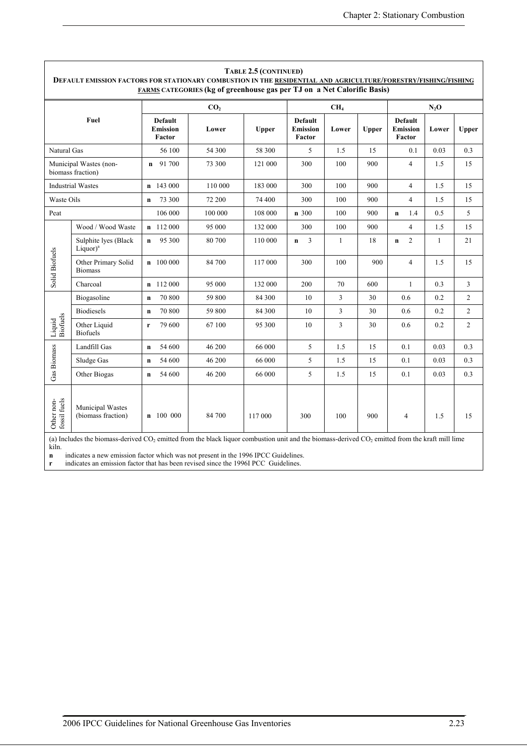٦

|                            | DEFAULT EMISSION FACTORS FOR STATIONARY COMBUSTION IN THE RESIDENTIAL AND AGRICULTURE/FORESTRY/FISHING/FISHING |                                             | <b>FARMS CATEGORIES (kg of greenhouse gas per TJ on a Net Calorific Basis)</b> | TABLE 2.5 (CONTINUED) |                                             |                 |       |                                             |              |                |
|----------------------------|----------------------------------------------------------------------------------------------------------------|---------------------------------------------|--------------------------------------------------------------------------------|-----------------------|---------------------------------------------|-----------------|-------|---------------------------------------------|--------------|----------------|
|                            |                                                                                                                |                                             | CO <sub>2</sub>                                                                |                       |                                             | CH <sub>4</sub> |       |                                             | $N_2O$       |                |
|                            | Fuel                                                                                                           | <b>Default</b><br><b>Emission</b><br>Factor | Lower                                                                          | <b>Upper</b>          | <b>Default</b><br><b>Emission</b><br>Factor | Lower           | Upper | <b>Default</b><br><b>Emission</b><br>Factor | Lower        | <b>Upper</b>   |
| Natural Gas                |                                                                                                                | 56 100                                      | 54 300                                                                         | 58 300                | 5                                           | 1.5             | 15    | 0.1                                         | 0.03         | 0.3            |
|                            | Municipal Wastes (non-<br>biomass fraction)                                                                    | 91 700<br>$\mathbf{n}$                      | 73 300                                                                         | 121 000               | 300                                         | 100             | 900   | $\overline{4}$                              | 1.5          | 15             |
|                            | <b>Industrial Wastes</b>                                                                                       | n 143 000                                   | 110 000                                                                        | 183 000               | 300                                         | 100             | 900   | $\overline{4}$                              | 1.5          | 15             |
| Waste Oils                 |                                                                                                                | 73 300<br>$\mathbf n$                       | 72 200                                                                         | 74 400                | 300                                         | 100             | 900   | $\overline{4}$                              | 1.5          | 15             |
| Peat                       |                                                                                                                | 106 000                                     | 100 000                                                                        | 108 000               | n 300                                       | 100             | 900   | 1.4<br>$\mathbf n$                          | 0.5          | 5              |
|                            | Wood / Wood Waste                                                                                              | $n$ 112 000                                 | 95 000                                                                         | 132 000               | 300                                         | 100             | 900   | $\overline{4}$                              | 1.5          | 15             |
|                            | Sulphite lyes (Black<br>$Liquor)^a$                                                                            | 95 300<br>n                                 | 80 700                                                                         | 110 000               | 3<br>$\mathbf n$                            | 1               | 18    | $\overline{c}$<br>$\mathbf n$               | $\mathbf{1}$ | 21             |
| <b>Solid Biofuels</b>      | Other Primary Solid<br><b>Biomass</b>                                                                          | $n \quad 100000$                            | 84 700                                                                         | 117 000               | 300                                         | 100             | 900   | $\overline{4}$                              | 1.5          | 15             |
|                            | Charcoal                                                                                                       | n 112 000                                   | 95 000                                                                         | 132 000               | 200                                         | 70              | 600   | $\mathbf{1}$                                | 0.3          | 3              |
|                            | Biogasoline                                                                                                    | 70 800<br>$\mathbf n$                       | 59 800                                                                         | 84 300                | 10                                          | 3               | 30    | 0.6                                         | $0.2\,$      | $\overline{2}$ |
|                            | <b>Biodiesels</b>                                                                                              | 70 800<br>$\mathbf n$                       | 59 800                                                                         | 84 300                | 10                                          | 3               | 30    | 0.6                                         | 0.2          | $\overline{2}$ |
| Liquid<br>Biofuels         | Other Liquid<br><b>Biofuels</b>                                                                                | 79 600<br>r                                 | 67 100                                                                         | 95 300                | 10                                          | 3               | 30    | 0.6                                         | 0.2          | $\overline{2}$ |
|                            | Landfill Gas                                                                                                   | 54 600<br>$\mathbf n$                       | 46 200                                                                         | 66 000                | 5                                           | 1.5             | 15    | 0.1                                         | 0.03         | 0.3            |
|                            | Sludge Gas                                                                                                     | 54 600<br>$\mathbf n$                       | 46 200                                                                         | 66 000                | 5                                           | 1.5             | 15    | 0.1                                         | 0.03         | 0.3            |
| Gas Biomass                | Other Biogas                                                                                                   | 54 600<br>$\mathbf n$                       | 46 200                                                                         | 66 000                | 5                                           | 1.5             | 15    | 0.1                                         | 0.03         | 0.3            |
| Other non-<br>fossil fuels | Municipal Wastes<br>(biomass fraction)                                                                         | n 100 000                                   | 84 700                                                                         | 117 000               | 300                                         | 100             | 900   | $\overline{4}$                              | 1.5          | 15             |

(a) Includes the biomass-derived  $CO_2$  emitted from the black liquor combustion unit and the biomass-derived  $CO_2$  emitted from the kraft mill lime

kiln.<br>n<br>r **n** indicates a new emission factor which was not present in the 1996 IPCC Guidelines.

**r** indicates an emission factor that has been revised since the 1996I PCC Guidelines.

 $\sqrt{ }$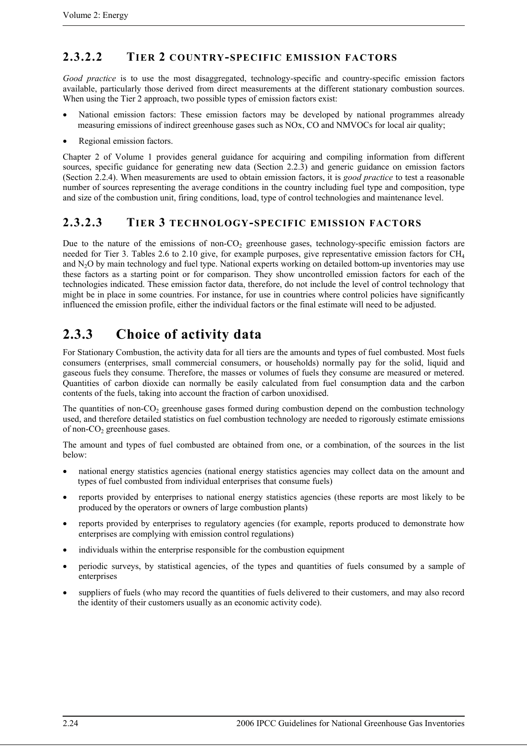#### **2.3.2.2 TIER 2 COUNTRY-SPECIFIC EMISSION FACTORS**

*Good practice* is to use the most disaggregated, technology-specific and country-specific emission factors available, particularly those derived from direct measurements at the different stationary combustion sources. When using the Tier 2 approach, two possible types of emission factors exist:

- National emission factors: These emission factors may be developed by national programmes already measuring emissions of indirect greenhouse gases such as NOx, CO and NMVOCs for local air quality;
- Regional emission factors.

Chapter 2 of Volume 1 provides general guidance for acquiring and compiling information from different sources, specific guidance for generating new data (Section 2.2.3) and generic guidance on emission factors (Section 2.2.4). When measurements are used to obtain emission factors, it is *good practice* to test a reasonable number of sources representing the average conditions in the country including fuel type and composition, type and size of the combustion unit, firing conditions, load, type of control technologies and maintenance level.

#### **2.3.2.3 TIER 3 TECHNOLOGY-SPECIFIC EMISSION FACTORS**

Due to the nature of the emissions of non- $CO<sub>2</sub>$  greenhouse gases, technology-specific emission factors are needed for Tier 3. Tables 2.6 to 2.10 give, for example purposes, give representative emission factors for CH4 and N<sub>2</sub>O by main technology and fuel type. National experts working on detailed bottom-up inventories may use these factors as a starting point or for comparison. They show uncontrolled emission factors for each of the technologies indicated. These emission factor data, therefore, do not include the level of control technology that might be in place in some countries. For instance, for use in countries where control policies have significantly influenced the emission profile, either the individual factors or the final estimate will need to be adjusted.

### **2.3.3 Choice of activity data**

For Stationary Combustion, the activity data for all tiers are the amounts and types of fuel combusted. Most fuels consumers (enterprises, small commercial consumers, or households) normally pay for the solid, liquid and gaseous fuels they consume. Therefore, the masses or volumes of fuels they consume are measured or metered. Quantities of carbon dioxide can normally be easily calculated from fuel consumption data and the carbon contents of the fuels, taking into account the fraction of carbon unoxidised.

The quantities of non- $CO<sub>2</sub>$  greenhouse gases formed during combustion depend on the combustion technology used, and therefore detailed statistics on fuel combustion technology are needed to rigorously estimate emissions of non- $CO<sub>2</sub>$  greenhouse gases.

The amount and types of fuel combusted are obtained from one, or a combination, of the sources in the list below:

- national energy statistics agencies (national energy statistics agencies may collect data on the amount and types of fuel combusted from individual enterprises that consume fuels)
- reports provided by enterprises to national energy statistics agencies (these reports are most likely to be produced by the operators or owners of large combustion plants)
- reports provided by enterprises to regulatory agencies (for example, reports produced to demonstrate how enterprises are complying with emission control regulations)
- individuals within the enterprise responsible for the combustion equipment
- periodic surveys, by statistical agencies, of the types and quantities of fuels consumed by a sample of enterprises
- suppliers of fuels (who may record the quantities of fuels delivered to their customers, and may also record the identity of their customers usually as an economic activity code).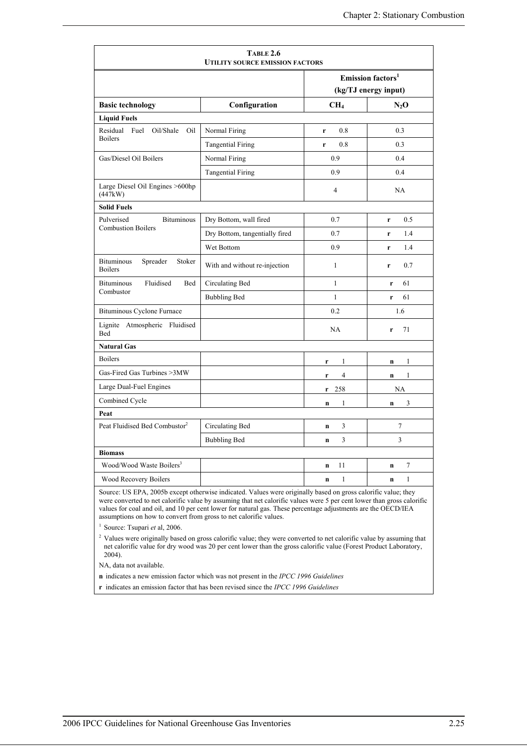|                                                             | <b>UTILITY SOURCE EMISSION FACTORS</b> |                             |                                                       |  |
|-------------------------------------------------------------|----------------------------------------|-----------------------------|-------------------------------------------------------|--|
|                                                             |                                        |                             | Emission factors <sup>1</sup><br>(kg/TJ energy input) |  |
|                                                             |                                        |                             |                                                       |  |
| <b>Basic technology</b>                                     | Configuration                          | CH <sub>4</sub>             | $N_{2}$ O                                             |  |
| <b>Liquid Fuels</b><br>Residual<br>Fuel<br>Oil/Shale<br>Oil | Normal Firing                          | 0.8<br>$\mathbf r$          | 0.3                                                   |  |
| <b>Boilers</b>                                              | <b>Tangential Firing</b>               | 0.8<br>r                    | 0.3                                                   |  |
| Gas/Diesel Oil Boilers                                      |                                        | 0.9                         | 0.4                                                   |  |
|                                                             | Normal Firing                          |                             |                                                       |  |
|                                                             | <b>Tangential Firing</b>               | 0.9                         | 0.4                                                   |  |
| Large Diesel Oil Engines >600hp<br>(447kW)                  |                                        | $\overline{4}$              | NA                                                    |  |
| <b>Solid Fuels</b>                                          |                                        |                             |                                                       |  |
| Pulverised<br><b>Bituminous</b>                             | Dry Bottom, wall fired                 | 0.7                         | 0.5<br>r                                              |  |
| <b>Combustion Boilers</b>                                   | Dry Bottom, tangentially fired         | 0.7                         | 1.4<br>r                                              |  |
|                                                             | Wet Bottom                             | 0.9                         | 1.4<br>r                                              |  |
| <b>Bituminous</b><br>Spreader<br>Stoker<br><b>Boilers</b>   | With and without re-injection          | $\mathbf{1}$                | 0.7<br>r                                              |  |
| <b>Bituminous</b><br>Fluidised<br>Bed                       | Circulating Bed                        | $\mathbf{1}$                | 61<br>r                                               |  |
| Combustor                                                   | <b>Bubbling Bed</b>                    | $\mathbf{1}$                | 61<br>r                                               |  |
| Bituminous Cyclone Furnace                                  |                                        | 0.2                         | 1.6                                                   |  |
| Lignite Atmospheric Fluidised<br>Bed                        |                                        | NA                          | 71<br>r                                               |  |
| <b>Natural Gas</b>                                          |                                        |                             |                                                       |  |
| <b>Boilers</b>                                              |                                        | 1<br>r                      | 1<br>$\mathbf n$                                      |  |
| Gas-Fired Gas Turbines >3MW                                 |                                        | 4<br>r                      | $\mathbf{1}$<br>$\mathbf n$                           |  |
| Large Dual-Fuel Engines                                     |                                        | $r$ 258                     | NA                                                    |  |
| Combined Cycle                                              |                                        | $\mathbf{1}$<br>n           | 3<br>n                                                |  |
| Peat                                                        |                                        |                             |                                                       |  |
| Peat Fluidised Bed Combustor <sup>2</sup>                   | Circulating Bed                        | 3<br>n                      | $\tau$                                                |  |
|                                                             | <b>Bubbling Bed</b>                    | 3<br>n                      | 3                                                     |  |
| <b>Biomass</b>                                              |                                        |                             |                                                       |  |
| Wood/Wood Waste Boilers <sup>3</sup>                        |                                        | 11<br>n                     | $\tau$<br>$\mathbf n$                                 |  |
| Wood Recovery Boilers                                       |                                        | $\mathbf{1}$<br>$\mathbf n$ | $\mathbf{1}$<br>$\mathbf n$                           |  |

were converted to net calorific value by assuming that net calorific values were 5 per cent lower than gross calorific values for coal and oil, and 10 per cent lower for natural gas. These percentage adjustments are the OECD/IEA assumptions on how to convert from gross to net calorific values.

1 Source: Tsupari *et* al, 2006.

<sup>2</sup> Values were originally based on gross calorific value; they were converted to net calorific value by assuming that net calorific value for dry wood was 20 per cent lower than the gross calorific value (Forest Product Laboratory, 2004).

NA, data not available.

**n** indicates a new emission factor which was not present in the *IPCC 1996 Guidelines* 

**r** indicates an emission factor that has been revised since the *IPCC 1996 Guidelines*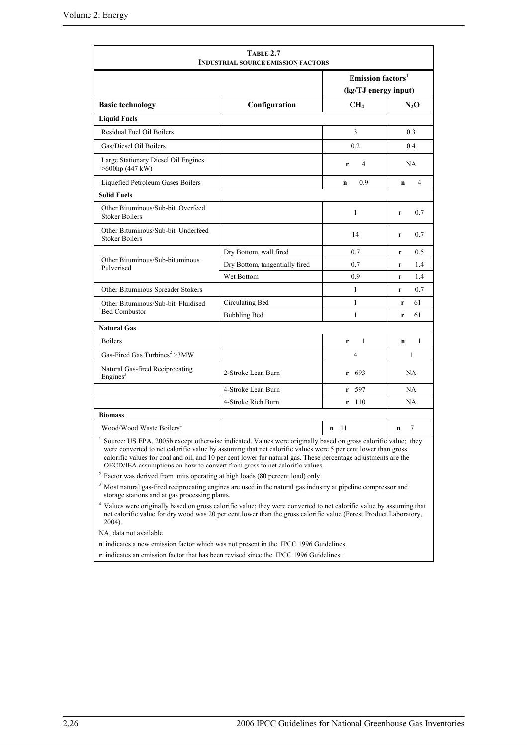|                                                                                                                                                                                                                                                                                                                                                                                                                                                                                                                                                                                                                                                                                                                                                                                                                                                                                                                                                                                                                                                                                                                                       | <b>TABLE 2.7</b>   |                |                  |
|---------------------------------------------------------------------------------------------------------------------------------------------------------------------------------------------------------------------------------------------------------------------------------------------------------------------------------------------------------------------------------------------------------------------------------------------------------------------------------------------------------------------------------------------------------------------------------------------------------------------------------------------------------------------------------------------------------------------------------------------------------------------------------------------------------------------------------------------------------------------------------------------------------------------------------------------------------------------------------------------------------------------------------------------------------------------------------------------------------------------------------------|--------------------|----------------|------------------|
| <b>INDUSTRIAL SOURCE EMISSION FACTORS</b><br>Emission factors <sup>1</sup><br>(kg/TJ energy input)<br>Configuration<br>$N_2O$<br><b>Basic technology</b><br>CH <sub>4</sub><br><b>Liquid Fuels</b><br>Residual Fuel Oil Boilers<br>$\overline{3}$<br>0.3<br>0.2<br>0.4<br>Gas/Diesel Oil Boilers<br>Large Stationary Diesel Oil Engines<br>NA<br>4<br>$\mathbf{r}$<br>$>600$ hp (447 kW)<br>Liquefied Petroleum Gases Boilers<br>0.9<br>$\mathbf n$<br>$\mathbf n$<br><b>Solid Fuels</b><br>Other Bituminous/Sub-bit. Overfeed<br>$\mathbf{1}$<br>r<br><b>Stoker Boilers</b><br>Other Bituminous/Sub-bit. Underfeed<br>14<br>r<br><b>Stoker Boilers</b><br>Dry Bottom, wall fired<br>0.7<br>r<br>Other Bituminous/Sub-bituminous<br>Dry Bottom, tangentially fired<br>0.7<br>r<br>Pulverised<br>0.9<br>Wet Bottom<br>r<br>Other Bituminous Spreader Stokers<br>$\mathbf{1}$<br>r<br>$\mathbf{1}$<br>Other Bituminous/Sub-bit. Fluidised<br>Circulating Bed<br>$\mathbf{r}$<br><b>Bed Combustor</b><br><b>Bubbling Bed</b><br>$\mathbf{1}$<br>r<br><b>Natural Gas</b><br><b>Boilers</b><br>$\mathbf{1}$<br>$\mathbf{r}$<br>$\mathbf n$ |                    |                |                  |
|                                                                                                                                                                                                                                                                                                                                                                                                                                                                                                                                                                                                                                                                                                                                                                                                                                                                                                                                                                                                                                                                                                                                       |                    |                |                  |
|                                                                                                                                                                                                                                                                                                                                                                                                                                                                                                                                                                                                                                                                                                                                                                                                                                                                                                                                                                                                                                                                                                                                       |                    |                |                  |
|                                                                                                                                                                                                                                                                                                                                                                                                                                                                                                                                                                                                                                                                                                                                                                                                                                                                                                                                                                                                                                                                                                                                       |                    |                |                  |
|                                                                                                                                                                                                                                                                                                                                                                                                                                                                                                                                                                                                                                                                                                                                                                                                                                                                                                                                                                                                                                                                                                                                       |                    |                |                  |
|                                                                                                                                                                                                                                                                                                                                                                                                                                                                                                                                                                                                                                                                                                                                                                                                                                                                                                                                                                                                                                                                                                                                       |                    |                |                  |
|                                                                                                                                                                                                                                                                                                                                                                                                                                                                                                                                                                                                                                                                                                                                                                                                                                                                                                                                                                                                                                                                                                                                       |                    |                | 4                |
|                                                                                                                                                                                                                                                                                                                                                                                                                                                                                                                                                                                                                                                                                                                                                                                                                                                                                                                                                                                                                                                                                                                                       |                    |                |                  |
|                                                                                                                                                                                                                                                                                                                                                                                                                                                                                                                                                                                                                                                                                                                                                                                                                                                                                                                                                                                                                                                                                                                                       |                    |                | 0.7              |
|                                                                                                                                                                                                                                                                                                                                                                                                                                                                                                                                                                                                                                                                                                                                                                                                                                                                                                                                                                                                                                                                                                                                       |                    |                | 0.7              |
|                                                                                                                                                                                                                                                                                                                                                                                                                                                                                                                                                                                                                                                                                                                                                                                                                                                                                                                                                                                                                                                                                                                                       |                    |                | 0.5              |
|                                                                                                                                                                                                                                                                                                                                                                                                                                                                                                                                                                                                                                                                                                                                                                                                                                                                                                                                                                                                                                                                                                                                       |                    |                | 1.4              |
|                                                                                                                                                                                                                                                                                                                                                                                                                                                                                                                                                                                                                                                                                                                                                                                                                                                                                                                                                                                                                                                                                                                                       |                    |                | 1.4              |
|                                                                                                                                                                                                                                                                                                                                                                                                                                                                                                                                                                                                                                                                                                                                                                                                                                                                                                                                                                                                                                                                                                                                       |                    |                | 0.7              |
|                                                                                                                                                                                                                                                                                                                                                                                                                                                                                                                                                                                                                                                                                                                                                                                                                                                                                                                                                                                                                                                                                                                                       |                    |                | 61               |
|                                                                                                                                                                                                                                                                                                                                                                                                                                                                                                                                                                                                                                                                                                                                                                                                                                                                                                                                                                                                                                                                                                                                       |                    |                | 61               |
|                                                                                                                                                                                                                                                                                                                                                                                                                                                                                                                                                                                                                                                                                                                                                                                                                                                                                                                                                                                                                                                                                                                                       |                    |                |                  |
|                                                                                                                                                                                                                                                                                                                                                                                                                                                                                                                                                                                                                                                                                                                                                                                                                                                                                                                                                                                                                                                                                                                                       |                    |                | $\mathbf{1}$     |
| Gas-Fired Gas Turbines <sup>2</sup> > 3MW                                                                                                                                                                                                                                                                                                                                                                                                                                                                                                                                                                                                                                                                                                                                                                                                                                                                                                                                                                                                                                                                                             |                    | $\overline{4}$ | 1                |
| Natural Gas-fired Reciprocating<br>Engines <sup>3</sup>                                                                                                                                                                                                                                                                                                                                                                                                                                                                                                                                                                                                                                                                                                                                                                                                                                                                                                                                                                                                                                                                               | 2-Stroke Lean Burn | $r$ 693        | NA               |
|                                                                                                                                                                                                                                                                                                                                                                                                                                                                                                                                                                                                                                                                                                                                                                                                                                                                                                                                                                                                                                                                                                                                       | 4-Stroke Lean Burn | 597<br>r       | NA               |
|                                                                                                                                                                                                                                                                                                                                                                                                                                                                                                                                                                                                                                                                                                                                                                                                                                                                                                                                                                                                                                                                                                                                       | 4-Stroke Rich Burn | 110<br>r       | NA               |
| <b>Biomass</b>                                                                                                                                                                                                                                                                                                                                                                                                                                                                                                                                                                                                                                                                                                                                                                                                                                                                                                                                                                                                                                                                                                                        |                    |                |                  |
| Wood/Wood Waste Boilers <sup>4</sup>                                                                                                                                                                                                                                                                                                                                                                                                                                                                                                                                                                                                                                                                                                                                                                                                                                                                                                                                                                                                                                                                                                  |                    | $n$ 11         | 7<br>$\mathbf n$ |
| $\frac{1}{2}$ Source: IIS EDA 2005b except otherwise indicated. Values were originally based on gross calorific value: they                                                                                                                                                                                                                                                                                                                                                                                                                                                                                                                                                                                                                                                                                                                                                                                                                                                                                                                                                                                                           |                    |                |                  |

were originally based on gross calorific value; they were converted to net calorific value by assuming that net calorific values were 5 per cent lower than gross calorific values for coal and oil, and 10 per cent lower for natural gas. These percentage adjustments are the OECD/IEA assumptions on how to convert from gross to net calorific values.

<sup>2</sup> Factor was derived from units operating at high loads (80 percent load) only.

<sup>3</sup> Most natural gas-fired reciprocating engines are used in the natural gas industry at pipeline compressor and storage stations and at gas processing plants.

<sup>4</sup> Values were originally based on gross calorific value; they were converted to net calorific value by assuming that net calorific value for dry wood was 20 per cent lower than the gross calorific value (Forest Product Laboratory, 2004).

NA, data not available

**n** indicates a new emission factor which was not present in the IPCC 1996 Guidelines.

**r** indicates an emission factor that has been revised since the IPCC 1996 Guidelines .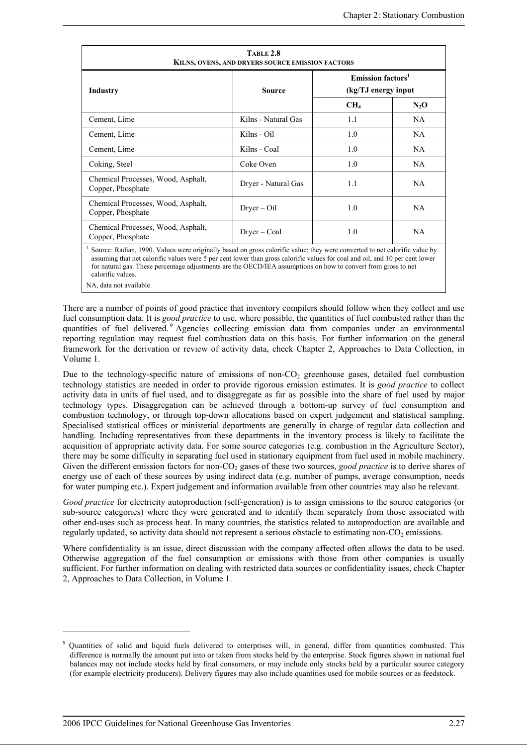| <b>TABLE 2.8</b><br>KILNS, OVENS, AND DRYERS SOURCE EMISSION FACTORS |                     |                                                      |        |  |  |  |  |
|----------------------------------------------------------------------|---------------------|------------------------------------------------------|--------|--|--|--|--|
| Industry                                                             | <b>Source</b>       | Emission factors <sup>1</sup><br>(kg/TJ energy input |        |  |  |  |  |
|                                                                      |                     | CH <sub>4</sub>                                      | $N_2O$ |  |  |  |  |
| Cement, Lime                                                         | Kilns - Natural Gas | 1.1                                                  | NA.    |  |  |  |  |
| Cement, Lime                                                         | Kilns - Oil         | 1.0                                                  | NA.    |  |  |  |  |
| Cement, Lime                                                         | Kilns - Coal        | 1.0                                                  | NA.    |  |  |  |  |
| Coking, Steel                                                        | Coke Oven           | 1.0                                                  | NA.    |  |  |  |  |
| Chemical Processes, Wood, Asphalt,<br>Copper, Phosphate              | Dryer - Natural Gas | 1.1                                                  | NA.    |  |  |  |  |
| Chemical Processes, Wood, Asphalt,<br>Copper, Phosphate              | $Dryer - Oil$       | 1.0                                                  | NA.    |  |  |  |  |
| Chemical Processes, Wood, Asphalt,<br>Copper, Phosphate              | $Dryer - Coal$      | 1.0                                                  | NA.    |  |  |  |  |

 Source: Radian, 1990. Values were originally based on gross calorific value; they were converted to net calorific value by assuming that net calorific values were 5 per cent lower than gross calorific values for coal and oil, and 10 per cent lower for natural gas. These percentage adjustments are the OECD/IEA assumptions on how to convert from gross to net calorific values.

NA, data not available.

 $\overline{a}$ 

There are a number of points of good practice that inventory compilers should follow when they collect and use fuel consumption data. It is *good practice* to use, where possible, the quantities of fuel combusted rather than the quantities of fuel delivered. <sup>9</sup> Agencies collecting emission data from companies under an environmental reporting regulation may request fuel combustion data on this basis. For further information on the general framework for the derivation or review of activity data, check Chapter 2, Approaches to Data Collection, in Volume 1.

Due to the technology-specific nature of emissions of non- $CO<sub>2</sub>$  greenhouse gases, detailed fuel combustion technology statistics are needed in order to provide rigorous emission estimates. It is *good practice* to collect activity data in units of fuel used, and to disaggregate as far as possible into the share of fuel used by major technology types. Disaggregation can be achieved through a bottom-up survey of fuel consumption and combustion technology, or through top-down allocations based on expert judgement and statistical sampling. Specialised statistical offices or ministerial departments are generally in charge of regular data collection and handling. Including representatives from these departments in the inventory process is likely to facilitate the acquisition of appropriate activity data. For some source categories (e.g. combustion in the Agriculture Sector), there may be some difficulty in separating fuel used in stationary equipment from fuel used in mobile machinery. Given the different emission factors for non-CO<sub>2</sub> gases of these two sources, *good practice* is to derive shares of energy use of each of these sources by using indirect data (e.g. number of pumps, average consumption, needs for water pumping etc.). Expert judgement and information available from other countries may also be relevant.

*Good practice* for electricity autoproduction (self-generation) is to assign emissions to the source categories (or sub-source categories) where they were generated and to identify them separately from those associated with other end-uses such as process heat. In many countries, the statistics related to autoproduction are available and regularly updated, so activity data should not represent a serious obstacle to estimating non- $CO<sub>2</sub>$  emissions.

Where confidentiality is an issue, direct discussion with the company affected often allows the data to be used. Otherwise aggregation of the fuel consumption or emissions with those from other companies is usually sufficient. For further information on dealing with restricted data sources or confidentiality issues, check Chapter 2, Approaches to Data Collection, in Volume 1.

<sup>9</sup> Quantities of solid and liquid fuels delivered to enterprises will, in general, differ from quantities combusted. This difference is normally the amount put into or taken from stocks held by the enterprise. Stock figures shown in national fuel balances may not include stocks held by final consumers, or may include only stocks held by a particular source category (for example electricity producers). Delivery figures may also include quantities used for mobile sources or as feedstock.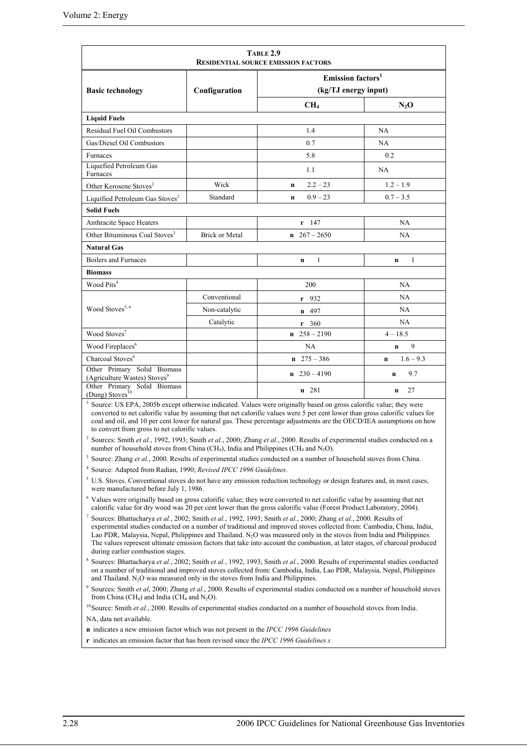|                                                                         | TABLE 2.9<br><b>RESIDENTIAL SOURCE EMISSION FACTORS</b> |                                                       |                             |
|-------------------------------------------------------------------------|---------------------------------------------------------|-------------------------------------------------------|-----------------------------|
| <b>Basic technology</b>                                                 | Configuration                                           | Emission factors <sup>1</sup><br>(kg/TJ energy input) |                             |
|                                                                         |                                                         | CH <sub>4</sub>                                       | $N_2O$                      |
| <b>Liquid Fuels</b>                                                     |                                                         |                                                       |                             |
| Residual Fuel Oil Combustors                                            |                                                         | 1.4                                                   | NA                          |
| Gas/Diesel Oil Combustors                                               |                                                         | 0.7                                                   | NA.                         |
| <b>Furnaces</b>                                                         |                                                         | 5.8                                                   | 0.2                         |
| Liquefied Petroleum Gas<br>Furnaces                                     |                                                         | 1.1                                                   | NA                          |
| Other Kerosene Stoves <sup>2</sup>                                      | Wick                                                    | $2.2 - 23$<br>$\mathbf n$                             | $1.2 - 1.9$                 |
| Liquified Petroleum Gas Stoves <sup>2</sup>                             | Standard                                                | $0.9 - 23$<br>$\mathbf n$                             | $0.7 - 3.5$                 |
| <b>Solid Fuels</b>                                                      |                                                         |                                                       |                             |
| Anthracite Space Heaters                                                |                                                         | $r$ 147                                               | <b>NA</b>                   |
| Other Bituminous Coal Stoves <sup>3</sup>                               | <b>Brick or Metal</b>                                   | $n \quad 267 - 2650$                                  | NA                          |
| <b>Natural Gas</b>                                                      |                                                         |                                                       |                             |
| <b>Boilers and Furnaces</b>                                             |                                                         | $\mathbf{1}$<br>n                                     | $\mathbf{1}$<br>$\mathbf n$ |
| <b>Biomass</b>                                                          |                                                         |                                                       |                             |
| Wood Pits <sup>4</sup>                                                  |                                                         | 200                                                   | <b>NA</b>                   |
|                                                                         | Conventional                                            | r 932                                                 | NA                          |
| Wood Stoves <sup>5, 6</sup>                                             | Non-catalytic                                           | n 497                                                 | NA                          |
|                                                                         | Catalytic                                               | $r$ 360                                               | NA                          |
| Wood Stoves <sup>7</sup>                                                |                                                         | $n \quad 258 - 2190$                                  | $4 - 18.5$                  |
| Wood Fireplaces <sup>6</sup>                                            |                                                         | NA                                                    | 9<br>$\mathbf n$            |
| Charcoal Stoves <sup>8</sup>                                            |                                                         | $n \quad 275 - 386$                                   | $1.6 - 9.3$<br>$\mathbf{n}$ |
| Other Primary Solid Biomass<br>(Agriculture Wastes) Stoves <sup>9</sup> |                                                         | $n \quad 230 - 4190$                                  | 9.7<br>$\mathbf n$          |
| Other Primary Solid Biomass<br>(Dung) Stoves <sup>10</sup>              |                                                         | n 281                                                 | 27<br>$\mathbf n$           |

converted to net calorific value by assuming that net calorific values were 5 per cent lower than gross calorific values for coal and oil, and 10 per cent lower for natural gas. These percentage adjustments are the OECD/IEA assumptions on how to convert from gross to net calorific values.

2 Sources: Smith *et al.*, 1992, 1993; Smith *et al.*, 2000; Zhang *et al.*, 2000. Results of experimental studies conducted on a number of household stoves from China (CH<sub>4</sub>), India and Philippines (CH<sub>4</sub> and N<sub>2</sub>O).

<sup>3</sup> Source: Zhang et al., 2000. Results of experimental studies conducted on a number of household stoves from China.

4 Source: Adapted from Radian, 1990; *Revised IPCC 1996 Guidelines*.

<sup>5</sup> U.S. Stoves. Conventional stoves do not have any emission reduction technology or design features and, in most cases, were manufactured before July 1, 1986.

6 Values were originally based on gross calorific value; they were converted to net calorific value by assuming that net calorific value for dry wood was 20 per cent lower than the gross calorific value (Forest Product Laboratory, 2004).

7 Sources: Bhattacharya *et al.*, 2002; Smith *et al.*, 1992, 1993; Smith *et al.*, 2000; Zhang *et al.*, 2000. Results of experimental studies conducted on a number of traditional and improved stoves collected from: Cambodia, China, India, Lao PDR, Malaysia, Nepal, Philippines and Thailand. N2O was measured only in the stoves from India and Philippines. The values represent ultimate emission factors that take into account the combustion, at later stages, of charcoal produced during earlier combustion stages.

8 Sources: Bhattacharya *et al.*, 2002; Smith *et al.*, 1992, 1993; Smith *et al.*, 2000. Results of experimental studies conducted on a number of traditional and improved stoves collected from: Cambodia, India, Lao PDR, Malaysia, Nepal, Philippines and Thailand.  $N_2O$  was measured only in the stoves from India and Philippines.

9 Sources: Smith *et al*, 2000; Zhang *et al.*, 2000. Results of experimental studies conducted on a number of household stoves from China (CH<sub>4</sub>) and India (CH<sub>4</sub> and N<sub>2</sub>O).

<sup>10</sup> Source: Smith et al., 2000. Results of experimental studies conducted on a number of household stoves from India. NA, data not available.

**n** indicates a new emission factor which was not present in the *IPCC 1996 Guidelines* 

**r** indicates an emission factor that has been revised since the *IPCC 1996 Guidelines s*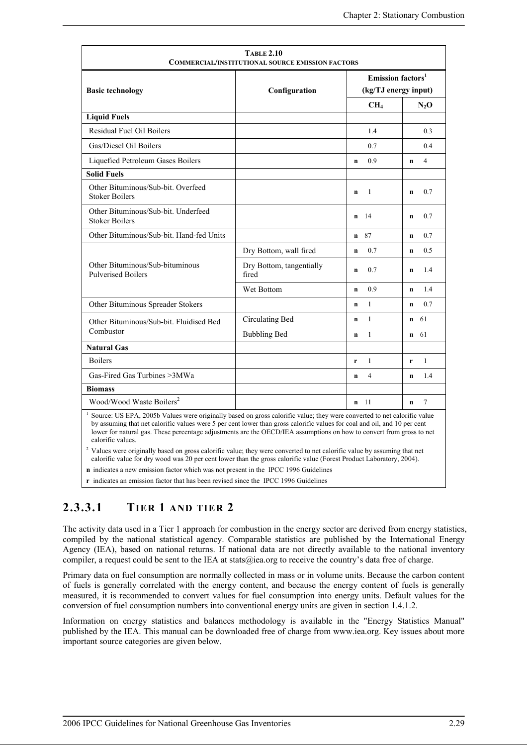|                                                                                                                                                                                                                                                                                                                                                                                                            | <b>TABLE 2.10</b><br><b>COMMERCIAL/INSTITUTIONAL SOURCE EMISSION FACTORS</b> |                              |                                                       |
|------------------------------------------------------------------------------------------------------------------------------------------------------------------------------------------------------------------------------------------------------------------------------------------------------------------------------------------------------------------------------------------------------------|------------------------------------------------------------------------------|------------------------------|-------------------------------------------------------|
| <b>Basic technology</b>                                                                                                                                                                                                                                                                                                                                                                                    | Configuration                                                                |                              | Emission factors <sup>1</sup><br>(kg/TJ energy input) |
|                                                                                                                                                                                                                                                                                                                                                                                                            |                                                                              | CH <sub>4</sub>              | $N_2O$                                                |
| <b>Liquid Fuels</b>                                                                                                                                                                                                                                                                                                                                                                                        |                                                                              |                              |                                                       |
| Residual Fuel Oil Boilers                                                                                                                                                                                                                                                                                                                                                                                  |                                                                              | 1.4                          | 0.3                                                   |
| Gas/Diesel Oil Boilers                                                                                                                                                                                                                                                                                                                                                                                     |                                                                              | 0.7                          | 0.4                                                   |
| Liquefied Petroleum Gases Boilers                                                                                                                                                                                                                                                                                                                                                                          |                                                                              | 0.9<br>$\mathbf n$           | $\overline{4}$<br>n                                   |
| <b>Solid Fuels</b>                                                                                                                                                                                                                                                                                                                                                                                         |                                                                              |                              |                                                       |
| Other Bituminous/Sub-bit. Overfeed<br><b>Stoker Boilers</b>                                                                                                                                                                                                                                                                                                                                                |                                                                              | $\mathbf{1}$<br>$\mathbf{n}$ | 0.7<br>n                                              |
| Other Bituminous/Sub-bit. Underfeed<br><b>Stoker Boilers</b>                                                                                                                                                                                                                                                                                                                                               |                                                                              | 14<br>$\mathbf{n}$           | 0.7<br>$\mathbf n$                                    |
| Other Bituminous/Sub-bit. Hand-fed Units                                                                                                                                                                                                                                                                                                                                                                   |                                                                              | n 87                         | 0.7<br>$\mathbf n$                                    |
|                                                                                                                                                                                                                                                                                                                                                                                                            | Dry Bottom, wall fired                                                       | 0.7<br>$\mathbf n$           | 0.5<br>n                                              |
| Other Bituminous/Sub-bituminous<br><b>Pulverised Boilers</b>                                                                                                                                                                                                                                                                                                                                               | Dry Bottom, tangentially<br>fired                                            | 0.7<br>$\mathbf n$           | 1.4<br>$\mathbf n$                                    |
|                                                                                                                                                                                                                                                                                                                                                                                                            | Wet Bottom                                                                   | 0.9<br>$\mathbf{n}$          | 1.4<br>n                                              |
| Other Bituminous Spreader Stokers                                                                                                                                                                                                                                                                                                                                                                          |                                                                              | $\mathbf{1}$<br>$\mathbf n$  | 0.7<br>$\mathbf n$                                    |
| Other Bituminous/Sub-bit. Fluidised Bed                                                                                                                                                                                                                                                                                                                                                                    | Circulating Bed                                                              | $\mathbf{1}$<br>$\mathbf n$  | - 61<br>n                                             |
| Combustor                                                                                                                                                                                                                                                                                                                                                                                                  | <b>Bubbling Bed</b>                                                          | 1<br>$\mathbf n$             | $n \quad 61$                                          |
| <b>Natural Gas</b>                                                                                                                                                                                                                                                                                                                                                                                         |                                                                              |                              |                                                       |
| <b>Boilers</b>                                                                                                                                                                                                                                                                                                                                                                                             |                                                                              | $\mathbf{1}$<br>r            | $\mathbf{1}$<br>r                                     |
| Gas-Fired Gas Turbines > 3MWa                                                                                                                                                                                                                                                                                                                                                                              |                                                                              | $\overline{4}$<br>n          | 1.4<br>n                                              |
| <b>Biomass</b>                                                                                                                                                                                                                                                                                                                                                                                             |                                                                              |                              |                                                       |
| Wood/Wood Waste Boilers <sup>2</sup>                                                                                                                                                                                                                                                                                                                                                                       |                                                                              | $n$ 11                       | $\overline{7}$<br>$\mathbf n$                         |
| $\,1$<br>Source: US EPA, 2005b Values were originally based on gross calorific value; they were converted to net calorific value<br>by assuming that net calorific values were 5 per cent lower than gross calorific values for coal and oil, and 10 per cent<br>lower for natural gas. These percentage adjustments are the OECD/IEA assumptions on how to convert from gross to net<br>calorific values. |                                                                              |                              |                                                       |
| <sup>2</sup> Values were originally based on gross calorific value; they were converted to net calorific value by assuming that net<br>calorific value for dry wood was 20 per cent lower than the gross calorific value (Forest Product Laboratory, 2004).<br>n indicates a new emission factor which was not present in the IPCC 1996 Guidelines                                                         |                                                                              |                              |                                                       |

**r** indicates an emission factor that has been revised since the IPCC 1996 Guidelines

### **2.3.3.1 TIER 1 AND TIER 2**

The activity data used in a Tier 1 approach for combustion in the energy sector are derived from energy statistics, compiled by the national statistical agency. Comparable statistics are published by the International Energy Agency (IEA), based on national returns. If national data are not directly available to the national inventory compiler, a request could be sent to the IEA at stats@iea.org to receive the country's data free of charge.

Primary data on fuel consumption are normally collected in mass or in volume units. Because the carbon content of fuels is generally correlated with the energy content, and because the energy content of fuels is generally measured, it is recommended to convert values for fuel consumption into energy units. Default values for the conversion of fuel consumption numbers into conventional energy units are given in section 1.4.1.2.

Information on energy statistics and balances methodology is available in the "Energy Statistics Manual" published by the IEA. This manual can be downloaded free of charge from www.iea.org. Key issues about more important source categories are given below.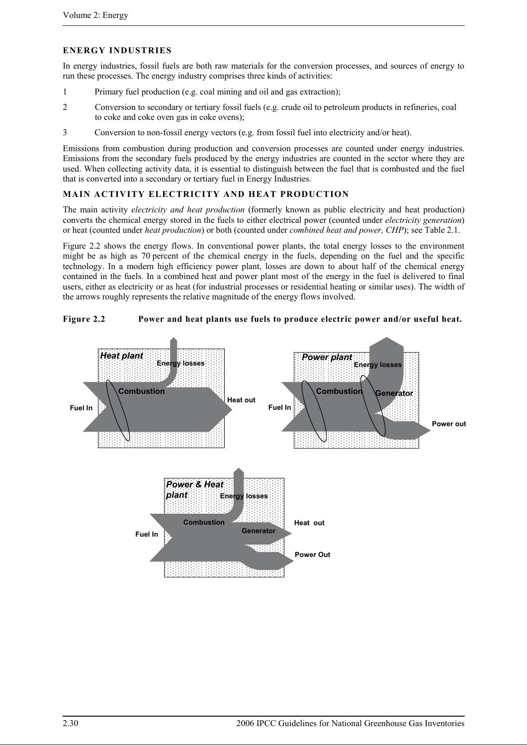#### **ENERGY INDUSTRIES**

In energy industries, fossil fuels are both raw materials for the conversion processes, and sources of energy to run these processes. The energy industry comprises three kinds of activities:

- 1 Primary fuel production (e.g. coal mining and oil and gas extraction);
- 2 Conversion to secondary or tertiary fossil fuels (e.g. crude oil to petroleum products in refineries, coal to coke and coke oven gas in coke ovens);
- 3 Conversion to non-fossil energy vectors (e.g. from fossil fuel into electricity and/or heat).

Emissions from combustion during production and conversion processes are counted under energy industries. Emissions from the secondary fuels produced by the energy industries are counted in the sector where they are used. When collecting activity data, it is essential to distinguish between the fuel that is combusted and the fuel that is converted into a secondary or tertiary fuel in Energy Industries.

#### **MAIN ACTIVITY ELECTRICITY AND HEAT PRODUCTION**

The main activity *electricity and heat production* (formerly known as public electricity and heat production) converts the chemical energy stored in the fuels to either electrical power (counted under *electricity generation*) or heat (counted under *heat production*) or both (counted under *combined heat and power, CHP*); see Table 2.1.

Figure 2.2 shows the energy flows. In conventional power plants, the total energy losses to the environment might be as high as 70 percent of the chemical energy in the fuels, depending on the fuel and the specific technology. In a modern high efficiency power plant, losses are down to about half of the chemical energy contained in the fuels. In a combined heat and power plant most of the energy in the fuel is delivered to final users, either as electricity or as heat (for industrial processes or residential heating or similar uses). The width of the arrows roughly represents the relative magnitude of the energy flows involved.



**Figure 2.2 Power and heat plants use fuels to produce electric power and/or useful heat.**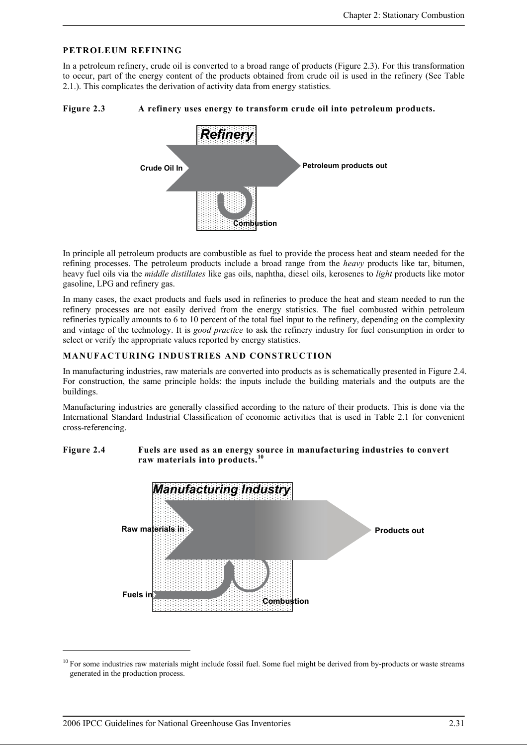#### **PETROLEUM REFINING**

In a petroleum refinery, crude oil is converted to a broad range of products (Figure 2.3). For this transformation to occur, part of the energy content of the products obtained from crude oil is used in the refinery (See Table 2.1.). This complicates the derivation of activity data from energy statistics.

**Figure 2.3 A refinery uses energy to transform crude oil into petroleum products.** 



In principle all petroleum products are combustible as fuel to provide the process heat and steam needed for the refining processes. The petroleum products include a broad range from the *heavy* products like tar, bitumen, heavy fuel oils via the *middle distillates* like gas oils, naphtha, diesel oils, kerosenes to *light* products like motor gasoline, LPG and refinery gas.

In many cases, the exact products and fuels used in refineries to produce the heat and steam needed to run the refinery processes are not easily derived from the energy statistics. The fuel combusted within petroleum refineries typically amounts to 6 to 10 percent of the total fuel input to the refinery, depending on the complexity and vintage of the technology. It is *good practice* to ask the refinery industry for fuel consumption in order to select or verify the appropriate values reported by energy statistics.

#### **MANUFACTURING INDUSTRIES AND CONSTRUCTION**

In manufacturing industries, raw materials are converted into products as is schematically presented in Figure 2.4. For construction, the same principle holds: the inputs include the building materials and the outputs are the buildings.

Manufacturing industries are generally classified according to the nature of their products. This is done via the International Standard Industrial Classification of economic activities that is used in Table 2.1 for convenient cross-referencing.

#### **Figure 2.4 Fuels are used as an energy source in manufacturing industries to convert raw materials into products.10**



<sup>&</sup>lt;sup>10</sup> For some industries raw materials might include fossil fuel. Some fuel might be derived from by-products or waste streams generated in the production process.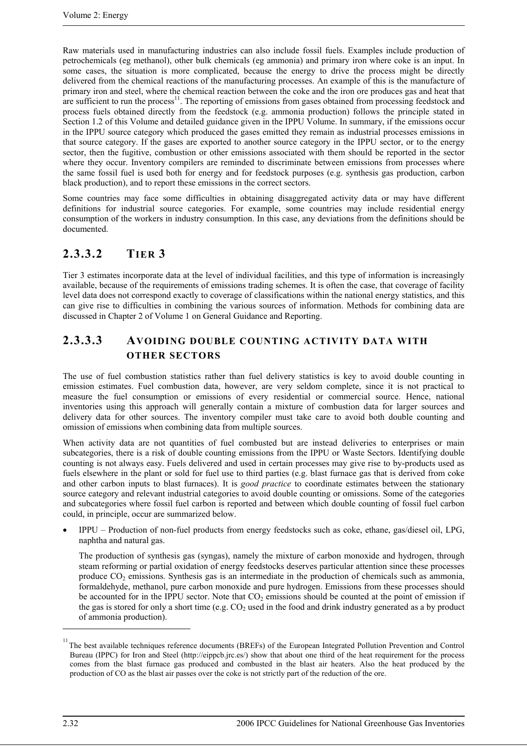Raw materials used in manufacturing industries can also include fossil fuels. Examples include production of petrochemicals (eg methanol), other bulk chemicals (eg ammonia) and primary iron where coke is an input. In some cases, the situation is more complicated, because the energy to drive the process might be directly delivered from the chemical reactions of the manufacturing processes. An example of this is the manufacture of primary iron and steel, where the chemical reaction between the coke and the iron ore produces gas and heat that are sufficient to run the process<sup>11</sup>. The reporting of emissions from gases obtained from processing feedstock and process fuels obtained directly from the feedstock (e.g. ammonia production) follows the principle stated in Section 1.2 of this Volume and detailed guidance given in the IPPU Volume. In summary, if the emissions occur in the IPPU source category which produced the gases emitted they remain as industrial processes emissions in that source category. If the gases are exported to another source category in the IPPU sector, or to the energy sector, then the fugitive, combustion or other emissions associated with them should be reported in the sector where they occur. Inventory compilers are reminded to discriminate between emissions from processes where the same fossil fuel is used both for energy and for feedstock purposes (e.g. synthesis gas production, carbon black production), and to report these emissions in the correct sectors.

Some countries may face some difficulties in obtaining disaggregated activity data or may have different definitions for industrial source categories. For example, some countries may include residential energy consumption of the workers in industry consumption. In this case, any deviations from the definitions should be documented.

### **2.3.3.2 TIER 3**

Tier 3 estimates incorporate data at the level of individual facilities, and this type of information is increasingly available, because of the requirements of emissions trading schemes. It is often the case, that coverage of facility level data does not correspond exactly to coverage of classifications within the national energy statistics, and this can give rise to difficulties in combining the various sources of information. Methods for combining data are discussed in Chapter 2 of Volume 1 on General Guidance and Reporting.

#### **2.3.3.3 AVOIDING DOUBLE COUNTING ACTIVITY DATA WITH OTHER SECTORS**

The use of fuel combustion statistics rather than fuel delivery statistics is key to avoid double counting in emission estimates. Fuel combustion data, however, are very seldom complete, since it is not practical to measure the fuel consumption or emissions of every residential or commercial source. Hence, national inventories using this approach will generally contain a mixture of combustion data for larger sources and delivery data for other sources. The inventory compiler must take care to avoid both double counting and omission of emissions when combining data from multiple sources.

When activity data are not quantities of fuel combusted but are instead deliveries to enterprises or main subcategories, there is a risk of double counting emissions from the IPPU or Waste Sectors. Identifying double counting is not always easy. Fuels delivered and used in certain processes may give rise to by-products used as fuels elsewhere in the plant or sold for fuel use to third parties (e.g. blast furnace gas that is derived from coke and other carbon inputs to blast furnaces). It is *good practice* to coordinate estimates between the stationary source category and relevant industrial categories to avoid double counting or omissions. Some of the categories and subcategories where fossil fuel carbon is reported and between which double counting of fossil fuel carbon could, in principle, occur are summarized below.

• IPPU – Production of non-fuel products from energy feedstocks such as coke, ethane, gas/diesel oil, LPG, naphtha and natural gas.

The production of synthesis gas (syngas), namely the mixture of carbon monoxide and hydrogen, through steam reforming or partial oxidation of energy feedstocks deserves particular attention since these processes produce  $CO<sub>2</sub>$  emissions. Synthesis gas is an intermediate in the production of chemicals such as ammonia, formaldehyde, methanol, pure carbon monoxide and pure hydrogen. Emissions from these processes should be accounted for in the IPPU sector. Note that  $CO<sub>2</sub>$  emissions should be counted at the point of emission if the gas is stored for only a short time (e.g.  $CO<sub>2</sub>$  used in the food and drink industry generated as a by product of ammonia production).

<sup>&</sup>lt;sup>11</sup> The best available techniques reference documents (BREFs) of the European Integrated Pollution Prevention and Control Bureau (IPPC) for Iron and Steel (http://eippcb.jrc.es/) show that about one third of the heat requirement for the process comes from the blast furnace gas produced and combusted in the blast air heaters. Also the heat produced by the production of CO as the blast air passes over the coke is not strictly part of the reduction of the ore.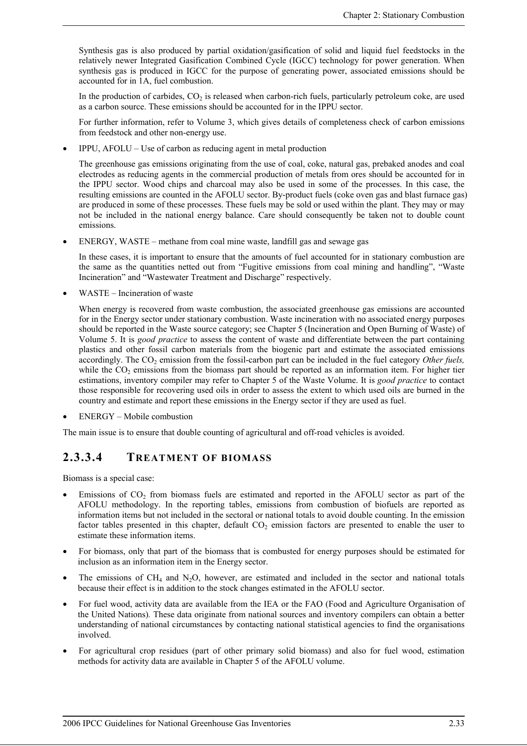Synthesis gas is also produced by partial oxidation/gasification of solid and liquid fuel feedstocks in the relatively newer Integrated Gasification Combined Cycle (IGCC) technology for power generation. When synthesis gas is produced in IGCC for the purpose of generating power, associated emissions should be accounted for in 1A, fuel combustion.

In the production of carbides,  $CO<sub>2</sub>$  is released when carbon-rich fuels, particularly petroleum coke, are used as a carbon source. These emissions should be accounted for in the IPPU sector.

For further information, refer to Volume 3, which gives details of completeness check of carbon emissions from feedstock and other non-energy use.

• IPPU, AFOLU – Use of carbon as reducing agent in metal production

The greenhouse gas emissions originating from the use of coal, coke, natural gas, prebaked anodes and coal electrodes as reducing agents in the commercial production of metals from ores should be accounted for in the IPPU sector. Wood chips and charcoal may also be used in some of the processes. In this case, the resulting emissions are counted in the AFOLU sector. By-product fuels (coke oven gas and blast furnace gas) are produced in some of these processes. These fuels may be sold or used within the plant. They may or may not be included in the national energy balance. Care should consequently be taken not to double count emissions.

• ENERGY, WASTE – methane from coal mine waste, landfill gas and sewage gas

In these cases, it is important to ensure that the amounts of fuel accounted for in stationary combustion are the same as the quantities netted out from "Fugitive emissions from coal mining and handling", "Waste Incineration" and "Wastewater Treatment and Discharge" respectively.

WASTE – Incineration of waste

When energy is recovered from waste combustion, the associated greenhouse gas emissions are accounted for in the Energy sector under stationary combustion. Waste incineration with no associated energy purposes should be reported in the Waste source category; see Chapter 5 (Incineration and Open Burning of Waste) of Volume 5. It is *good practice* to assess the content of waste and differentiate between the part containing plastics and other fossil carbon materials from the biogenic part and estimate the associated emissions accordingly. The CO<sub>2</sub> emission from the fossil-carbon part can be included in the fuel category *Other fuels*, while the  $CO<sub>2</sub>$  emissions from the biomass part should be reported as an information item. For higher tier estimations, inventory compiler may refer to Chapter 5 of the Waste Volume. It is *good practice* to contact those responsible for recovering used oils in order to assess the extent to which used oils are burned in the country and estimate and report these emissions in the Energy sector if they are used as fuel.

• ENERGY – Mobile combustion

The main issue is to ensure that double counting of agricultural and off-road vehicles is avoided.

### **2.3.3.4 TREATMENT OF BIOMASS**

Biomass is a special case:

- Emissions of CO<sub>2</sub> from biomass fuels are estimated and reported in the AFOLU sector as part of the AFOLU methodology. In the reporting tables, emissions from combustion of biofuels are reported as information items but not included in the sectoral or national totals to avoid double counting. In the emission factor tables presented in this chapter, default  $CO<sub>2</sub>$  emission factors are presented to enable the user to estimate these information items.
- For biomass, only that part of the biomass that is combusted for energy purposes should be estimated for inclusion as an information item in the Energy sector.
- The emissions of  $CH_4$  and  $N_2O$ , however, are estimated and included in the sector and national totals because their effect is in addition to the stock changes estimated in the AFOLU sector.
- For fuel wood, activity data are available from the IEA or the FAO (Food and Agriculture Organisation of the United Nations)*.* These data originate from national sources and inventory compilers can obtain a better understanding of national circumstances by contacting national statistical agencies to find the organisations involved.
- For agricultural crop residues (part of other primary solid biomass) and also for fuel wood, estimation methods for activity data are available in Chapter 5 of the AFOLU volume.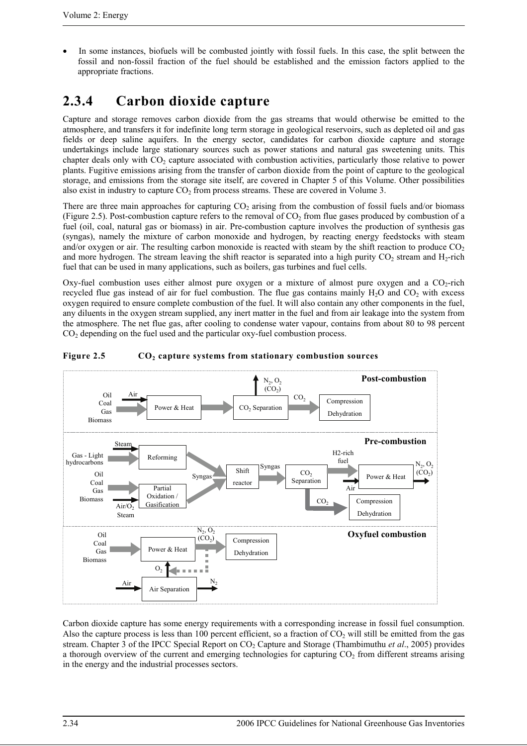In some instances, biofuels will be combusted jointly with fossil fuels. In this case, the split between the fossil and non-fossil fraction of the fuel should be established and the emission factors applied to the appropriate fractions.

# **2.3.4 Carbon dioxide capture**

Capture and storage removes carbon dioxide from the gas streams that would otherwise be emitted to the atmosphere, and transfers it for indefinite long term storage in geological reservoirs, such as depleted oil and gas fields or deep saline aquifers. In the energy sector, candidates for carbon dioxide capture and storage undertakings include large stationary sources such as power stations and natural gas sweetening units. This chapter deals only with  $CO<sub>2</sub>$  capture associated with combustion activities, particularly those relative to power plants. Fugitive emissions arising from the transfer of carbon dioxide from the point of capture to the geological storage, and emissions from the storage site itself, are covered in Chapter 5 of this Volume. Other possibilities also exist in industry to capture  $CO<sub>2</sub>$  from process streams. These are covered in Volume 3.

There are three main approaches for capturing  $CO<sub>2</sub>$  arising from the combustion of fossil fuels and/or biomass (Figure 2.5). Post-combustion capture refers to the removal of  $CO<sub>2</sub>$  from flue gases produced by combustion of a fuel (oil, coal, natural gas or biomass) in air. Pre-combustion capture involves the production of synthesis gas (syngas), namely the mixture of carbon monoxide and hydrogen, by reacting energy feedstocks with steam and/or oxygen or air. The resulting carbon monoxide is reacted with steam by the shift reaction to produce  $CO<sub>2</sub>$ and more hydrogen. The stream leaving the shift reactor is separated into a high purity  $CO<sub>2</sub>$  stream and H<sub>2</sub>-rich fuel that can be used in many applications, such as boilers, gas turbines and fuel cells.

Oxy-fuel combustion uses either almost pure oxygen or a mixture of almost pure oxygen and a  $CO<sub>2</sub>$ -rich recycled flue gas instead of air for fuel combustion. The flue gas contains mainly  $H<sub>2</sub>O$  and  $CO<sub>2</sub>$  with excess oxygen required to ensure complete combustion of the fuel. It will also contain any other components in the fuel, any diluents in the oxygen stream supplied, any inert matter in the fuel and from air leakage into the system from the atmosphere. The net flue gas, after cooling to condense water vapour, contains from about 80 to 98 percent CO2 depending on the fuel used and the particular oxy-fuel combustion process.





Carbon dioxide capture has some energy requirements with a corresponding increase in fossil fuel consumption. Also the capture process is less than 100 percent efficient, so a fraction of  $CO<sub>2</sub>$  will still be emitted from the gas stream. Chapter 3 of the IPCC Special Report on CO<sub>2</sub> Capture and Storage (Thambimuthu *et al.*, 2005) provides a thorough overview of the current and emerging technologies for capturing  $CO<sub>2</sub>$  from different streams arising in the energy and the industrial processes sectors.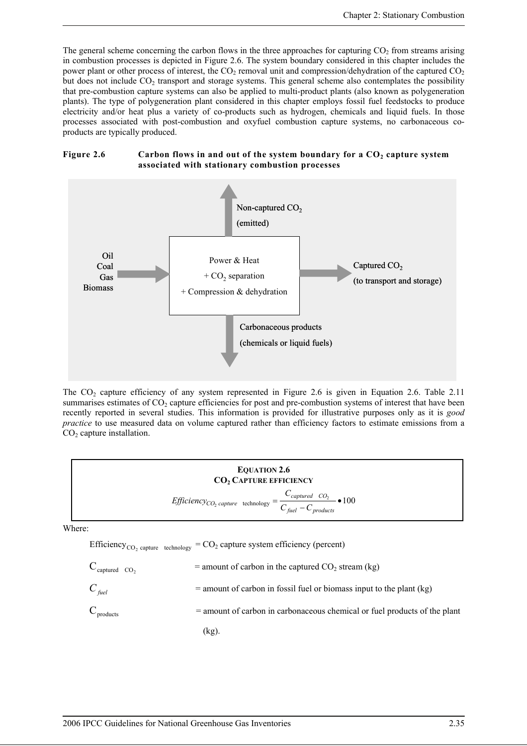The general scheme concerning the carbon flows in the three approaches for capturing  $CO<sub>2</sub>$  from streams arising in combustion processes is depicted in Figure 2.6. The system boundary considered in this chapter includes the power plant or other process of interest, the  $CO<sub>2</sub>$  removal unit and compression/dehydration of the captured  $CO<sub>2</sub>$ but does not include CO<sub>2</sub> transport and storage systems. This general scheme also contemplates the possibility that pre-combustion capture systems can also be applied to multi-product plants (also known as polygeneration plants). The type of polygeneration plant considered in this chapter employs fossil fuel feedstocks to produce electricity and/or heat plus a variety of co-products such as hydrogen, chemicals and liquid fuels. In those processes associated with post-combustion and oxyfuel combustion capture systems, no carbonaceous coproducts are typically produced.





The  $CO<sub>2</sub>$  capture efficiency of any system represented in Figure 2.6 is given in Equation 2.6. Table 2.11 summarises estimates of  $CO<sub>2</sub>$  capture efficiencies for post and pre-combustion systems of interest that have been recently reported in several studies. This information is provided for illustrative purposes only as it is *good practice* to use measured data on volume captured rather than efficiency factors to estimate emissions from a  $CO<sub>2</sub>$  capture installation.



Where:

Efficiency<sub>CO<sub>2</sub> capture technology =  $CO_2$  capture system efficiency (percent)</sub>  $C_{\text{captured CO}}$ , = amount of carbon in the captured  $CO_2$  stream (kg)

$$
C_{\text{fuel}}
$$
 = amount of carbon in fossil fuel or biomass input to the plant (kg)

 $C<sub>products</sub>$  = amount of carbon in carbonaceous chemical or fuel products of the plant

(kg).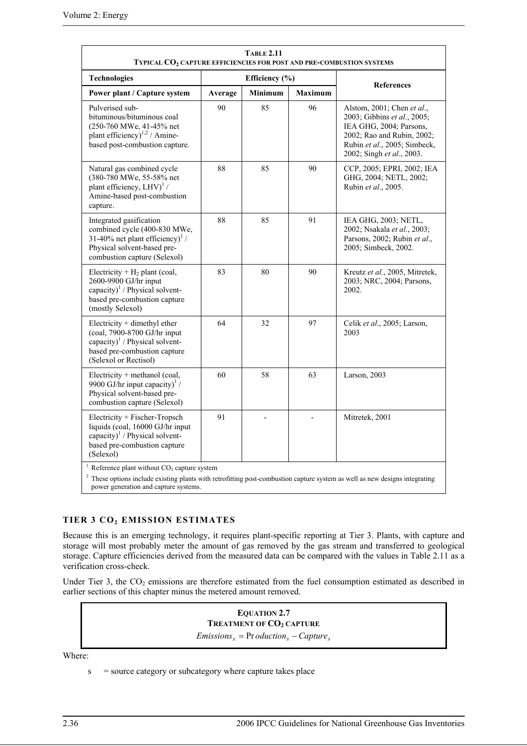| TYPICAL $\mathrm{CO}_2$ CAPTURE EFFICIENCIES FOR POST AND PRE-COMBUSTION SYSTEMS                                                                                                                             |         | <b>TABLE 2.11</b> |         |                                                                                                                                                                                 |
|--------------------------------------------------------------------------------------------------------------------------------------------------------------------------------------------------------------|---------|-------------------|---------|---------------------------------------------------------------------------------------------------------------------------------------------------------------------------------|
| <b>Technologies</b>                                                                                                                                                                                          |         | Efficiency (%)    |         | <b>References</b>                                                                                                                                                               |
| Power plant / Capture system                                                                                                                                                                                 | Average | Minimum           | Maximum |                                                                                                                                                                                 |
| Pulverised sub-<br>bituminous/bituminous coal<br>(250-760 MWe, 41-45% net<br>plant efficiency) <sup>1,2</sup> / Amine-<br>based post-combustion capture.                                                     | 90      | 85                | 96      | Alstom, 2001; Chen et al.,<br>2003; Gibbins et al., 2005;<br>IEA GHG, 2004; Parsons,<br>2002; Rao and Rubin, 2002;<br>Rubin et al., 2005; Simbeck,<br>2002; Singh et al., 2003. |
| Natural gas combined cycle<br>(380-780 MWe, 55-58% net<br>plant efficiency, $LHV$ <sup>1</sup> /<br>Amine-based post-combustion<br>capture.                                                                  | 88      | 85                | 90      | CCP, 2005; EPRI, 2002; IEA<br>GHG, 2004; NETL, 2002;<br>Rubin et al., 2005.                                                                                                     |
| Integrated gasification<br>combined cycle (400-830 MWe,<br>31-40% net plant efficiency) <sup><math>1/</math></sup><br>Physical solvent-based pre-<br>combustion capture (Selexol)                            | 88      | 85                | 91      | IEA GHG, 2003; NETL,<br>2002; Nsakala et al., 2003;<br>Parsons, 2002; Rubin et al.,<br>2005; Simbeck, 2002.                                                                     |
| Electricity $+ H_2$ plant (coal,<br>2600-9900 GJ/hr input<br>capacity) $\frac{1}{1}$ / Physical solvent-<br>based pre-combustion capture<br>(mostly Selexol)                                                 | 83      | 80                | 90      | Kreutz et al., 2005, Mitretek,<br>2003; NRC, 2004; Parsons,<br>2002.                                                                                                            |
| Electricity + dimethyl ether<br>(coal, 7900-8700 GJ/hr input<br>capacity) $1/$ Physical solvent-<br>based pre-combustion capture<br>(Selexol or Rectisol)                                                    | 64      | 32                | 97      | Celik et al., 2005; Larson,<br>2003                                                                                                                                             |
| Electricity + methanol (coal,<br>9900 GJ/hr input capacity) <sup>1</sup> /<br>Physical solvent-based pre-<br>combustion capture (Selexol)                                                                    | 60      | 58                | 63      | Larson, 2003                                                                                                                                                                    |
| Electricity + Fischer-Tropsch<br>liquids (coal, 16000 GJ/hr input<br>capacity) $1/$ Physical solvent-<br>based pre-combustion capture<br>(Selexol)<br>Reference plant without CO <sub>2</sub> capture system | 91      |                   |         | Mitretek, 2001                                                                                                                                                                  |

<sup>2</sup> These options include existing plants with retrofitting post-combustion capture system as well as new designs integrating power generation and capture systems.

#### **TIER 3 CO2 EMISSION ESTIMATES**

Because this is an emerging technology, it requires plant-specific reporting at Tier 3. Plants, with capture and storage will most probably meter the amount of gas removed by the gas stream and transferred to geological storage. Capture efficiencies derived from the measured data can be compared with the values in Table 2.11 as a verification cross-check.

Under Tier 3, the  $CO<sub>2</sub>$  emissions are therefore estimated from the fuel consumption estimated as described in earlier sections of this chapter minus the metered amount removed.

#### **EQUATION 2.7 TREATMENT OF CO2 CAPTURE**

 $Emissions<sub>s</sub> = Pr*oduction<sub>s</sub> - Capture<sub>s</sub>*$ 

Where:

s = source category or subcategory where capture takes place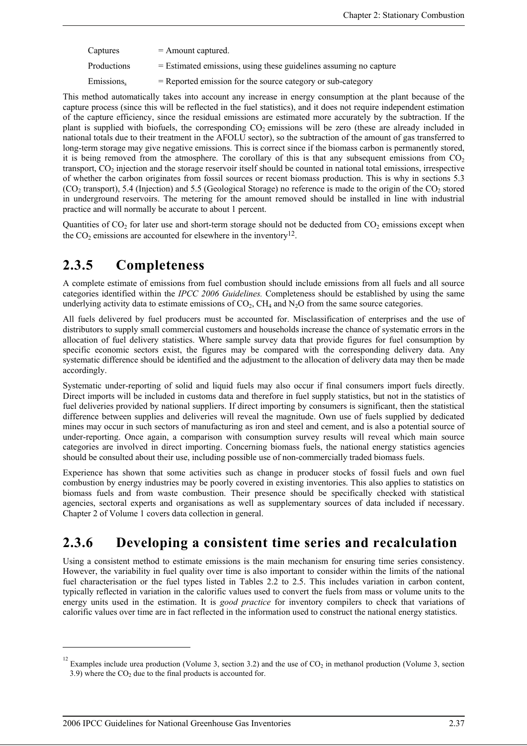- Captures = Amount captured.
- Productions = Estimated emissions, using these guidelines assuming no capture
- $E$ missions<sub>s</sub>  $=$  Reported emission for the source category or sub-category

This method automatically takes into account any increase in energy consumption at the plant because of the capture process (since this will be reflected in the fuel statistics), and it does not require independent estimation of the capture efficiency, since the residual emissions are estimated more accurately by the subtraction. If the plant is supplied with biofuels, the corresponding  $CO<sub>2</sub>$  emissions will be zero (these are already included in national totals due to their treatment in the AFOLU sector), so the subtraction of the amount of gas transferred to long-term storage may give negative emissions. This is correct since if the biomass carbon is permanently stored, it is being removed from the atmosphere. The corollary of this is that any subsequent emissions from  $CO<sub>2</sub>$ transport, CO<sub>2</sub> injection and the storage reservoir itself should be counted in national total emissions, irrespective of whether the carbon originates from fossil sources or recent biomass production. This is why in sections 5.3 (CO2 transport), 5.4 (Injection) and 5.5 (Geological Storage) no reference is made to the origin of the CO2 stored in underground reservoirs. The metering for the amount removed should be installed in line with industrial practice and will normally be accurate to about 1 percent.

Quantities of  $CO_2$  for later use and short-term storage should not be deducted from  $CO_2$  emissions except when the  $CO<sub>2</sub>$  emissions are accounted for elsewhere in the inventory<sup>12</sup>.

### **2.3.5 Completeness**

A complete estimate of emissions from fuel combustion should include emissions from all fuels and all source categories identified within the *IPCC 2006 Guidelines.* Completeness should be established by using the same underlying activity data to estimate emissions of  $CO<sub>2</sub>$ ,  $CH<sub>4</sub>$  and  $N<sub>2</sub>O$  from the same source categories.

All fuels delivered by fuel producers must be accounted for. Misclassification of enterprises and the use of distributors to supply small commercial customers and households increase the chance of systematic errors in the allocation of fuel delivery statistics. Where sample survey data that provide figures for fuel consumption by specific economic sectors exist, the figures may be compared with the corresponding delivery data. Any systematic difference should be identified and the adjustment to the allocation of delivery data may then be made accordingly.

Systematic under-reporting of solid and liquid fuels may also occur if final consumers import fuels directly. Direct imports will be included in customs data and therefore in fuel supply statistics, but not in the statistics of fuel deliveries provided by national suppliers. If direct importing by consumers is significant, then the statistical difference between supplies and deliveries will reveal the magnitude. Own use of fuels supplied by dedicated mines may occur in such sectors of manufacturing as iron and steel and cement, and is also a potential source of under-reporting. Once again, a comparison with consumption survey results will reveal which main source categories are involved in direct importing. Concerning biomass fuels, the national energy statistics agencies should be consulted about their use, including possible use of non-commercially traded biomass fuels.

Experience has shown that some activities such as change in producer stocks of fossil fuels and own fuel combustion by energy industries may be poorly covered in existing inventories. This also applies to statistics on biomass fuels and from waste combustion. Their presence should be specifically checked with statistical agencies, sectoral experts and organisations as well as supplementary sources of data included if necessary. Chapter 2 of Volume 1 covers data collection in general.

### **2.3.6 Developing a consistent time series and recalculation**

Using a consistent method to estimate emissions is the main mechanism for ensuring time series consistency. However, the variability in fuel quality over time is also important to consider within the limits of the national fuel characterisation or the fuel types listed in Tables 2.2 to 2.5. This includes variation in carbon content, typically reflected in variation in the calorific values used to convert the fuels from mass or volume units to the energy units used in the estimation. It is *good practice* for inventory compilers to check that variations of calorific values over time are in fact reflected in the information used to construct the national energy statistics.

<sup>12</sup> Examples include urea production (Volume 3, section 3.2) and the use of  $CO<sub>2</sub>$  in methanol production (Volume 3, section 3.9) where the  $CO<sub>2</sub>$  due to the final products is accounted for.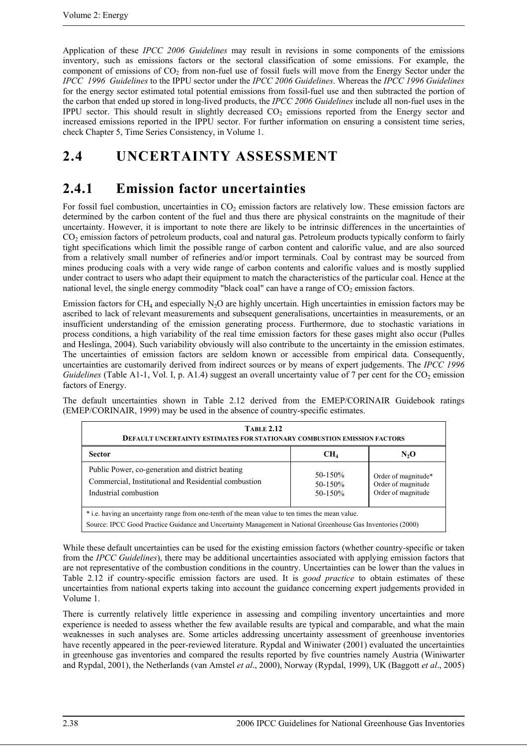Application of these *IPCC 2006 Guidelines* may result in revisions in some components of the emissions inventory, such as emissions factors or the sectoral classification of some emissions. For example, the component of emissions of  $CO<sub>2</sub>$  from non-fuel use of fossil fuels will move from the Energy Sector under the *IPCC 1996 Guidelines* to the IPPU sector under the *IPCC 2006 Guidelines*. Whereas the *IPCC 1996 Guidelines* for the energy sector estimated total potential emissions from fossil-fuel use and then subtracted the portion of the carbon that ended up stored in long-lived products, the *IPCC 2006 Guidelines* include all non-fuel uses in the IPPU sector. This should result in slightly decreased  $CO<sub>2</sub>$  emissions reported from the Energy sector and increased emissions reported in the IPPU sector. For further information on ensuring a consistent time series, check Chapter 5, Time Series Consistency, in Volume 1.

# **2.4 UNCERTAINTY ASSESSMENT**

### **2.4.1 Emission factor uncertainties**

For fossil fuel combustion, uncertainties in  $CO<sub>2</sub>$  emission factors are relatively low. These emission factors are determined by the carbon content of the fuel and thus there are physical constraints on the magnitude of their uncertainty. However, it is important to note there are likely to be intrinsic differences in the uncertainties of CO2 emission factors of petroleum products, coal and natural gas. Petroleum products typically conform to fairly tight specifications which limit the possible range of carbon content and calorific value, and are also sourced from a relatively small number of refineries and/or import terminals. Coal by contrast may be sourced from mines producing coals with a very wide range of carbon contents and calorific values and is mostly supplied under contract to users who adapt their equipment to match the characteristics of the particular coal. Hence at the national level, the single energy commodity "black coal" can have a range of CO<sub>2</sub> emission factors.

Emission factors for  $CH_4$  and especially N<sub>2</sub>O are highly uncertain. High uncertainties in emission factors may be ascribed to lack of relevant measurements and subsequent generalisations, uncertainties in measurements, or an insufficient understanding of the emission generating process. Furthermore, due to stochastic variations in process conditions, a high variability of the real time emission factors for these gases might also occur (Pulles and Heslinga, 2004). Such variability obviously will also contribute to the uncertainty in the emission estimates. The uncertainties of emission factors are seldom known or accessible from empirical data. Consequently, uncertainties are customarily derived from indirect sources or by means of expert judgements. The *IPCC 1996 Guidelines* (Table A1-1, Vol. I, p. A1.4) suggest an overall uncertainty value of 7 per cent for the CO<sub>2</sub> emission factors of Energy.

The default uncertainties shown in Table 2.12 derived from the EMEP/CORINAIR Guidebook ratings (EMEP/CORINAIR, 1999) may be used in the absence of country-specific estimates.

| <b>TABLE 2.12</b><br><b>DEFAULT UNCERTAINTY ESTIMATES FOR STATIONARY COMBUSTION EMISSION FACTORS</b>                              |                                 |                                                                 |
|-----------------------------------------------------------------------------------------------------------------------------------|---------------------------------|-----------------------------------------------------------------|
| <b>Sector</b>                                                                                                                     | CH <sub>4</sub>                 | N <sub>2</sub> O                                                |
| Public Power, co-generation and district heating<br>Commercial, Institutional and Residential combustion<br>Industrial combustion | 50-150%<br>50-150%<br>$50-150%$ | Order of magnitude*<br>Order of magnitude<br>Order of magnitude |
| * i.e. having an uncertainty range from one-tenth of the mean value to ten times the mean value.                                  |                                 |                                                                 |

Source: IPCC Good Practice Guidance and Uncertainty Management in National Greenhouse Gas Inventories (2000)

While these default uncertainties can be used for the existing emission factors (whether country-specific or taken from the *IPCC Guidelines*), there may be additional uncertainties associated with applying emission factors that are not representative of the combustion conditions in the country. Uncertainties can be lower than the values in Table 2.12 if country-specific emission factors are used. It is *good practice* to obtain estimates of these uncertainties from national experts taking into account the guidance concerning expert judgements provided in Volume 1.

There is currently relatively little experience in assessing and compiling inventory uncertainties and more experience is needed to assess whether the few available results are typical and comparable, and what the main weaknesses in such analyses are. Some articles addressing uncertainty assessment of greenhouse inventories have recently appeared in the peer-reviewed literature. Rypdal and Winiwater (2001) evaluated the uncertainties in greenhouse gas inventories and compared the results reported by five countries namely Austria (Winiwarter and Rypdal, 2001), the Netherlands (van Amstel *et al*., 2000), Norway (Rypdal, 1999), UK (Baggott *et al*., 2005)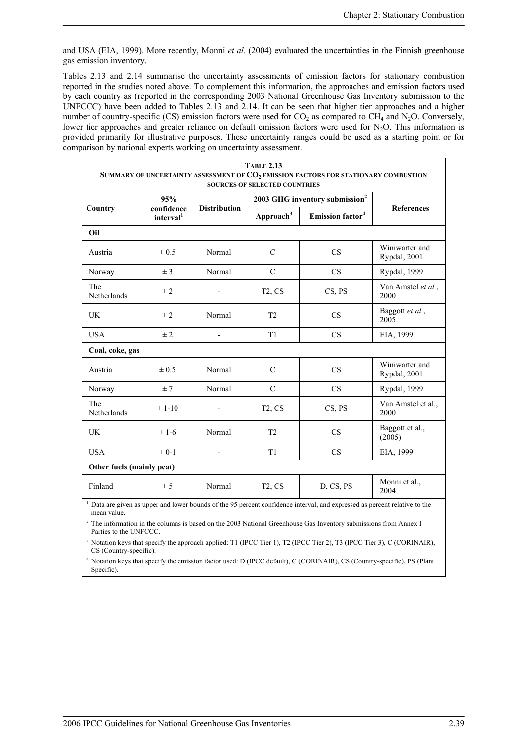and USA (EIA, 1999). More recently, Monni *et al*. (2004) evaluated the uncertainties in the Finnish greenhouse gas emission inventory.

Tables 2.13 and 2.14 summarise the uncertainty assessments of emission factors for stationary combustion reported in the studies noted above. To complement this information, the approaches and emission factors used by each country as (reported in the corresponding 2003 National Greenhouse Gas Inventory submission to the UNFCCC) have been added to Tables 2.13 and 2.14. It can be seen that higher tier approaches and a higher number of country-specific (CS) emission factors were used for  $CO<sub>2</sub>$  as compared to CH<sub>4</sub> and N<sub>2</sub>O. Conversely, lower tier approaches and greater reliance on default emission factors were used for  $N_2O$ . This information is provided primarily for illustrative purposes. These uncertainty ranges could be used as a starting point or for comparison by national experts working on uncertainty assessment.

|                           |                                     |                     | <b>TABLE 2.13</b><br><b>SOURCES OF SELECTED COUNTRIES</b> | SUMMARY OF UNCERTAINTY ASSESSMENT OF CO <sub>2</sub> EMISSION FACTORS FOR STATIONARY COMBUSTION                                                                                                                                                                       |                                |
|---------------------------|-------------------------------------|---------------------|-----------------------------------------------------------|-----------------------------------------------------------------------------------------------------------------------------------------------------------------------------------------------------------------------------------------------------------------------|--------------------------------|
|                           | 95%                                 |                     |                                                           | 2003 GHG inventory submission <sup>2</sup>                                                                                                                                                                                                                            |                                |
| Country                   | confidence<br>interval <sup>1</sup> | <b>Distribution</b> | Approach <sup>3</sup>                                     | Emission factor <sup>4</sup>                                                                                                                                                                                                                                          | <b>References</b>              |
| Oil                       |                                     |                     |                                                           |                                                                                                                                                                                                                                                                       |                                |
| Austria                   | $\pm 0.5$                           | Normal              | $\mathcal{C}$                                             | <b>CS</b>                                                                                                                                                                                                                                                             | Winiwarter and<br>Rypdal, 2001 |
| Norway                    | $±$ 3                               | Normal              | $\mathcal{C}$                                             | <b>CS</b>                                                                                                                                                                                                                                                             | Rypdal, 1999                   |
| The<br>Netherlands        | $\pm 2$                             |                     | T <sub>2</sub> , C <sub>S</sub>                           | CS, PS                                                                                                                                                                                                                                                                | Van Amstel et al.,<br>2000     |
| <b>UK</b>                 | ± 2                                 | Normal              | T <sub>2</sub>                                            | <b>CS</b>                                                                                                                                                                                                                                                             | Baggott et al.,<br>2005        |
| <b>USA</b>                | ± 2                                 |                     | T1                                                        | <b>CS</b>                                                                                                                                                                                                                                                             | EIA, 1999                      |
| Coal, coke, gas           |                                     |                     |                                                           |                                                                                                                                                                                                                                                                       |                                |
| Austria                   | $\pm$ 0.5                           | Normal              | $\mathcal{C}$                                             | <b>CS</b>                                                                                                                                                                                                                                                             | Winiwarter and<br>Rypdal, 2001 |
| Norway                    | ±7                                  | Normal              | $\mathcal{C}$                                             | <b>CS</b>                                                                                                                                                                                                                                                             | Rypdal, 1999                   |
| The<br>Netherlands        | $\pm$ 1-10                          |                     | T <sub>2</sub> , C <sub>S</sub>                           | CS, PS                                                                                                                                                                                                                                                                | Van Amstel et al.,<br>2000     |
| <b>UK</b>                 | $±1-6$                              | Normal              | T <sub>2</sub>                                            | <b>CS</b>                                                                                                                                                                                                                                                             | Baggott et al.,<br>(2005)      |
| <b>USA</b>                | $\pm 0-1$                           |                     | T1                                                        | <b>CS</b>                                                                                                                                                                                                                                                             | EIA, 1999                      |
| Other fuels (mainly peat) |                                     |                     |                                                           |                                                                                                                                                                                                                                                                       |                                |
| Finland                   | ± 5                                 | Normal              | T <sub>2</sub> , C <sub>S</sub>                           | D, CS, PS                                                                                                                                                                                                                                                             | Monni et al.,<br>2004          |
| mean value.               |                                     |                     |                                                           | <sup>1</sup> Data are given as upper and lower bounds of the 95 percent confidence interval, and expressed as percent relative to the<br>$\frac{2}{3}$ The information in the columns is based on the 2003 National Greenhouse Gas Inventory submissions from Annex I |                                |

<sup>2</sup> The information in the columns is based on the 2003 National Greenhouse Gas Inventory submissions from Annex I Parties to the UNFCCC.

<sup>3</sup> Notation keys that specify the approach applied: T1 (IPCC Tier 1), T2 (IPCC Tier 2), T3 (IPCC Tier 3), C (CORINAIR), CS (Country-specific).

Notation keys that specify the emission factor used: D (IPCC default), C (CORINAIR), CS (Country-specific), PS (Plant Specific).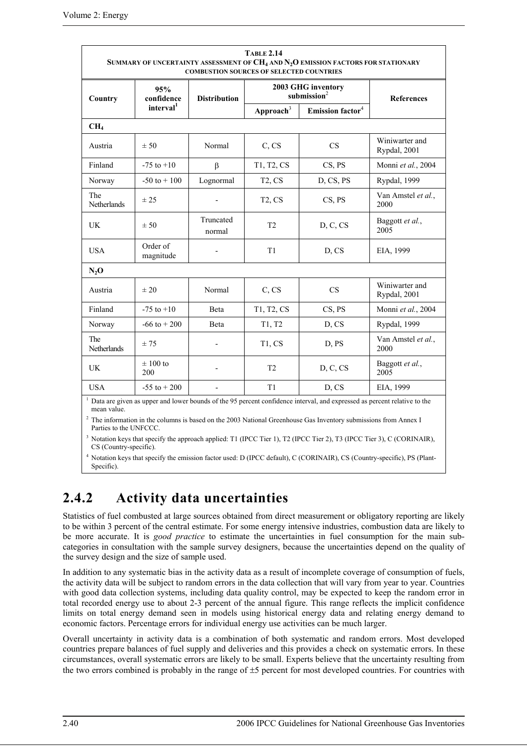|                           |                       | <b>COMBUSTION SOURCES OF SELECTED COUNTRIES</b> | <b>TABLE 2.14</b>               | SUMMARY OF UNCERTAINTY ASSESSMENT OF $CH_4$ AND $N_2O$ EMISSION FACTORS FOR STATIONARY |                                |
|---------------------------|-----------------------|-------------------------------------------------|---------------------------------|----------------------------------------------------------------------------------------|--------------------------------|
| Country                   | 95%<br>confidence     | <b>Distribution</b>                             |                                 | 2003 GHG inventory<br>submission $2$                                                   | <b>References</b>              |
|                           | interval <sup>1</sup> |                                                 | Approach <sup>3</sup>           | Emission factor <sup>4</sup>                                                           |                                |
| CH <sub>4</sub>           |                       |                                                 |                                 |                                                                                        |                                |
| Austria                   | ± 50                  | Normal                                          | C, CS                           | <b>CS</b>                                                                              | Winiwarter and<br>Rypdal, 2001 |
| Finland                   | $-75$ to $+10$        | β                                               | T1, T2, CS                      | CS, PS                                                                                 | Monni et al., 2004             |
| Norway                    | $-50$ to $+100$       | Lognormal                                       | T <sub>2</sub> , C <sub>S</sub> | D, CS, PS                                                                              | Rypdal, 1999                   |
| The<br>Netherlands        | ± 25                  |                                                 | T <sub>2</sub> , C <sub>S</sub> | CS, PS                                                                                 | Van Amstel et al.,<br>2000     |
| <b>UK</b>                 | ± 50                  | Truncated<br>normal                             | T <sub>2</sub>                  | D, C, CS                                                                               | Baggott et al.,<br>2005        |
| <b>USA</b>                | Order of<br>magnitude |                                                 | T <sub>1</sub>                  | D, CS                                                                                  | EIA, 1999                      |
| $N_2$ O                   |                       |                                                 |                                 |                                                                                        |                                |
| Austria                   | $\pm 20$              | Normal                                          | C, CS                           | CS                                                                                     | Winiwarter and<br>Rypdal, 2001 |
| Finland                   | $-75$ to $+10$        | Beta                                            | T1, T2, CS                      | CS, PS                                                                                 | Monni et al., 2004             |
| Norway                    | $-66$ to $+200$       | Beta                                            | T <sub>1</sub> , T <sub>2</sub> | D, CS                                                                                  | Rypdal, 1999                   |
| The<br><b>Netherlands</b> | ±75                   |                                                 | T1, CS                          | D, PS                                                                                  | Van Amstel et al.,<br>2000     |
| UK                        | $\pm 100$ to<br>200   |                                                 | T <sub>2</sub>                  | D, C, CS                                                                               | Baggott et al.,<br>2005        |
| <b>USA</b>                | $-55$ to $+200$       |                                                 | T1                              | D, CS                                                                                  | EIA, 1999                      |

<sup>1</sup> Data are given as upper and lower bounds of the 95 percent confidence interval, and expressed as percent relative to the mean value.

<sup>2</sup> The information in the columns is based on the 2003 National Greenhouse Gas Inventory submissions from Annex I Parties to the UNFCCC.

<sup>3</sup> Notation keys that specify the approach applied: T1 (IPCC Tier 1), T2 (IPCC Tier 2), T3 (IPCC Tier 3), C (CORINAIR), CS (Country-specific).

4 Notation keys that specify the emission factor used: D (IPCC default), C (CORINAIR), CS (Country-specific), PS (Plant-Specific).

# **2.4.2 Activity data uncertainties**

Statistics of fuel combusted at large sources obtained from direct measurement or obligatory reporting are likely to be within 3 percent of the central estimate. For some energy intensive industries, combustion data are likely to be more accurate. It is *good practice* to estimate the uncertainties in fuel consumption for the main subcategories in consultation with the sample survey designers, because the uncertainties depend on the quality of the survey design and the size of sample used.

In addition to any systematic bias in the activity data as a result of incomplete coverage of consumption of fuels, the activity data will be subject to random errors in the data collection that will vary from year to year. Countries with good data collection systems, including data quality control, may be expected to keep the random error in total recorded energy use to about 2-3 percent of the annual figure. This range reflects the implicit confidence limits on total energy demand seen in models using historical energy data and relating energy demand to economic factors. Percentage errors for individual energy use activities can be much larger.

Overall uncertainty in activity data is a combination of both systematic and random errors. Most developed countries prepare balances of fuel supply and deliveries and this provides a check on systematic errors. In these circumstances, overall systematic errors are likely to be small. Experts believe that the uncertainty resulting from the two errors combined is probably in the range of  $\pm 5$  percent for most developed countries. For countries with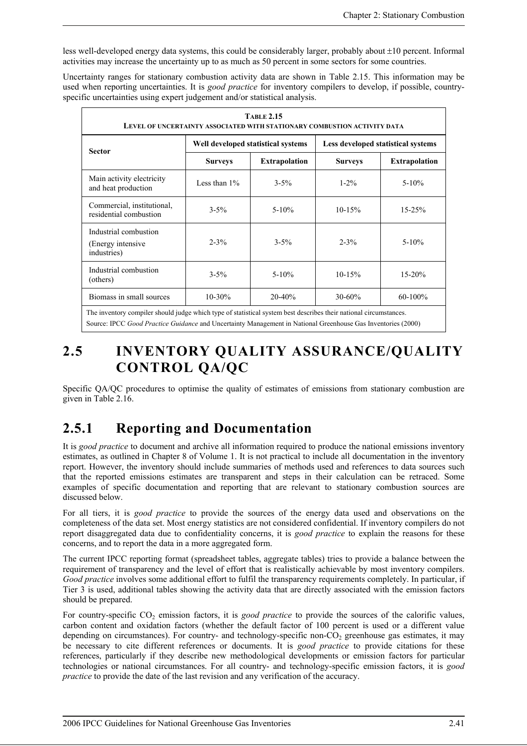less well-developed energy data systems, this could be considerably larger, probably about ±10 percent. Informal activities may increase the uncertainty up to as much as 50 percent in some sectors for some countries.

Uncertainty ranges for stationary combustion activity data are shown in Table 2.15. This information may be used when reporting uncertainties. It is *good practice* for inventory compilers to develop, if possible, countryspecific uncertainties using expert judgement and/or statistical analysis.

|                 |                      |                                                         | Less developed statistical systems                                       |
|-----------------|----------------------|---------------------------------------------------------|--------------------------------------------------------------------------|
| <b>Surveys</b>  | <b>Extrapolation</b> | <b>Surveys</b>                                          | <b>Extrapolation</b>                                                     |
| Less than $1\%$ | $3 - 5\%$            | $1 - 2\%$                                               | $5 - 10\%$                                                               |
| $3 - 5\%$       | $5 - 10\%$           | $10-15%$                                                | 15-25%                                                                   |
| $2 - 3\%$       | $3 - 5\%$            | $2 - 3\%$                                               | $5 - 10\%$                                                               |
| $3 - 5\%$       | $5 - 10\%$           | $10-15%$                                                | $15 - 20%$                                                               |
| $10 - 30\%$     | 20-40%               | $30 - 60%$                                              | $60 - 100%$                                                              |
|                 |                      | <b>TABLE 2.15</b><br>Well developed statistical systems | LEVEL OF UNCERTAINTY ASSOCIATED WITH STATIONARY COMBUSTION ACTIVITY DATA |

The inventory compiler should judge which type of statistical system best describes their national circumstances. Source: IPCC *Good Practice Guidance* and Uncertainty Management in National Greenhouse Gas Inventories (2000)

# **2.5 INVENTORY QUALITY ASSURANCE/QUALITY CONTROL QA/QC**

Specific QA/QC procedures to optimise the quality of estimates of emissions from stationary combustion are given in Table 2.16.

# **2.5.1 Reporting and Documentation**

It is *good practice* to document and archive all information required to produce the national emissions inventory estimates, as outlined in Chapter 8 of Volume 1. It is not practical to include all documentation in the inventory report. However, the inventory should include summaries of methods used and references to data sources such that the reported emissions estimates are transparent and steps in their calculation can be retraced. Some examples of specific documentation and reporting that are relevant to stationary combustion sources are discussed below.

For all tiers, it is *good practice* to provide the sources of the energy data used and observations on the completeness of the data set. Most energy statistics are not considered confidential. If inventory compilers do not report disaggregated data due to confidentiality concerns, it is *good practice* to explain the reasons for these concerns, and to report the data in a more aggregated form.

The current IPCC reporting format (spreadsheet tables, aggregate tables) tries to provide a balance between the requirement of transparency and the level of effort that is realistically achievable by most inventory compilers. *Good practice* involves some additional effort to fulfil the transparency requirements completely. In particular, if Tier 3 is used, additional tables showing the activity data that are directly associated with the emission factors should be prepared.

For country-specific CO<sub>2</sub> emission factors, it is *good practice* to provide the sources of the calorific values, carbon content and oxidation factors (whether the default factor of 100 percent is used or a different value depending on circumstances). For country- and technology-specific non- $CO<sub>2</sub>$  greenhouse gas estimates, it may be necessary to cite different references or documents. It is *good practice* to provide citations for these references, particularly if they describe new methodological developments or emission factors for particular technologies or national circumstances. For all country- and technology-specific emission factors, it is *good practice* to provide the date of the last revision and any verification of the accuracy.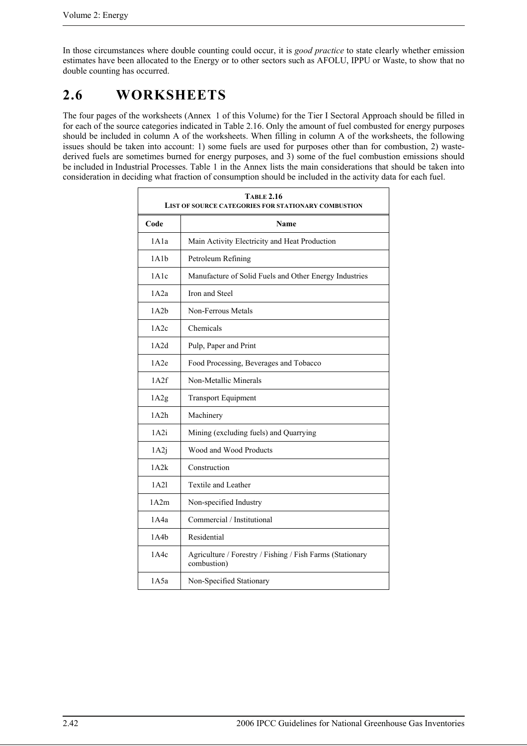In those circumstances where double counting could occur, it is *good practice* to state clearly whether emission estimates have been allocated to the Energy or to other sectors such as AFOLU, IPPU or Waste, to show that no double counting has occurred.

### **2.6 WORKSHEETS**

The four pages of the worksheets (Annex 1 of this Volume) for the Tier I Sectoral Approach should be filled in for each of the source categories indicated in Table 2.16. Only the amount of fuel combusted for energy purposes should be included in column A of the worksheets. When filling in column A of the worksheets, the following issues should be taken into account: 1) some fuels are used for purposes other than for combustion, 2) wastederived fuels are sometimes burned for energy purposes, and 3) some of the fuel combustion emissions should be included in Industrial Processes. Table 1 in the Annex lists the main considerations that should be taken into consideration in deciding what fraction of consumption should be included in the activity data for each fuel.

|      | <b>TABLE 2.16</b><br>LIST OF SOURCE CATEGORIES FOR STATIONARY COMBUSTION |
|------|--------------------------------------------------------------------------|
| Code | Name                                                                     |
| 1A1a | Main Activity Electricity and Heat Production                            |
| 1A1h | Petroleum Refining                                                       |
| 1A1c | Manufacture of Solid Fuels and Other Energy Industries                   |
| 1A2a | Iron and Steel                                                           |
| 1A2b | Non-Ferrous Metals                                                       |
| 1A2c | Chemicals                                                                |
| 1A2d | Pulp, Paper and Print                                                    |
| 1A2e | Food Processing, Beverages and Tobacco                                   |
| 1A2f | Non-Metallic Minerals                                                    |
| 1A2g | <b>Transport Equipment</b>                                               |
| 1A2h | Machinery                                                                |
| 1A2i | Mining (excluding fuels) and Quarrying                                   |
| 1A2i | Wood and Wood Products                                                   |
| 1A2k | Construction                                                             |
| 1A21 | Textile and Leather                                                      |
| 1A2m | Non-specified Industry                                                   |
| 1A4a | Commercial / Institutional                                               |
| 1A4h | Residential                                                              |
| 1A4c | Agriculture / Forestry / Fishing / Fish Farms (Stationary<br>combustion) |
| 1A5a | Non-Specified Stationary                                                 |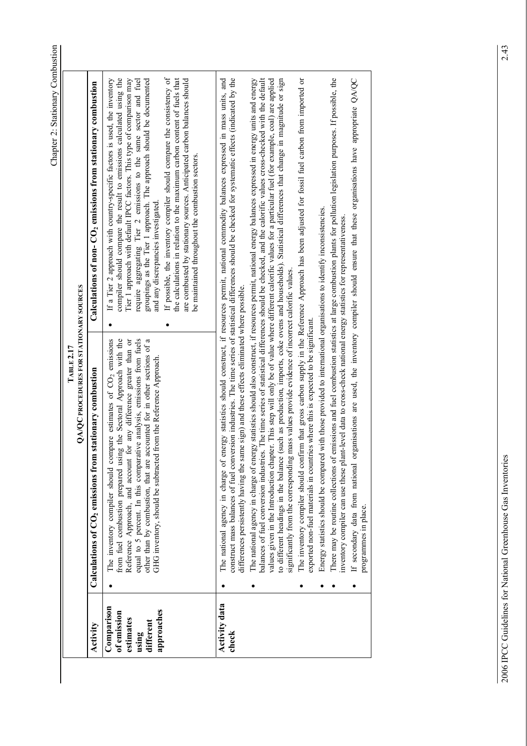Chapter 2: Stationary Combustion Chapter 2: Stationary Combustion

| construct mass balances of fuel conversion industries. The time series of statistical differences should be checked for systematic effects (indicated by the<br>balances of fuel conversion industries. The time series of statistical differences should be checked, and the calorific values cross-checked with the default<br>There may be routine collections of emissions and fuel combustion statistics at large combustion plants for pollution legislation purposes. If possible, the<br>values given in the Introduction chapter. This step will only be of value where different calorific values for a particular fuel (for example, coal) are applied<br>to different headings in the balance (such as production, imports, coke ovens and households). Statistical differences that change in magnitude or sign<br>The inventory compiler should confirm that gross carbon supply in the Reference Approach has been adjusted for fossil fuel carbon from imported or<br>If secondary data from national organisations are used, the inventory compiler should ensure that these organisations have appropriate QA/QC<br>The national agency in charge of energy statistics should also construct, if resources permit, national energy balances expressed in energy units and energy<br>Energy statistics should be compared with those provided to international organisations to identify inconsistencies.<br>inventory compiler can use these plant-level data to cross-check national energy statistics for representativeness.<br>mass values provide evidence of incorrect calorific values.<br>differences persistently having the same sign) and these effects eliminated where possible.<br>exported non-fuel materials in countries where this is expected to be significant.<br>equal to 5 percent. In this comparative analysis, emissions from fuels<br>other than by combustion, that are accounted for in other sections of a<br>The inventory compiler should compare estimates of $CO2$ emissions<br>from fuel combustion prepared using the Sectoral Approach with the<br>Reference Approach, and account for any difference greater than or<br>GHG inventory, should be subtracted from the Reference Approach<br>stationary combustion<br>Calculations of CO <sub>2</sub> emissions from<br>significantly from the corresponding<br>The national agency in charge of<br>Activity data<br>Comparison<br>approaches<br>of emission<br>estimates<br>different<br>Activity<br>using<br>$_{\rm check}$ | QA/QC PROCEDURES FOR STATIONARY SOURCES<br>$T$ ABLE 2.17                                                                                                                                                                                                                                                                                                                                                                                                                                                                                                                                                                                                                                        |
|-------------------------------------------------------------------------------------------------------------------------------------------------------------------------------------------------------------------------------------------------------------------------------------------------------------------------------------------------------------------------------------------------------------------------------------------------------------------------------------------------------------------------------------------------------------------------------------------------------------------------------------------------------------------------------------------------------------------------------------------------------------------------------------------------------------------------------------------------------------------------------------------------------------------------------------------------------------------------------------------------------------------------------------------------------------------------------------------------------------------------------------------------------------------------------------------------------------------------------------------------------------------------------------------------------------------------------------------------------------------------------------------------------------------------------------------------------------------------------------------------------------------------------------------------------------------------------------------------------------------------------------------------------------------------------------------------------------------------------------------------------------------------------------------------------------------------------------------------------------------------------------------------------------------------------------------------------------------------------------------------------------------------------------------------------------------------------------------------------------------------------------------------------------------------------------------------------------------------------------------------------------------------------------------------------------------------------------------------------------------------------------------------------------------------------------------------------------------------------------------------------------------------------------|-------------------------------------------------------------------------------------------------------------------------------------------------------------------------------------------------------------------------------------------------------------------------------------------------------------------------------------------------------------------------------------------------------------------------------------------------------------------------------------------------------------------------------------------------------------------------------------------------------------------------------------------------------------------------------------------------|
|                                                                                                                                                                                                                                                                                                                                                                                                                                                                                                                                                                                                                                                                                                                                                                                                                                                                                                                                                                                                                                                                                                                                                                                                                                                                                                                                                                                                                                                                                                                                                                                                                                                                                                                                                                                                                                                                                                                                                                                                                                                                                                                                                                                                                                                                                                                                                                                                                                                                                                                                     | Calculations of non- CO <sub>2</sub> emissions from stationary combustion                                                                                                                                                                                                                                                                                                                                                                                                                                                                                                                                                                                                                       |
|                                                                                                                                                                                                                                                                                                                                                                                                                                                                                                                                                                                                                                                                                                                                                                                                                                                                                                                                                                                                                                                                                                                                                                                                                                                                                                                                                                                                                                                                                                                                                                                                                                                                                                                                                                                                                                                                                                                                                                                                                                                                                                                                                                                                                                                                                                                                                                                                                                                                                                                                     | compiler should compare the result to emissions calculated using the<br>If possible, the inventory compiler should compare the consistency of<br>the calculations in relation to the maximum carbon content of fuels that<br>Tier 1 approach with default IPCC factors. This type of comparison may<br>are combusted by stationary sources. Anticipated carbon balances should<br>If a Tier 2 approach with country-specific factors is used, the inventory<br>require aggregating Tier 2 emissions to the same sector and fuel<br>groupings as the Tier 1 approach. The approach should be documented<br>be maintained throughout the combustion sectors<br>and any discrepancies investigated |
|                                                                                                                                                                                                                                                                                                                                                                                                                                                                                                                                                                                                                                                                                                                                                                                                                                                                                                                                                                                                                                                                                                                                                                                                                                                                                                                                                                                                                                                                                                                                                                                                                                                                                                                                                                                                                                                                                                                                                                                                                                                                                                                                                                                                                                                                                                                                                                                                                                                                                                                                     | energy statistics should construct, if resources permit, national commodity balances expressed in mass units, and                                                                                                                                                                                                                                                                                                                                                                                                                                                                                                                                                                               |
|                                                                                                                                                                                                                                                                                                                                                                                                                                                                                                                                                                                                                                                                                                                                                                                                                                                                                                                                                                                                                                                                                                                                                                                                                                                                                                                                                                                                                                                                                                                                                                                                                                                                                                                                                                                                                                                                                                                                                                                                                                                                                                                                                                                                                                                                                                                                                                                                                                                                                                                                     |                                                                                                                                                                                                                                                                                                                                                                                                                                                                                                                                                                                                                                                                                                 |
|                                                                                                                                                                                                                                                                                                                                                                                                                                                                                                                                                                                                                                                                                                                                                                                                                                                                                                                                                                                                                                                                                                                                                                                                                                                                                                                                                                                                                                                                                                                                                                                                                                                                                                                                                                                                                                                                                                                                                                                                                                                                                                                                                                                                                                                                                                                                                                                                                                                                                                                                     |                                                                                                                                                                                                                                                                                                                                                                                                                                                                                                                                                                                                                                                                                                 |
|                                                                                                                                                                                                                                                                                                                                                                                                                                                                                                                                                                                                                                                                                                                                                                                                                                                                                                                                                                                                                                                                                                                                                                                                                                                                                                                                                                                                                                                                                                                                                                                                                                                                                                                                                                                                                                                                                                                                                                                                                                                                                                                                                                                                                                                                                                                                                                                                                                                                                                                                     |                                                                                                                                                                                                                                                                                                                                                                                                                                                                                                                                                                                                                                                                                                 |
|                                                                                                                                                                                                                                                                                                                                                                                                                                                                                                                                                                                                                                                                                                                                                                                                                                                                                                                                                                                                                                                                                                                                                                                                                                                                                                                                                                                                                                                                                                                                                                                                                                                                                                                                                                                                                                                                                                                                                                                                                                                                                                                                                                                                                                                                                                                                                                                                                                                                                                                                     |                                                                                                                                                                                                                                                                                                                                                                                                                                                                                                                                                                                                                                                                                                 |
| programmes in place.                                                                                                                                                                                                                                                                                                                                                                                                                                                                                                                                                                                                                                                                                                                                                                                                                                                                                                                                                                                                                                                                                                                                                                                                                                                                                                                                                                                                                                                                                                                                                                                                                                                                                                                                                                                                                                                                                                                                                                                                                                                                                                                                                                                                                                                                                                                                                                                                                                                                                                                |                                                                                                                                                                                                                                                                                                                                                                                                                                                                                                                                                                                                                                                                                                 |
|                                                                                                                                                                                                                                                                                                                                                                                                                                                                                                                                                                                                                                                                                                                                                                                                                                                                                                                                                                                                                                                                                                                                                                                                                                                                                                                                                                                                                                                                                                                                                                                                                                                                                                                                                                                                                                                                                                                                                                                                                                                                                                                                                                                                                                                                                                                                                                                                                                                                                                                                     |                                                                                                                                                                                                                                                                                                                                                                                                                                                                                                                                                                                                                                                                                                 |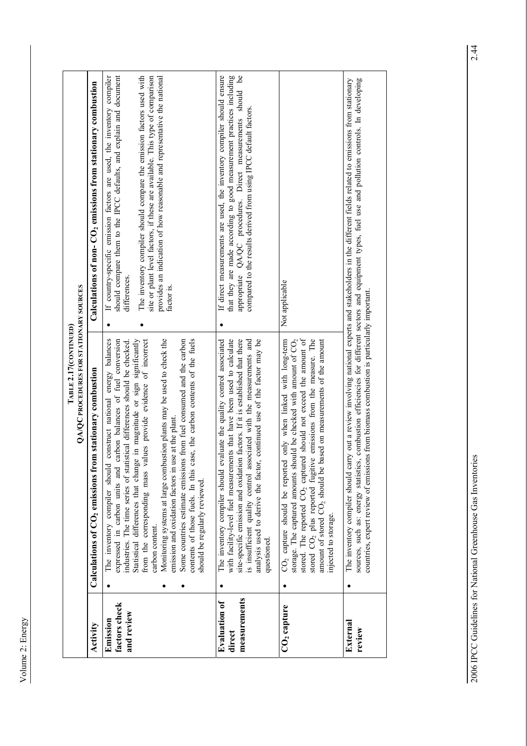| ٢<br>٦ |
|--------|
| Ĩ.     |
|        |
|        |
|        |
|        |
|        |
|        |

|                                         | QA/QC PROCEDURES FOR STATIONARY SOURCES<br>TABLE 2.17(CONTINUED)                                                                                                                                                                                                                                                                                                                                                                                                                                                                                                                                                                                                                                             |                                                                                                                                                                                                                                                                                                                                                                                                               |
|-----------------------------------------|--------------------------------------------------------------------------------------------------------------------------------------------------------------------------------------------------------------------------------------------------------------------------------------------------------------------------------------------------------------------------------------------------------------------------------------------------------------------------------------------------------------------------------------------------------------------------------------------------------------------------------------------------------------------------------------------------------------|---------------------------------------------------------------------------------------------------------------------------------------------------------------------------------------------------------------------------------------------------------------------------------------------------------------------------------------------------------------------------------------------------------------|
| Activity                                | Calculations of CO <sub>2</sub> emissions from stationary combustion                                                                                                                                                                                                                                                                                                                                                                                                                                                                                                                                                                                                                                         | Calculations of non- CO <sub>2</sub> emissions from stationary combustion                                                                                                                                                                                                                                                                                                                                     |
| factors check<br>and review<br>Emission | Statistical differences that change in magnitude or sign significantly<br>contents of those fuels. In this case, the carbon contents of the fuels<br>construct national energy balances<br>Monitoring systems at large combustion plants may be used to check the<br>Some countries estimate emissions from fuel consumed and the carbon<br>carbon balances of fuel conversion<br>from the corresponding mass values provide evidence of incorrect<br>industries. The time series of statistical differences should be checked.<br>emission and oxidation factors in use at the plant.<br>The inventory compiler should<br>expressed in carbon units and<br>should be regularly reviewed.<br>carbon content. | should compare them to the IPCC defaults, and explain and document<br>The inventory compiler should compare the emission factors used with<br>If country-specific emission factors are used, the inventory compiler<br>site or plant level factors, if these are available. This type of comparison<br>provides an indication of how reasonable and representative the national<br>differences.<br>factor is. |
| measurements<br>Evaluation of<br>direct | site-specific emission and oxidation factors. If it is established that there<br>The inventory compiler should evaluate the quality control associated<br>with facility-level fuel measurements that have been used to calculate<br>is insufficient quality control associated with the measurements and<br>analysis used to derive the factor, continued use of the factor may be<br>questioned.                                                                                                                                                                                                                                                                                                            | If direct measurements are used, the inventory compiler should ensure<br>that they are made according to good measurement practices including<br>appropriate QA/QC procedures. Direct measurements should be<br>compared to the results derived from using IPCC default factors.                                                                                                                              |
| CO <sub>2</sub> capture                 | stored. The reported CO <sub>2</sub> captured should not exceed the amount of<br>stored CO <sub>2</sub> plus reported fugitive emissions from the measure. The<br>$CO2$ capture should be reported only when linked with long-term<br>storage. The captured amounts should be checked with amount of $CO2$<br>based on measurements of the amount<br>amount of stored $CO2$ should be<br>injected to storage.                                                                                                                                                                                                                                                                                                | Not applicable                                                                                                                                                                                                                                                                                                                                                                                                |
| External<br>review                      | countries, expert review of emissions from biomass combustion is particularly important                                                                                                                                                                                                                                                                                                                                                                                                                                                                                                                                                                                                                      | sources, such as: energy statistics, combustion efficiencies for different sectors and equipment types, fuel use and pollution controls. In developing<br>The inventory compiler should carry out a review involving national experts and stakeholders in the different fields related to emissions from stationary                                                                                           |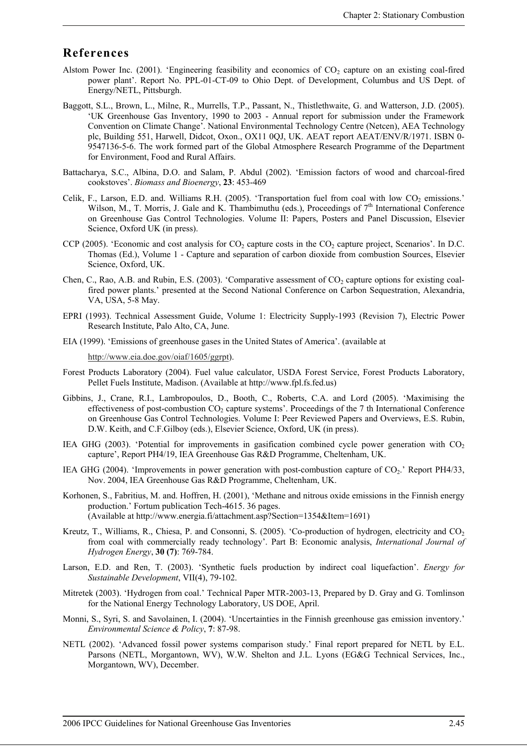#### **References**

- Alstom Power Inc. (2001). 'Engineering feasibility and economics of  $CO<sub>2</sub>$  capture on an existing coal-fired power plant'. Report No. PPL-01-CT-09 to Ohio Dept. of Development, Columbus and US Dept. of Energy/NETL, Pittsburgh.
- Baggott, S.L., Brown, L., Milne, R., Murrells, T.P., Passant, N., Thistlethwaite, G. and Watterson, J.D. (2005). 'UK Greenhouse Gas Inventory, 1990 to 2003 - Annual report for submission under the Framework Convention on Climate Change'. National Environmental Technology Centre (Netcen), AEA Technology plc, Building 551, Harwell, Didcot, Oxon., OX11 0QJ, UK. AEAT report AEAT/ENV/R/1971. ISBN 0- 9547136-5-6. The work formed part of the Global Atmosphere Research Programme of the Department for Environment, Food and Rural Affairs.
- Battacharya, S.C., Albina, D.O. and Salam, P. Abdul (2002). 'Emission factors of wood and charcoal-fired cookstoves'. *Biomass and Bioenergy*, **23**: 453-469
- Celik, F., Larson, E.D. and. Williams R.H. (2005). 'Transportation fuel from coal with low  $CO<sub>2</sub>$  emissions.' Wilson, M., T. Morris, J. Gale and K. Thambimuthu (eds.), Proceedings of  $7<sup>th</sup>$  International Conference on Greenhouse Gas Control Technologies. Volume II: Papers, Posters and Panel Discussion, Elsevier Science, Oxford UK (in press).
- CCP (2005). 'Economic and cost analysis for  $CO<sub>2</sub>$  capture costs in the  $CO<sub>2</sub>$  capture project, Scenarios'. In D.C. Thomas (Ed.), Volume 1 - Capture and separation of carbon dioxide from combustion Sources, Elsevier Science, Oxford, UK.
- Chen, C., Rao, A.B. and Rubin, E.S. (2003). 'Comparative assessment of  $CO_2$  capture options for existing coalfired power plants.' presented at the Second National Conference on Carbon Sequestration, Alexandria, VA, USA, 5-8 May.
- EPRI (1993). Technical Assessment Guide, Volume 1: Electricity Supply-1993 (Revision 7), Electric Power Research Institute, Palo Alto, CA, June.
- EIA (1999). 'Emissions of greenhouse gases in the United States of America'. (available at

http://www.eia.doe.gov/oiaf/1605/ggrpt).

- Forest Products Laboratory (2004). Fuel value calculator, USDA Forest Service, Forest Products Laboratory, Pellet Fuels Institute, Madison. (Available at http://www.fpl.fs.fed.us)
- Gibbins, J., Crane, R.I., Lambropoulos, D., Booth, C., Roberts, C.A. and Lord (2005). 'Maximising the effectiveness of post-combustion  $CO<sub>2</sub>$  capture systems'. Proceedings of the 7 th International Conference on Greenhouse Gas Control Technologies. Volume I: Peer Reviewed Papers and Overviews, E.S. Rubin, D.W. Keith, and C.F.Gilboy (eds.), Elsevier Science, Oxford, UK (in press).
- IEA GHG (2003). 'Potential for improvements in gasification combined cycle power generation with  $CO<sub>2</sub>$ capture', Report PH4/19, IEA Greenhouse Gas R&D Programme, Cheltenham, UK.
- IEA GHG (2004). 'Improvements in power generation with post-combustion capture of  $CO<sub>2</sub>$ .' Report PH4/33, Nov. 2004, IEA Greenhouse Gas R&D Programme, Cheltenham, UK.
- Korhonen, S., Fabritius, M. and. Hoffren, H. (2001), 'Methane and nitrous oxide emissions in the Finnish energy production.' Fortum publication Tech-4615. 36 pages. (Available at http://www.energia.fi/attachment.asp?Section=1354&Item=1691)
- Kreutz, T., Williams, R., Chiesa, P. and Consonni, S. (2005). 'Co-production of hydrogen, electricity and CO<sub>2</sub> from coal with commercially ready technology'. Part B: Economic analysis, *International Journal of Hydrogen Energy*, **30 (7)**: 769-784.
- Larson, E.D. and Ren, T. (2003). 'Synthetic fuels production by indirect coal liquefaction'. *Energy for Sustainable Development*, VII(4), 79-102.
- Mitretek (2003). 'Hydrogen from coal.' Technical Paper MTR-2003-13, Prepared by D. Gray and G. Tomlinson for the National Energy Technology Laboratory, US DOE, April.
- Monni, S., Syri, S. and Savolainen, I. (2004). 'Uncertainties in the Finnish greenhouse gas emission inventory.' *Environmental Science & Policy*, **7**: 87-98.
- NETL (2002). 'Advanced fossil power systems comparison study.' Final report prepared for NETL by E.L. Parsons (NETL, Morgantown, WV), W.W. Shelton and J.L. Lyons (EG&G Technical Services, Inc., Morgantown, WV), December.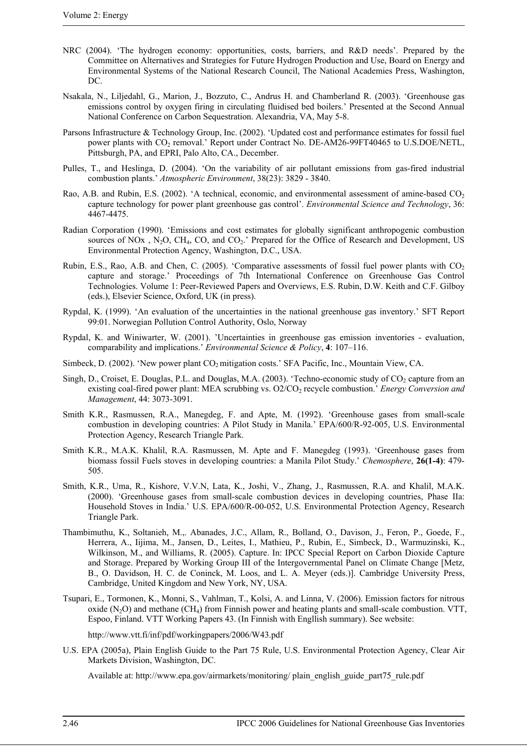- NRC (2004). 'The hydrogen economy: opportunities, costs, barriers, and R&D needs'. Prepared by the Committee on Alternatives and Strategies for Future Hydrogen Production and Use, Board on Energy and Environmental Systems of the National Research Council, The National Academies Press, Washington, DC.
- Nsakala, N., Liljedahl, G., Marion, J., Bozzuto, C., Andrus H. and Chamberland R. (2003). 'Greenhouse gas emissions control by oxygen firing in circulating fluidised bed boilers.' Presented at the Second Annual National Conference on Carbon Sequestration. Alexandria, VA, May 5-8.
- Parsons Infrastructure & Technology Group, Inc. (2002). 'Updated cost and performance estimates for fossil fuel power plants with CO<sub>2</sub> removal.' Report under Contract No. DE-AM26-99FT40465 to U.S.DOE/NETL, Pittsburgh, PA, and EPRI, Palo Alto, CA., December.
- Pulles, T., and Heslinga, D. (2004). 'On the variability of air pollutant emissions from gas-fired industrial combustion plants.' *Atmospheric Environment*, 38(23): 3829 - 3840.
- Rao, A.B. and Rubin, E.S. (2002). 'A technical, economic, and environmental assessment of amine-based  $CO<sub>2</sub>$ capture technology for power plant greenhouse gas control'. *Environmental Science and Technology*, 36: 4467-4475.
- Radian Corporation (1990). 'Emissions and cost estimates for globally significant anthropogenic combustion sources of NOx,  $N_2O$ , CH<sub>4</sub>, CO, and CO<sub>2</sub>.' Prepared for the Office of Research and Development, US Environmental Protection Agency, Washington, D.C., USA.
- Rubin, E.S., Rao, A.B. and Chen, C. (2005). 'Comparative assessments of fossil fuel power plants with  $CO<sub>2</sub>$ capture and storage.' Proceedings of 7th International Conference on Greenhouse Gas Control Technologies. Volume 1: Peer-Reviewed Papers and Overviews, E.S. Rubin, D.W. Keith and C.F. Gilboy (eds.), Elsevier Science, Oxford, UK (in press).
- Rypdal, K. (1999). 'An evaluation of the uncertainties in the national greenhouse gas inventory.' SFT Report 99:01. Norwegian Pollution Control Authority, Oslo, Norway
- Rypdal, K. and Winiwarter, W. (2001). 'Uncertainties in greenhouse gas emission inventories evaluation, comparability and implications.' *Environmental Science & Policy*, **4**: 107–116.
- Simbeck, D. (2002). 'New power plant CO<sub>2</sub> mitigation costs.' SFA Pacific, Inc., Mountain View, CA.
- Singh, D., Croiset, E. Douglas, P.L. and Douglas, M.A. (2003). 'Techno-economic study of CO<sub>2</sub> capture from an existing coal-fired power plant: MEA scrubbing vs. O2/CO<sub>2</sub> recycle combustion.' *Energy Conversion and Management*, 44: 3073-3091.
- Smith K.R., Rasmussen, R.A., Manegdeg, F. and Apte, M. (1992). 'Greenhouse gases from small-scale combustion in developing countries: A Pilot Study in Manila.' EPA/600/R-92-005, U.S. Environmental Protection Agency, Research Triangle Park.
- Smith K.R., M.A.K. Khalil, R.A. Rasmussen, M. Apte and F. Manegdeg (1993). 'Greenhouse gases from biomass fossil Fuels stoves in developing countries: a Manila Pilot Study.' *Chemosphere*, **26(1-4)**: 479- 505.
- Smith, K.R., Uma, R., Kishore, V.V.N, Lata, K., Joshi, V., Zhang, J., Rasmussen, R.A. and Khalil, M.A.K. (2000). 'Greenhouse gases from small-scale combustion devices in developing countries, Phase IIa: Household Stoves in India.' U.S. EPA/600/R-00-052, U.S. Environmental Protection Agency, Research Triangle Park.
- Thambimuthu, K., Soltanieh, M.,. Abanades, J.C., Allam, R., Bolland, O., Davison, J., Feron, P., Goede, F., Herrera, A., Iijima, M., Jansen, D., Leites, I., Mathieu, P., Rubin, E., Simbeck, D., Warmuzinski, K., Wilkinson, M., and Williams, R. (2005). Capture. In: IPCC Special Report on Carbon Dioxide Capture and Storage. Prepared by Working Group III of the Intergovernmental Panel on Climate Change [Metz, B., O. Davidson, H. C. de Coninck, M. Loos, and L. A. Meyer (eds.)]. Cambridge University Press, Cambridge, United Kingdom and New York, NY, USA.
- Tsupari, E., Tormonen, K., Monni, S., Vahlman, T., Kolsi, A. and Linna, V. (2006). Emission factors for nitrous oxide  $(N_2O)$  and methane  $(CH_4)$  from Finnish power and heating plants and small-scale combustion. VTT, Espoo, Finland. VTT Working Papers 43. (In Finnish with Engllish summary). See website:

http://www.vtt.fi/inf/pdf/workingpapers/2006/W43.pdf

U.S. EPA (2005a), Plain English Guide to the Part 75 Rule, U.S. Environmental Protection Agency, Clear Air Markets Division, Washington, DC.

Available at: http://www.epa.gov/airmarkets/monitoring/ plain\_english\_guide\_part75\_rule.pdf